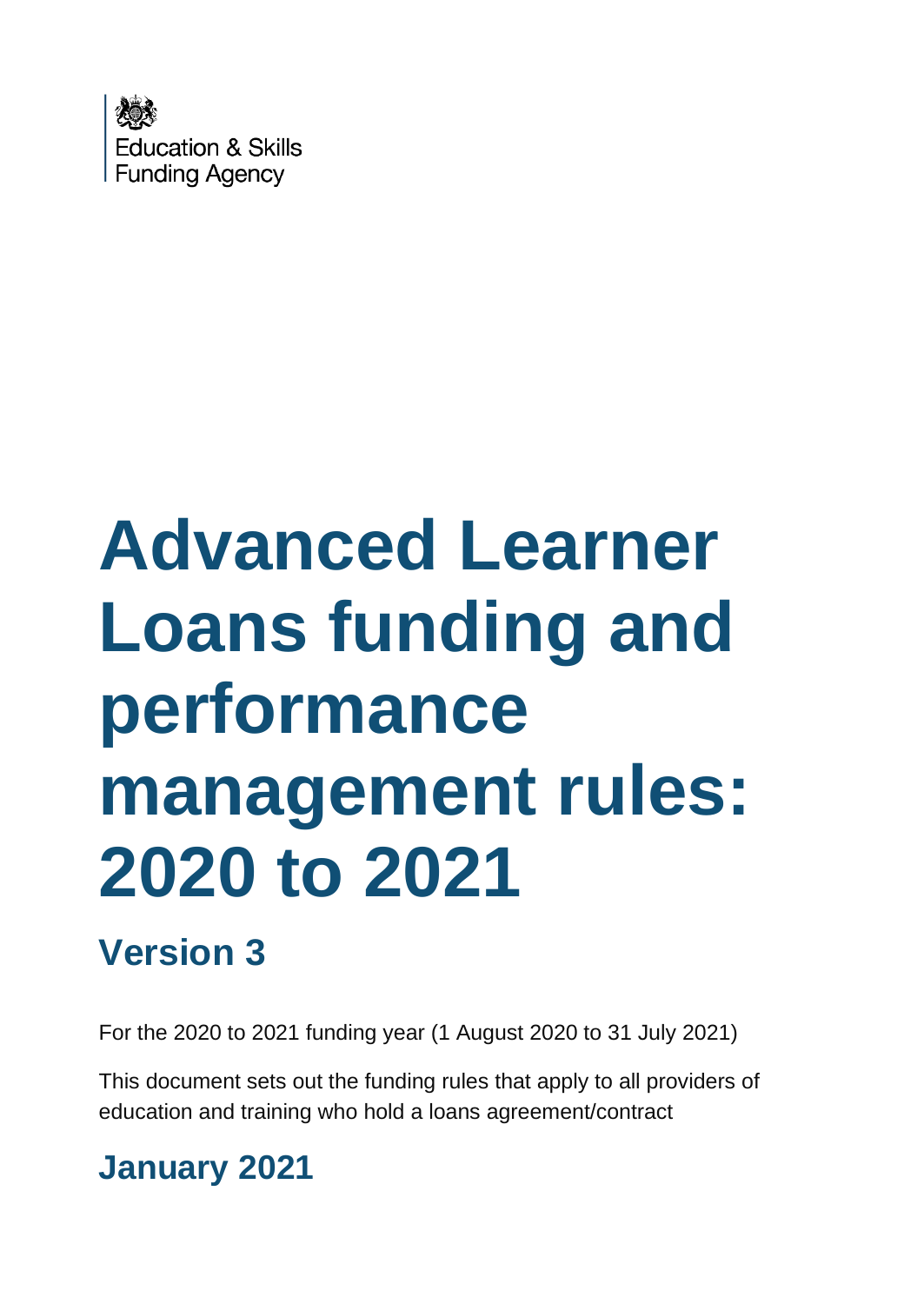

# **Advanced Learner Loans funding and performance management rules: 2020 to 2021**

# **Version 3**

For the 2020 to 2021 funding year (1 August 2020 to 31 July 2021)

This document sets out the funding rules that apply to all providers of education and training who hold a loans agreement/contract

# **January 2021**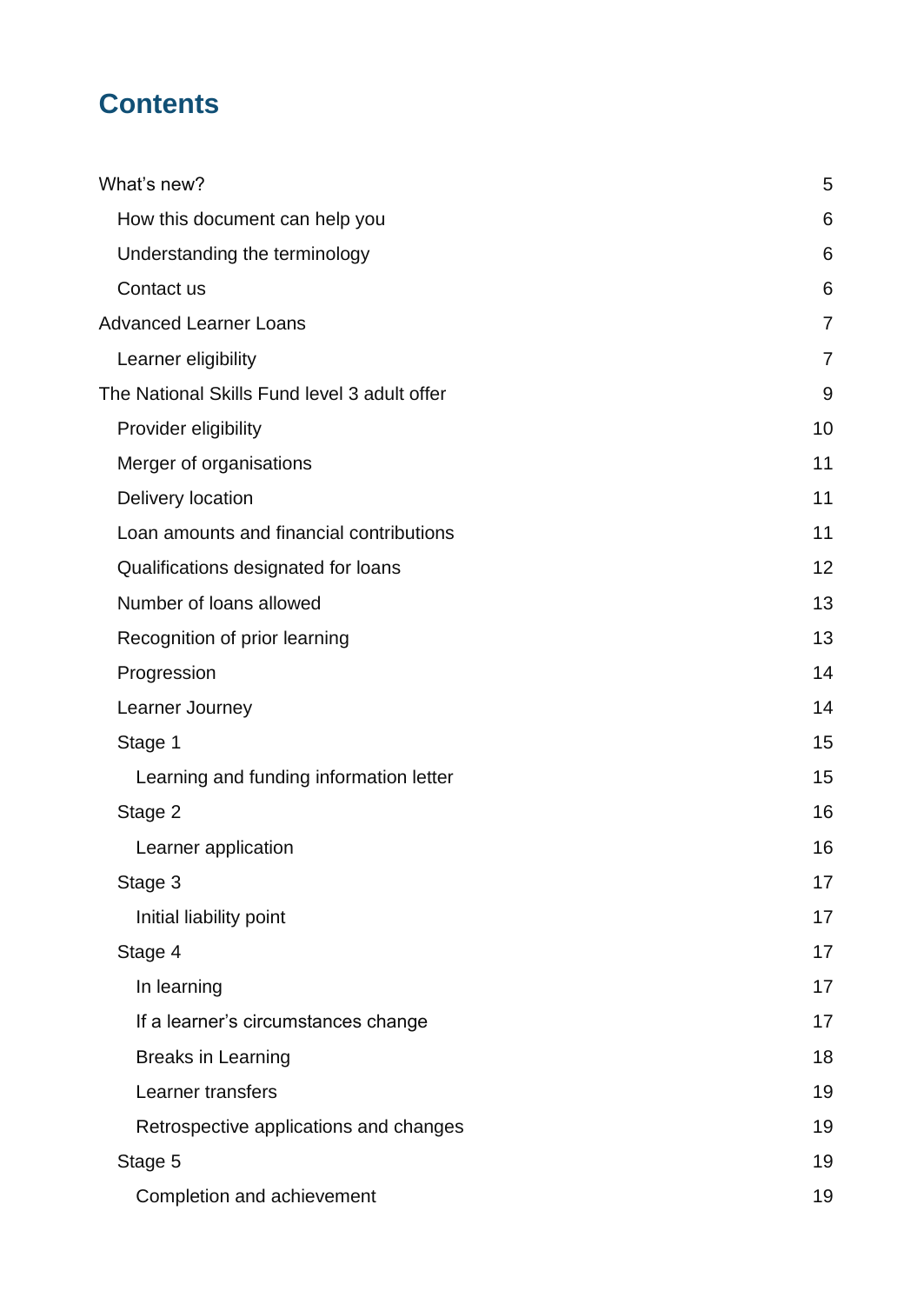## **Contents**

| What's new?                                  | 5              |
|----------------------------------------------|----------------|
| How this document can help you               | 6              |
| Understanding the terminology                | 6              |
| Contact us                                   | 6              |
| <b>Advanced Learner Loans</b>                | $\overline{7}$ |
| Learner eligibility                          | $\overline{7}$ |
| The National Skills Fund level 3 adult offer | 9              |
| Provider eligibility                         | 10             |
| Merger of organisations                      | 11             |
| Delivery location                            | 11             |
| Loan amounts and financial contributions     | 11             |
| Qualifications designated for loans          | 12             |
| Number of loans allowed                      | 13             |
| Recognition of prior learning                | 13             |
| Progression                                  | 14             |
| Learner Journey                              | 14             |
| Stage 1                                      | 15             |
| Learning and funding information letter      | 15             |
| Stage 2                                      | 16             |
| Learner application                          | 16             |
| Stage 3                                      | 17             |
| Initial liability point                      | 17             |
| Stage 4                                      | 17             |
| In learning                                  | 17             |
| If a learner's circumstances change          | 17             |
| <b>Breaks in Learning</b>                    | 18             |
| Learner transfers                            | 19             |
| Retrospective applications and changes       | 19             |
| Stage 5                                      | 19             |
| Completion and achievement                   | 19             |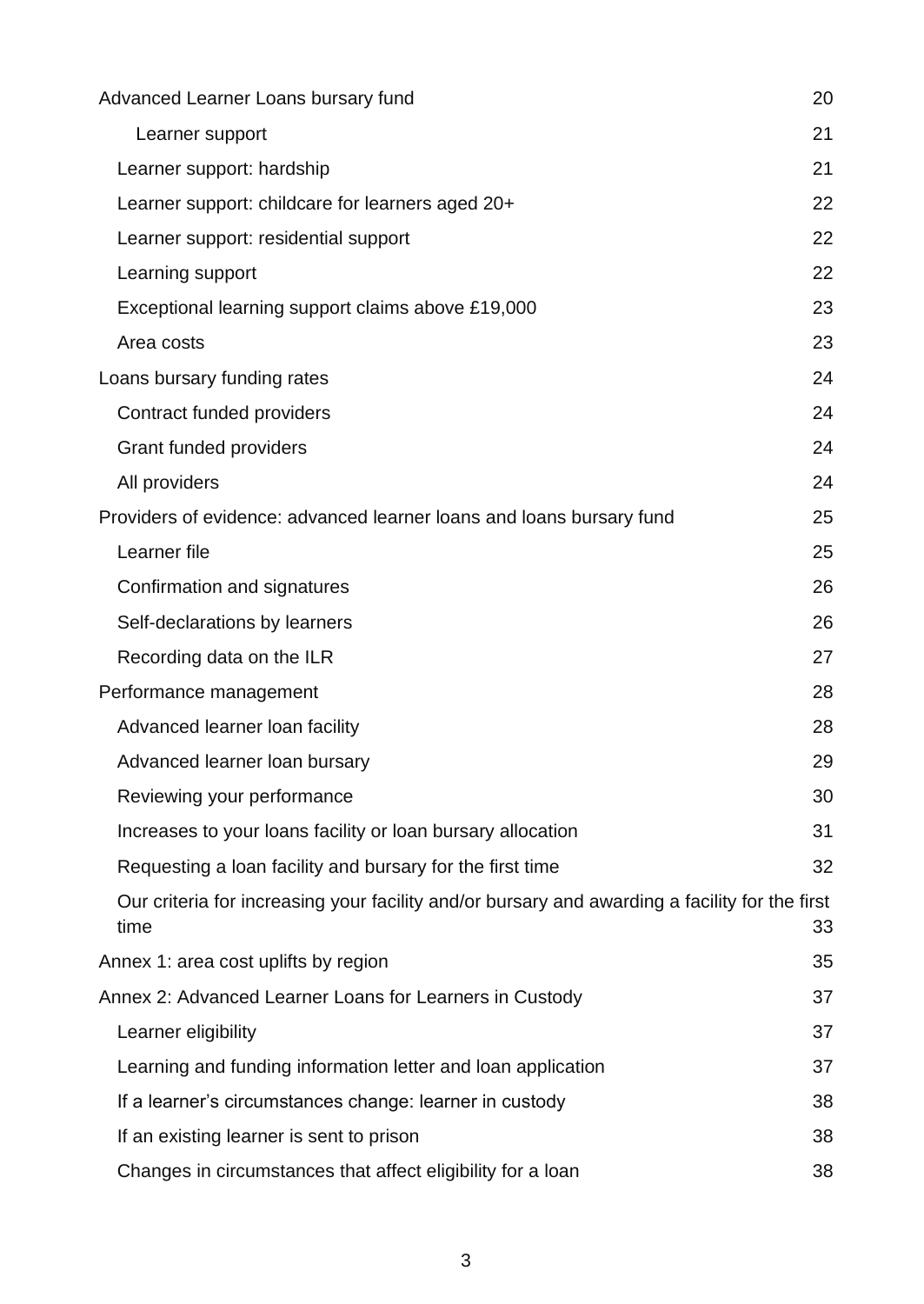| Advanced Learner Loans bursary fund                                                                    | 20 |
|--------------------------------------------------------------------------------------------------------|----|
| Learner support                                                                                        | 21 |
| Learner support: hardship                                                                              | 21 |
| Learner support: childcare for learners aged 20+                                                       | 22 |
| Learner support: residential support                                                                   | 22 |
| Learning support                                                                                       | 22 |
| Exceptional learning support claims above £19,000                                                      | 23 |
| Area costs                                                                                             | 23 |
| Loans bursary funding rates                                                                            | 24 |
| Contract funded providers                                                                              | 24 |
| Grant funded providers                                                                                 | 24 |
| All providers                                                                                          | 24 |
| Providers of evidence: advanced learner loans and loans bursary fund                                   | 25 |
| Learner file                                                                                           | 25 |
| Confirmation and signatures                                                                            | 26 |
| Self-declarations by learners                                                                          | 26 |
| Recording data on the ILR                                                                              | 27 |
| Performance management                                                                                 | 28 |
| Advanced learner loan facility                                                                         | 28 |
| Advanced learner loan bursary                                                                          | 29 |
| Reviewing your performance                                                                             | 30 |
| Increases to your loans facility or loan bursary allocation                                            | 31 |
| Requesting a loan facility and bursary for the first time                                              | 32 |
| Our criteria for increasing your facility and/or bursary and awarding a facility for the first<br>time | 33 |
| Annex 1: area cost uplifts by region                                                                   | 35 |
| Annex 2: Advanced Learner Loans for Learners in Custody                                                | 37 |
| Learner eligibility                                                                                    | 37 |
| Learning and funding information letter and loan application                                           | 37 |
| If a learner's circumstances change: learner in custody                                                | 38 |
| If an existing learner is sent to prison                                                               | 38 |
| Changes in circumstances that affect eligibility for a loan                                            | 38 |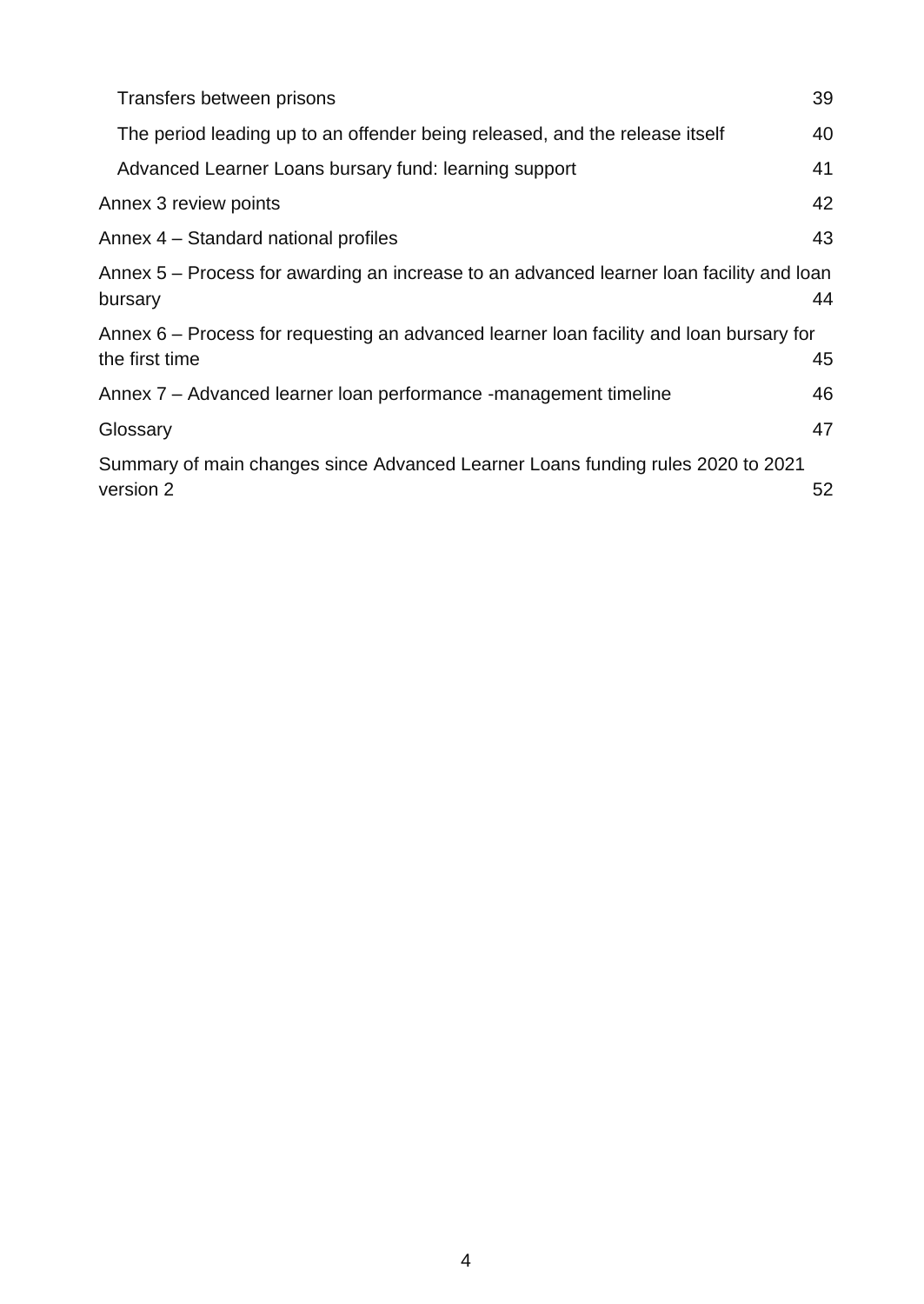| Transfers between prisons                                                                                 | 39 |
|-----------------------------------------------------------------------------------------------------------|----|
| The period leading up to an offender being released, and the release itself                               | 40 |
| Advanced Learner Loans bursary fund: learning support                                                     | 41 |
| Annex 3 review points                                                                                     | 42 |
| Annex 4 – Standard national profiles                                                                      | 43 |
| Annex 5 – Process for awarding an increase to an advanced learner loan facility and loan<br>bursary       | 44 |
| Annex 6 – Process for requesting an advanced learner loan facility and loan bursary for<br>the first time | 45 |
| Annex 7 – Advanced learner loan performance -management timeline                                          | 46 |
| Glossary                                                                                                  | 47 |
| Summary of main changes since Advanced Learner Loans funding rules 2020 to 2021<br>version 2              | 52 |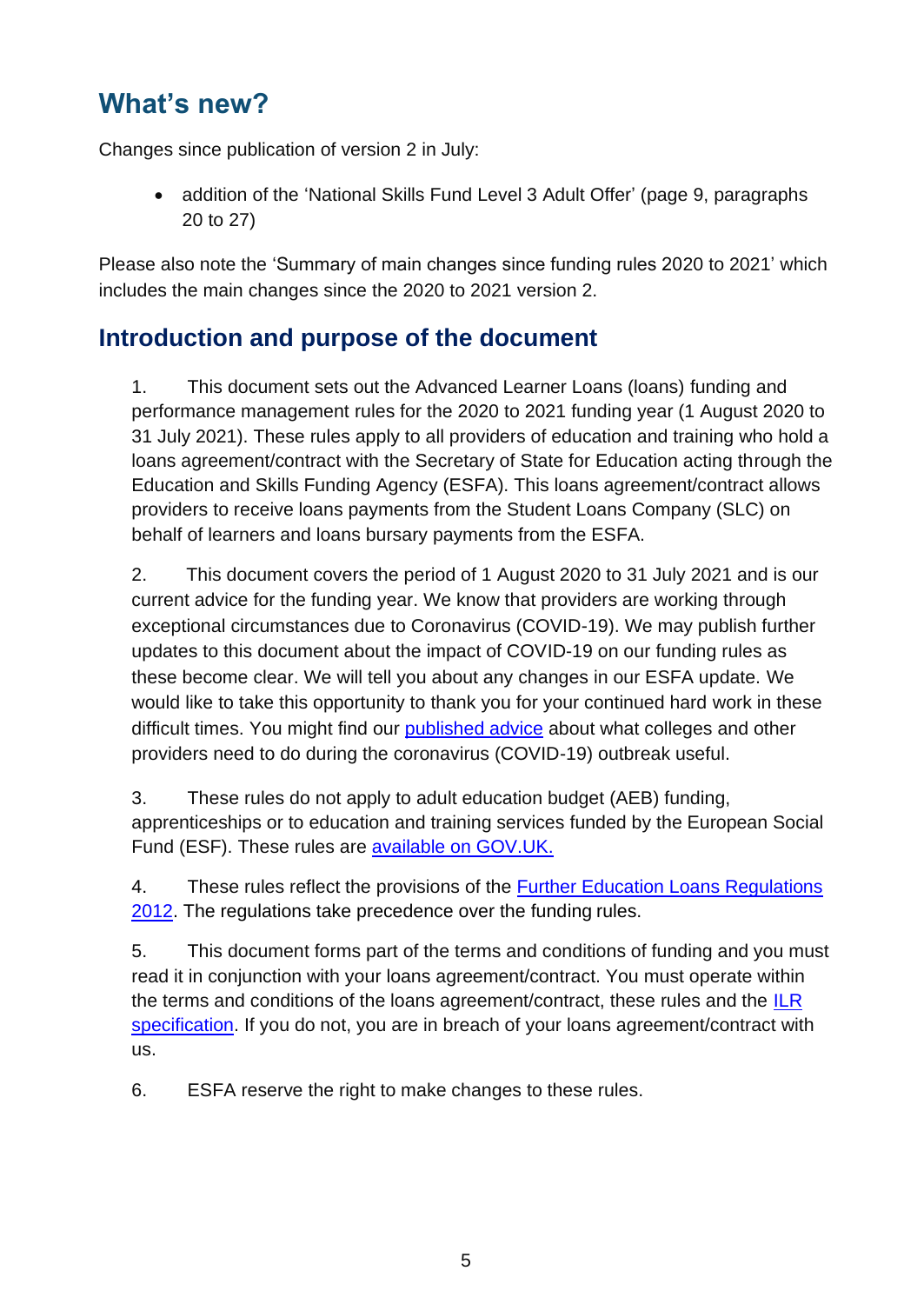## <span id="page-4-0"></span>**What's new?**

Changes since publication of version 2 in July:

• addition of the 'National Skills Fund Level 3 Adult Offer' (page 9, paragraphs 20 to 27)

Please also note the 'Summary of main changes since funding rules 2020 to 2021' which includes the main changes since the 2020 to 2021 version 2.

#### **Introduction and purpose of the document**

1. This document sets out the Advanced Learner Loans (loans) funding and performance management rules for the 2020 to 2021 funding year (1 August 2020 to 31 July 2021). These rules apply to all providers of education and training who hold a loans agreement/contract with the Secretary of State for Education acting through the Education and Skills Funding Agency (ESFA). This loans agreement/contract allows providers to receive loans payments from the Student Loans Company (SLC) on behalf of learners and loans bursary payments from the ESFA.

2. This document covers the period of 1 August 2020 to 31 July 2021 and is our current advice for the funding year. We know that providers are working through exceptional circumstances due to Coronavirus (COVID-19). We may publish further updates to this document about the impact of COVID-19 on our funding rules as these become clear. We will tell you about any changes in our ESFA update. We would like to take this opportunity to thank you for your continued hard work in these difficult times. You might find our [published advice](https://www.gov.uk/government/collections/further-and-higher-education-coronavirus-covid-19) about what colleges and other providers need to do during the coronavirus (COVID-19) outbreak useful.

3. These rules do not apply to adult education budget (AEB) funding, apprenticeships or to education and training services funded by the European Social Fund (ESF). These rules are [available on GOV.UK.](https://www.gov.uk/guidance/sfa-funding-rules)

4. These rules reflect the provisions of the [Further Education Loans Regulations](http://www.legislation.gov.uk/uksi/2012/1818/contents/made) [2012. T](http://www.legislation.gov.uk/uksi/2012/1818/contents/made)he regulations take precedence over the funding rules.

5. This document forms part of the terms and conditions of funding and you must read it in conjunction with your loans agreement/contract. You must operate within the terms and conditions of the loans agreement/contract, these rules and the  $ILR$ [specification.](https://www.gov.uk/government/collections/individualised-learner-record-ilr) If you do not, you are in breach of your loans agreement/contract with us.

6. ESFA reserve the right to make changes to these rules.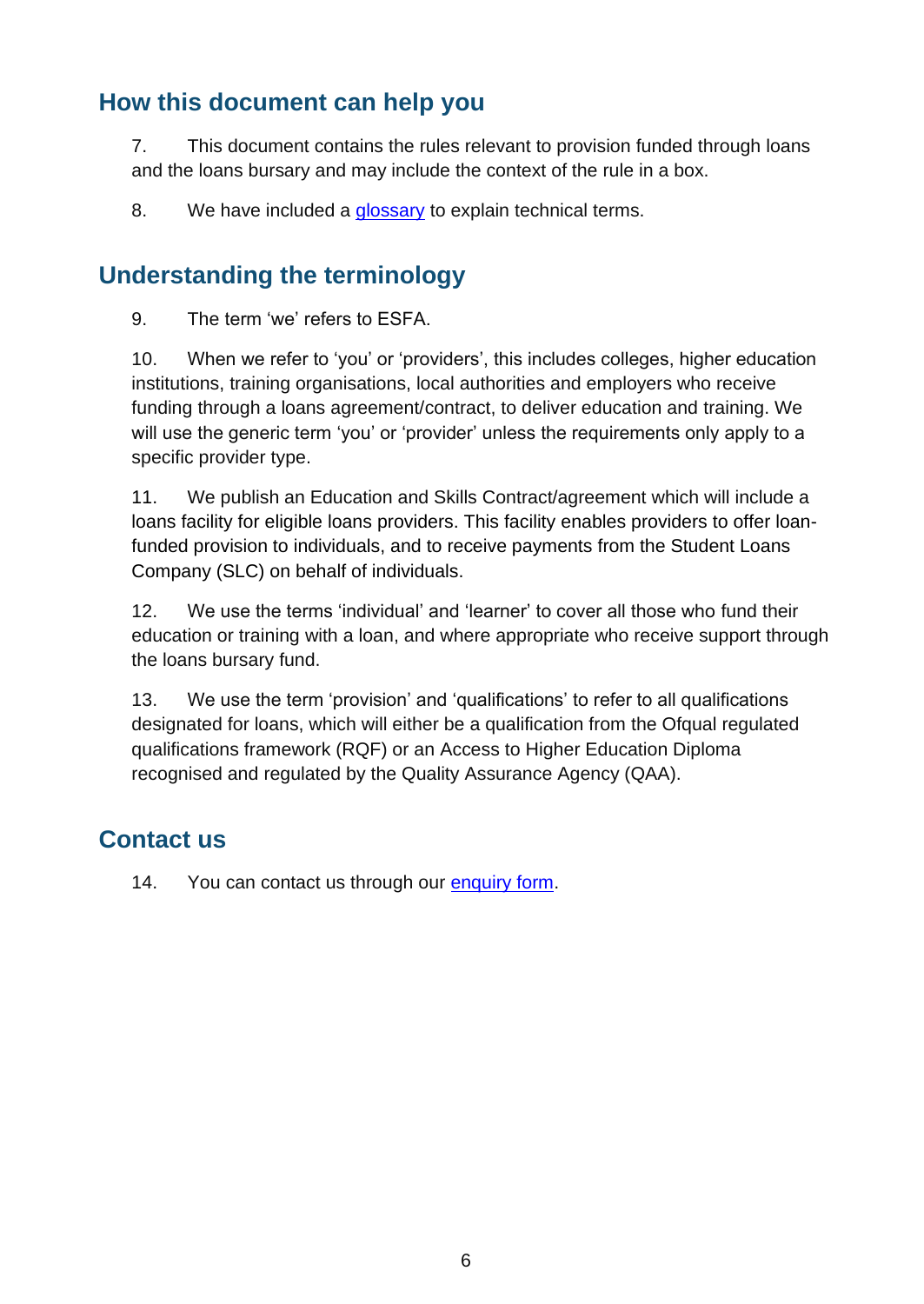#### <span id="page-5-0"></span>**How this document can help you**

7. This document contains the rules relevant to provision funded through loans and the loans bursary and may include the context of the rule in a box.

8. We have included a [glossary](#page-45-1) to explain technical terms.

#### <span id="page-5-1"></span>**Understanding the terminology**

9. The term 'we' refers to ESFA.

10. When we refer to 'you' or 'providers', this includes colleges, higher education institutions, training organisations, local authorities and employers who receive funding through a loans agreement/contract, to deliver education and training. We will use the generic term 'you' or 'provider' unless the requirements only apply to a specific provider type.

11. We publish an Education and Skills Contract/agreement which will include a loans facility for eligible loans providers. This facility enables providers to offer loanfunded provision to individuals, and to receive payments from the Student Loans Company (SLC) on behalf of individuals.

12. We use the terms 'individual' and 'learner' to cover all those who fund their education or training with a loan, and where appropriate who receive support through the loans bursary fund.

13. We use the term 'provision' and 'qualifications' to refer to all qualifications designated for loans, which will either be a qualification from the Ofqual regulated qualifications framework (RQF) or an Access to Higher Education Diploma recognised and regulated by the Quality Assurance Agency (QAA).

#### <span id="page-5-2"></span>**Contact us**

14. You can contact us through our [enquiry form.](https://form.education.gov.uk/en/AchieveForms/?form_uri=sandbox-publish://AF-Process-f9f4f5a1-936f-448b-bbeb-9dcdd595f468/AF-Stage-8aa41278-3cdd-45a3-ad87-80cbffb8b992/definition.json&redirectlink=%2Fen&cancelRedirectLink=%2Fen)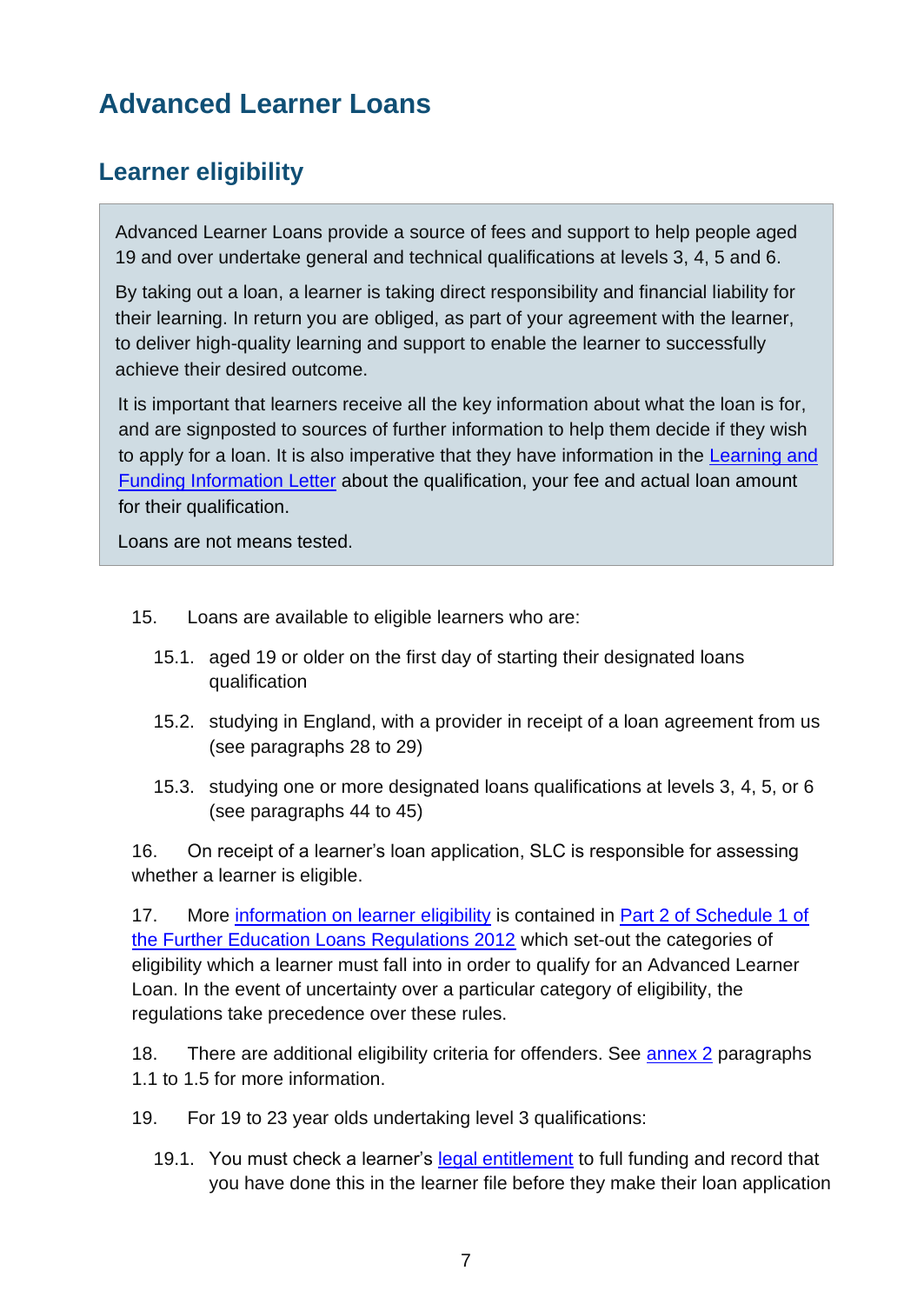## <span id="page-6-0"></span>**Advanced Learner Loans**

## <span id="page-6-1"></span>**Learner eligibility**

Advanced Learner Loans provide a source of fees and support to help people aged 19 and over undertake general and technical qualifications at levels 3, 4, 5 and 6.

By taking out a loan, a learner is taking direct responsibility and financial liability for their learning. In return you are obliged, as part of your agreement with the learner, to deliver high-quality learning and support to enable the learner to successfully achieve their desired outcome.

It is important that learners receive all the key information about what the loan is for, and are signposted to sources of further information to help them decide if they wish to apply for a loan. It is also imperative that they have information in the [Learning and](https://www.gov.uk/government/publications/24-advanced-learning-loans-funding-information-letter-templates) [Funding Information Letter](https://www.gov.uk/government/publications/24-advanced-learning-loans-funding-information-letter-templates) about the qualification, your fee and actual loan amount for their qualification.

Loans are not means tested.

- <span id="page-6-2"></span>15. Loans are available to eligible learners who are:
	- 15.1. aged 19 or older on the first day of starting their designated loans qualification
	- 15.2. studying in England, with a provider in receipt of a loan agreement from us (see paragraphs 28 to 29)
	- 15.3. studying one or more designated loans qualifications at levels 3, 4, 5, or 6 (see paragraphs 44 to 45)

<span id="page-6-3"></span>16. On receipt of a learner's loan application, SLC is responsible for assessing whether a learner is eligible.

17. More [information on learner eligibility](https://www.gov.uk/advanced-learner-loan/overview) is contained in Part 2 of Schedule 1 of [the Further Education Loans Regulations 2012](http://www.legislation.gov.uk/uksi/2012/1818/contents/made) which set-out the categories of eligibility which a learner must fall into in order to qualify for an Advanced Learner Loan. In the event of uncertainty over a particular category of eligibility, the regulations take precedence over these rules.

18. There are additional eligibility criteria for offenders. See [annex 2](#page-36-0) paragraphs 1.1 to 1.5 for more information.

19. For 19 to 23 year olds undertaking level 3 qualifications:

19.1. You must check a learner's [legal entitlement](https://www.gov.uk/guidance/qualification-funding-approval) to full funding and record that you have done this in the learner file before they make their loan application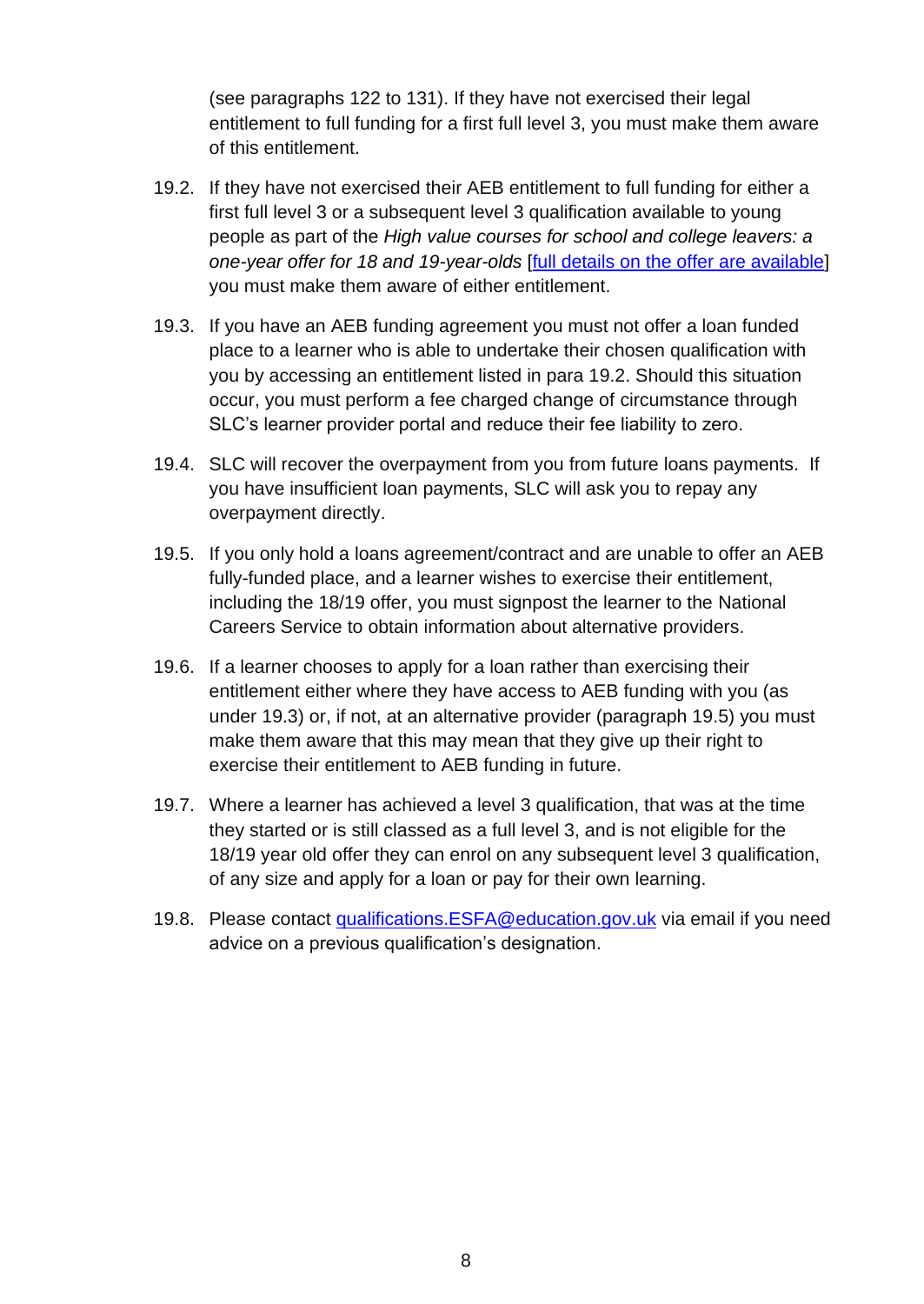(see paragraphs 122 to 131). If they have not exercised their legal entitlement to full funding for a first full level 3, you must make them aware of this entitlement.

- 19.2. If they have not exercised their AEB entitlement to full funding for either a first full level 3 or a subsequent level 3 qualification available to young people as part of the *High value courses for school and college leavers: a one-year offer for 18 and 19-year-olds* [\[full details on the offer are available\]](https://www.gov.uk/guidance/adult-education-budget-aeb-funding-rules-2020-to-2021) you must make them aware of either entitlement.
- 19.3. If you have an AEB funding agreement you must not offer a loan funded place to a learner who is able to undertake their chosen qualification with you by accessing an entitlement listed in para 19.2. Should this situation occur, you must perform a fee charged change of circumstance through SLC's learner provider portal and reduce their fee liability to zero.
- 19.4. SLC will recover the overpayment from you from future loans payments. If you have insufficient loan payments, SLC will ask you to repay any overpayment directly.
- 19.5. If you only hold a loans agreement/contract and are unable to offer an AEB fully-funded place, and a learner wishes to exercise their entitlement, including the 18/19 offer, you must signpost the learner to the National Careers Service to obtain information about alternative providers.
- 19.6. If a learner chooses to apply for a loan rather than exercising their entitlement either where they have access to AEB funding with you (as under 19.3) or, if not, at an alternative provider (paragraph 19.5) you must make them aware that this may mean that they give up their right to exercise their entitlement to AEB funding in future.
- 19.7. Where a learner has achieved a level 3 qualification, that was at the time they started or is still classed as a full level 3, and is not eligible for the 18/19 year old offer they can enrol on any subsequent level 3 qualification, of any size and apply for a loan or pay for their own learning.
- 19.8. Please contact [qualifications.ESFA@education.gov.uk](mailto:qualifications.ESFA@education.gov.uk) via email if you need advice on a previous qualification's designation.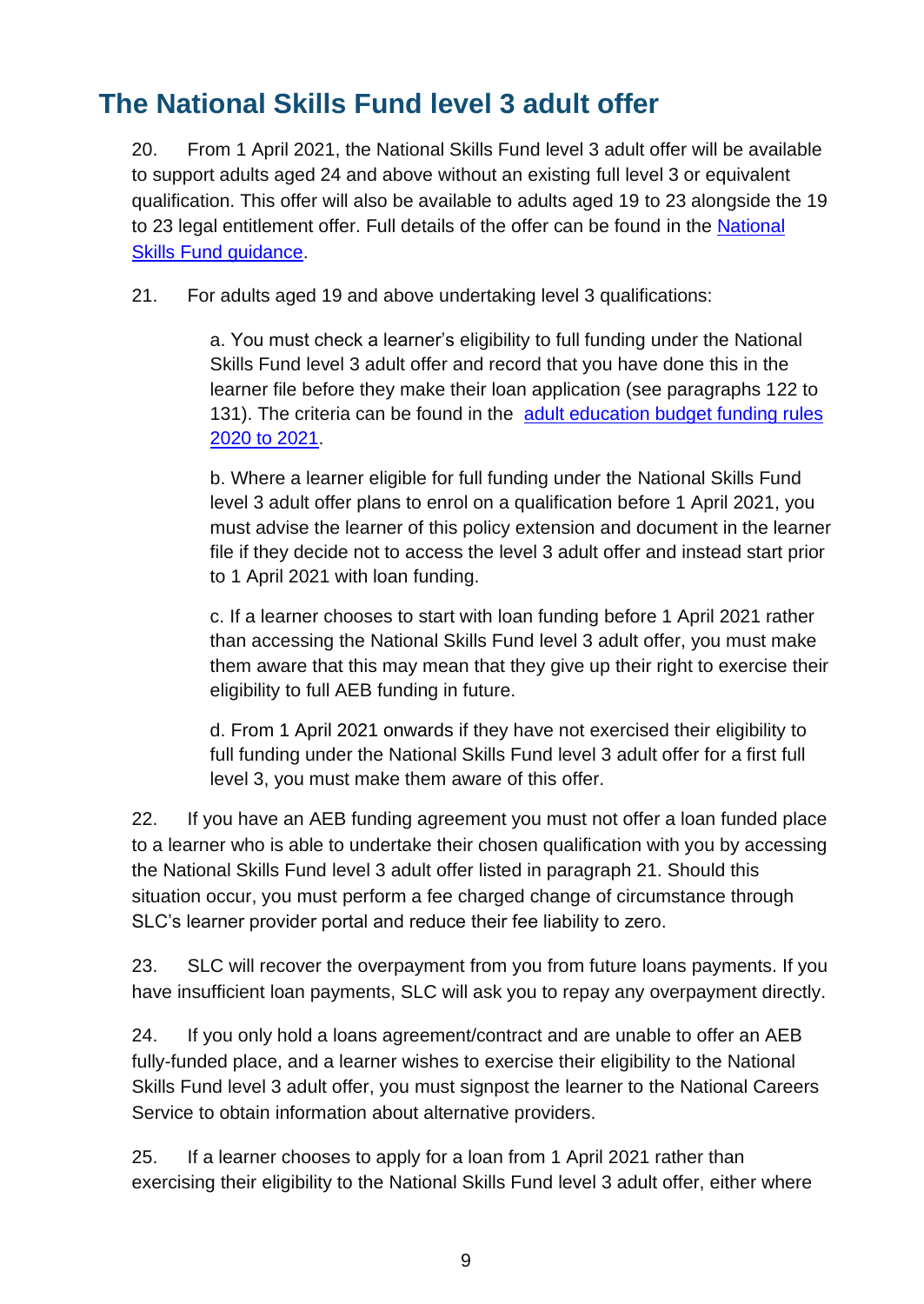## <span id="page-8-0"></span>**The National Skills Fund level 3 adult offer**

20. From 1 April 2021, the National Skills Fund level 3 adult offer will be available to support adults aged 24 and above without an existing full level 3 or equivalent qualification. This offer will also be available to adults aged 19 to 23 alongside the 19 to 23 legal entitlement offer. Full details of the offer can be found in the [National](https://www.gov.uk/guidance/national-skills-fund)  [Skills Fund guidance.](https://www.gov.uk/guidance/national-skills-fund)

21. For adults aged 19 and above undertaking level 3 qualifications:

a. You must check a learner's eligibility to full funding under the National Skills Fund level 3 adult offer and record that you have done this in the learner file before they make their loan application (see paragraphs 122 to 131). The criteria can be found in the [adult education budget funding rules](https://www.gov.uk/guidance/adult-education-budget-aeb-funding-rules-2020-to-2021)  [2020 to 2021.](https://www.gov.uk/guidance/adult-education-budget-aeb-funding-rules-2020-to-2021)

b. Where a learner eligible for full funding under the National Skills Fund level 3 adult offer plans to enrol on a qualification before 1 April 2021, you must advise the learner of this policy extension and document in the learner file if they decide not to access the level 3 adult offer and instead start prior to 1 April 2021 with loan funding.

c. If a learner chooses to start with loan funding before 1 April 2021 rather than accessing the National Skills Fund level 3 adult offer, you must make them aware that this may mean that they give up their right to exercise their eligibility to full AEB funding in future.

d. From 1 April 2021 onwards if they have not exercised their eligibility to full funding under the National Skills Fund level 3 adult offer for a first full level 3, you must make them aware of this offer.

22. If you have an AEB funding agreement you must not offer a loan funded place to a learner who is able to undertake their chosen qualification with you by accessing the National Skills Fund level 3 adult offer listed in paragraph 21. Should this situation occur, you must perform a fee charged change of circumstance through SLC's learner provider portal and reduce their fee liability to zero.

23. SLC will recover the overpayment from you from future loans payments. If you have insufficient loan payments, SLC will ask you to repay any overpayment directly.

24. If you only hold a loans agreement/contract and are unable to offer an AEB fully-funded place, and a learner wishes to exercise their eligibility to the National Skills Fund level 3 adult offer, you must signpost the learner to the National Careers Service to obtain information about alternative providers.

25. If a learner chooses to apply for a loan from 1 April 2021 rather than exercising their eligibility to the National Skills Fund level 3 adult offer, either where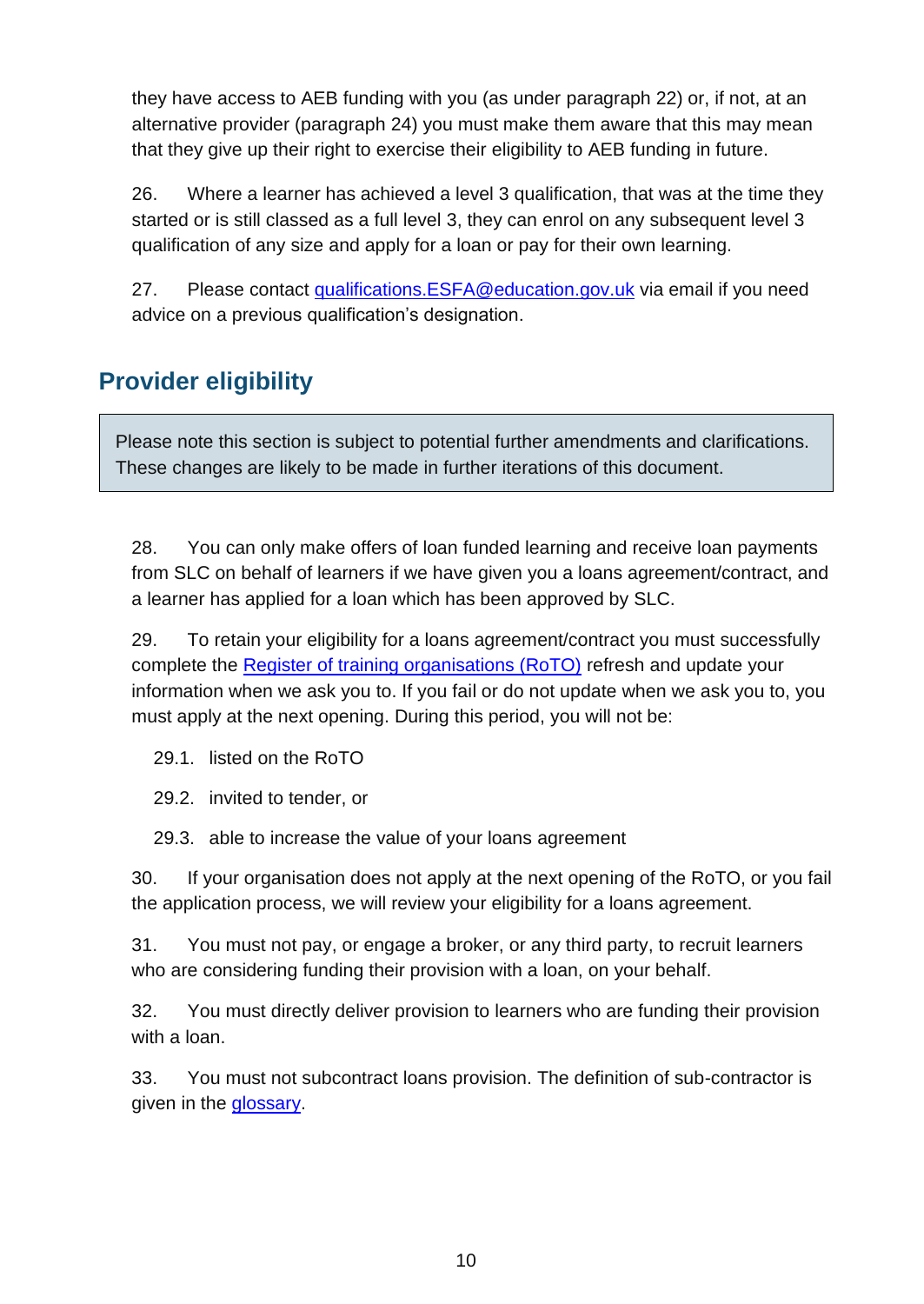they have access to AEB funding with you (as under paragraph 22) or, if not, at an alternative provider (paragraph 24) you must make them aware that this may mean that they give up their right to exercise their eligibility to AEB funding in future.

26. Where a learner has achieved a level 3 qualification, that was at the time they started or is still classed as a full level 3, they can enrol on any subsequent level 3 qualification of any size and apply for a loan or pay for their own learning.

27. Please contact [qualifications.ESFA@education.gov.uk](mailto:qualifications.ESFA@education.gov.uk) via email if you need advice on a previous qualification's designation.

## <span id="page-9-0"></span>**Provider eligibility**

Please note this section is subject to potential further amendments and clarifications. These changes are likely to be made in further iterations of this document.

28. You can only make offers of loan funded learning and receive loan payments from SLC on behalf of learners if we have given you a loans agreement/contract, and a learner has applied for a loan which has been approved by SLC.

29. To retain your eligibility for a loans agreement/contract you must successfully complete the [Register of training organisations \(RoTO\)](https://www.gov.uk/government/collections/sfa-register-of-training-organisations) refresh and update your information when we ask you to. If you fail or do not update when we ask you to, you must apply at the next opening. During this period, you will not be:

29.1. listed on the RoTO

29.2. invited to tender, or

29.3. able to increase the value of your loans agreement

30. If your organisation does not apply at the next opening of the RoTO, or you fail the application process, we will review your eligibility for a loans agreement.

31. You must not pay, or engage a broker, or any third party, to recruit learners who are considering funding their provision with a loan, on your behalf.

32. You must directly deliver provision to learners who are funding their provision with a loan.

33. You must not subcontract loans provision. The definition of sub-contractor is given in the glossary.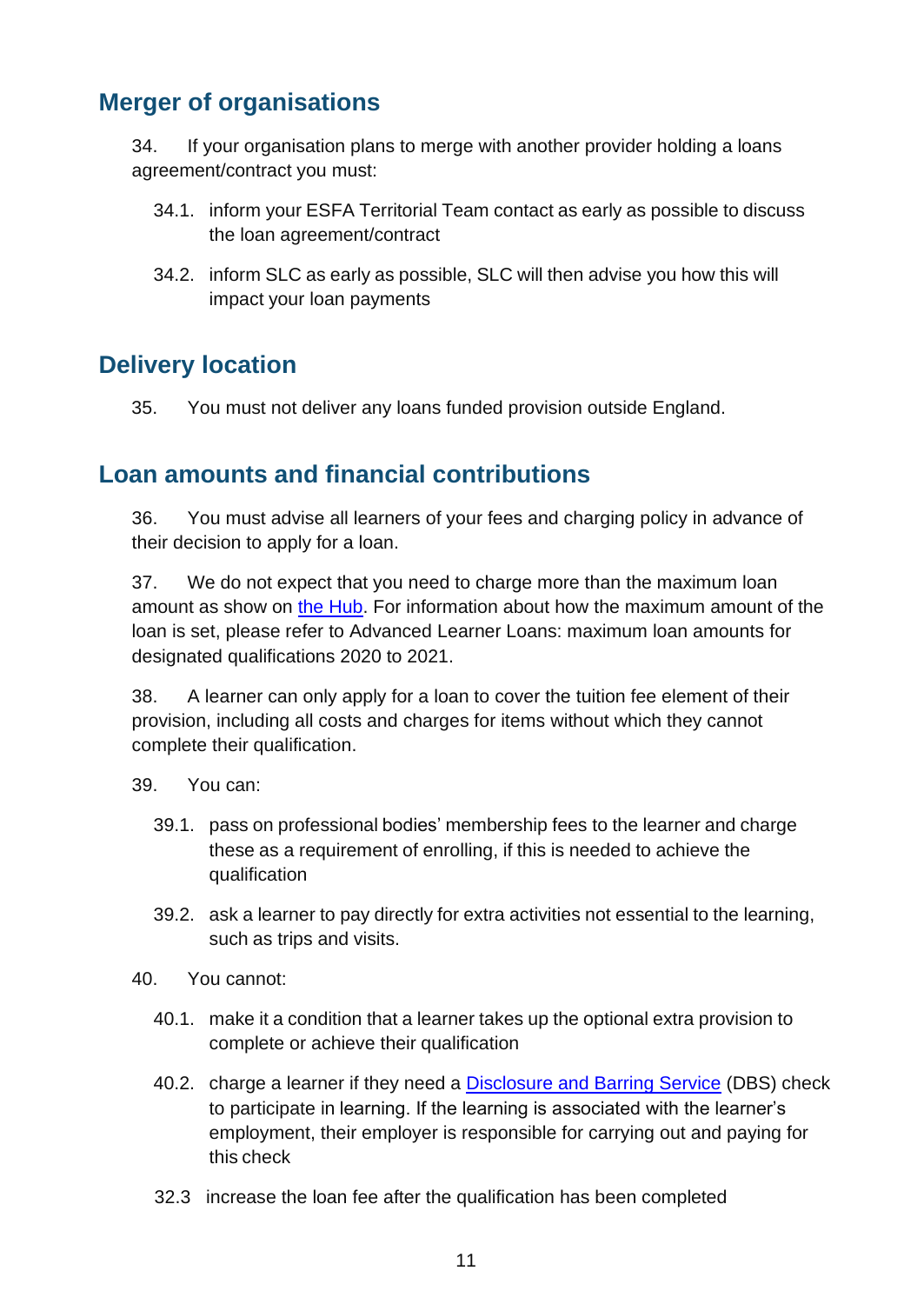#### <span id="page-10-0"></span>**Merger of organisations**

34. If your organisation plans to merge with another provider holding a loans agreement/contract you must:

- 34.1. inform your ESFA Territorial Team contact as early as possible to discuss the loan agreement/contract
- 34.2. inform SLC as early as possible, SLC will then advise you how this will impact your loan payments

#### <span id="page-10-1"></span>**Delivery location**

35. You must not deliver any loans funded provision outside England.

#### <span id="page-10-2"></span>**Loan amounts and financial contributions**

36. You must advise all learners of your fees and charging policy in advance of their decision to apply for a loan.

37. We do not expect that you need to charge more than the maximum loan amount as show on [the Hub.](https://hub.fasst.org.uk/Pages/default.aspx) For information about how the maximum amount of the loan is set, please refer to Advanced Learner Loans: maximum loan amounts for designated qualifications 2020 to 2021.

38. A learner can only apply for a loan to cover the tuition fee element of their provision, including all costs and charges for items without which they cannot complete their qualification.

- 39. You can:
	- 39.1. pass on professional bodies' membership fees to the learner and charge these as a requirement of enrolling, if this is needed to achieve the qualification
	- 39.2. ask a learner to pay directly for extra activities not essential to the learning, such as trips and visits.
- 40. You cannot:
	- 40.1. make it a condition that a learner takes up the optional extra provision to complete or achieve their qualification
	- 40.2. charge a learner if they need a **Disclosure and Barring Service** (DBS) check to participate in learning. If the learning is associated with the learner's employment, their employer is responsible for carrying out and paying for this check
	- 32.3 increase the loan fee after the qualification has been completed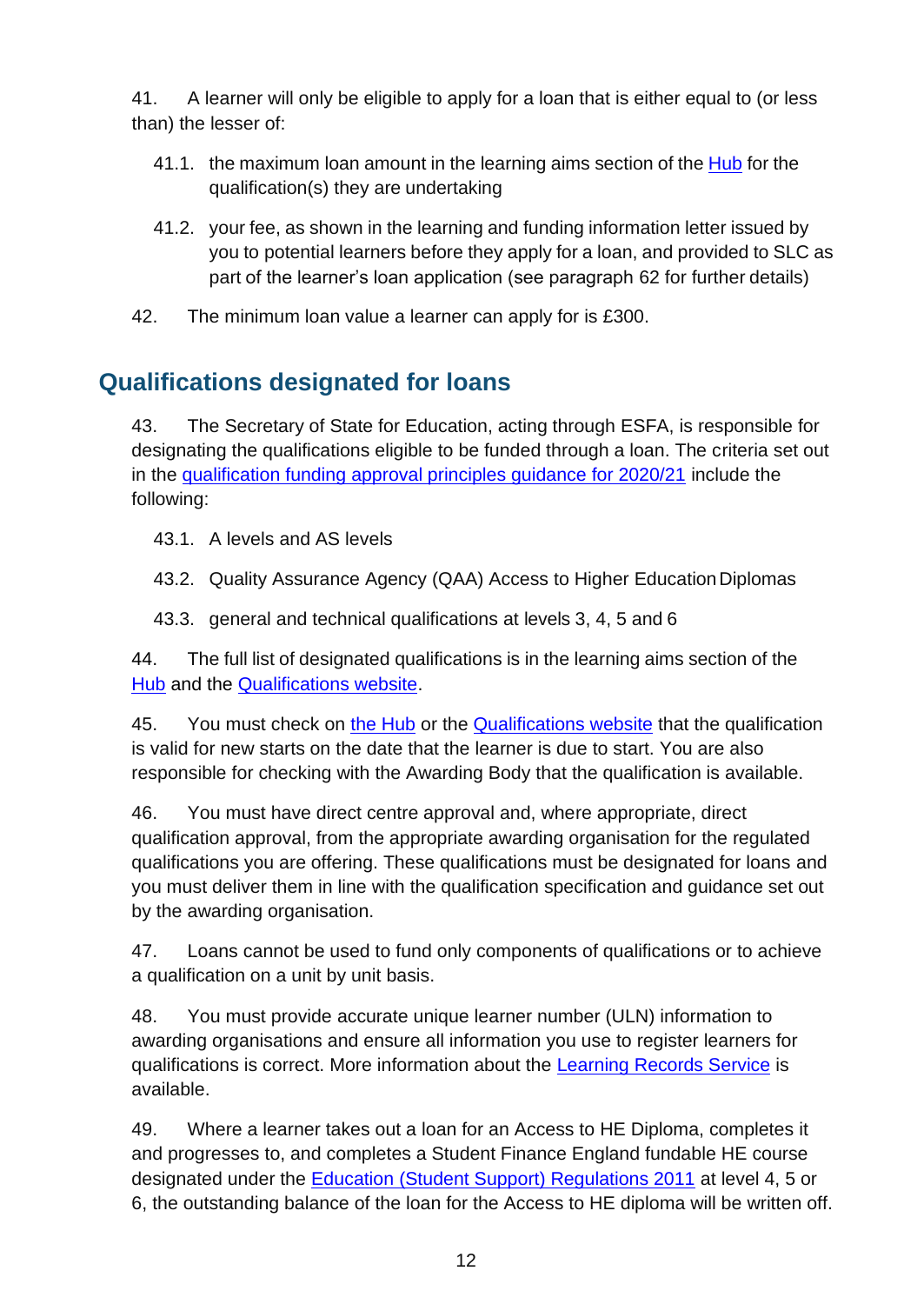41. A learner will only be eligible to apply for a loan that is either equal to (or less than) the lesser of:

- 41.1. the maximum loan amount in the learning aims section of the [Hub](https://hub.fasst.org.uk/Pages/default.aspx) for the qualification(s) they are undertaking
- 41.2. your fee, as shown in the learning and funding information letter issued by you to potential learners before they apply for a loan, and provided to SLC as part of the learner's loan application (see paragraph 62 for further details)
- 42. The minimum loan value a learner can apply for is £300.

## <span id="page-11-0"></span>**Qualifications designated for loans**

43. The Secretary of State for Education, acting through ESFA, is responsible for designating the qualifications eligible to be funded through a loan. The criteria set out in the [qualification funding approval principles guidance for 2020/21](https://www.gov.uk/government/publications/qualifications-getting-approval-for-funding) include the following:

43.1. A levels and AS levels

43.2. Quality Assurance Agency (QAA) Access to Higher Education Diplomas

43.3. general and technical qualifications at levels 3, 4, 5 and 6

44. The full list of designated qualifications is in the learning aims section of the [Hub](https://hub.fasst.org.uk/Pages/default.aspx) and the **[Qualifications website.](https://www.qualifications.education.gov.uk/)** 

45. You must check on [the Hub](https://hub.fasst.org.uk/Pages/default.aspx) or the [Qualifications website](https://www.qualifications.education.gov.uk/) that the qualification is valid for new starts on the date that the learner is due to start. You are also responsible for checking with the Awarding Body that the qualification is available.

46. You must have direct centre approval and, where appropriate, direct qualification approval, from the appropriate awarding organisation for the regulated qualifications you are offering. These qualifications must be designated for loans and you must deliver them in line with the qualification specification and guidance set out by the awarding organisation.

47. Loans cannot be used to fund only components of qualifications or to achieve a qualification on a unit by unit basis.

48. You must provide accurate unique learner number (ULN) information to awarding organisations and ensure all information you use to register learners for qualifications is correct. More information about the [Learning Records Service](https://www.gov.uk/topic/further-education-skills/learning-records-service) is available.

49. Where a learner takes out a loan for an Access to HE Diploma, completes it and progresses to, and completes a Student Finance England fundable HE course designated under the [Education \(Student Support\) Regulations 2011](http://www.legislation.gov.uk/uksi/2011/1986/contents/made) at level 4, 5 or 6, the outstanding balance of the loan for the Access to HE diploma will be written off.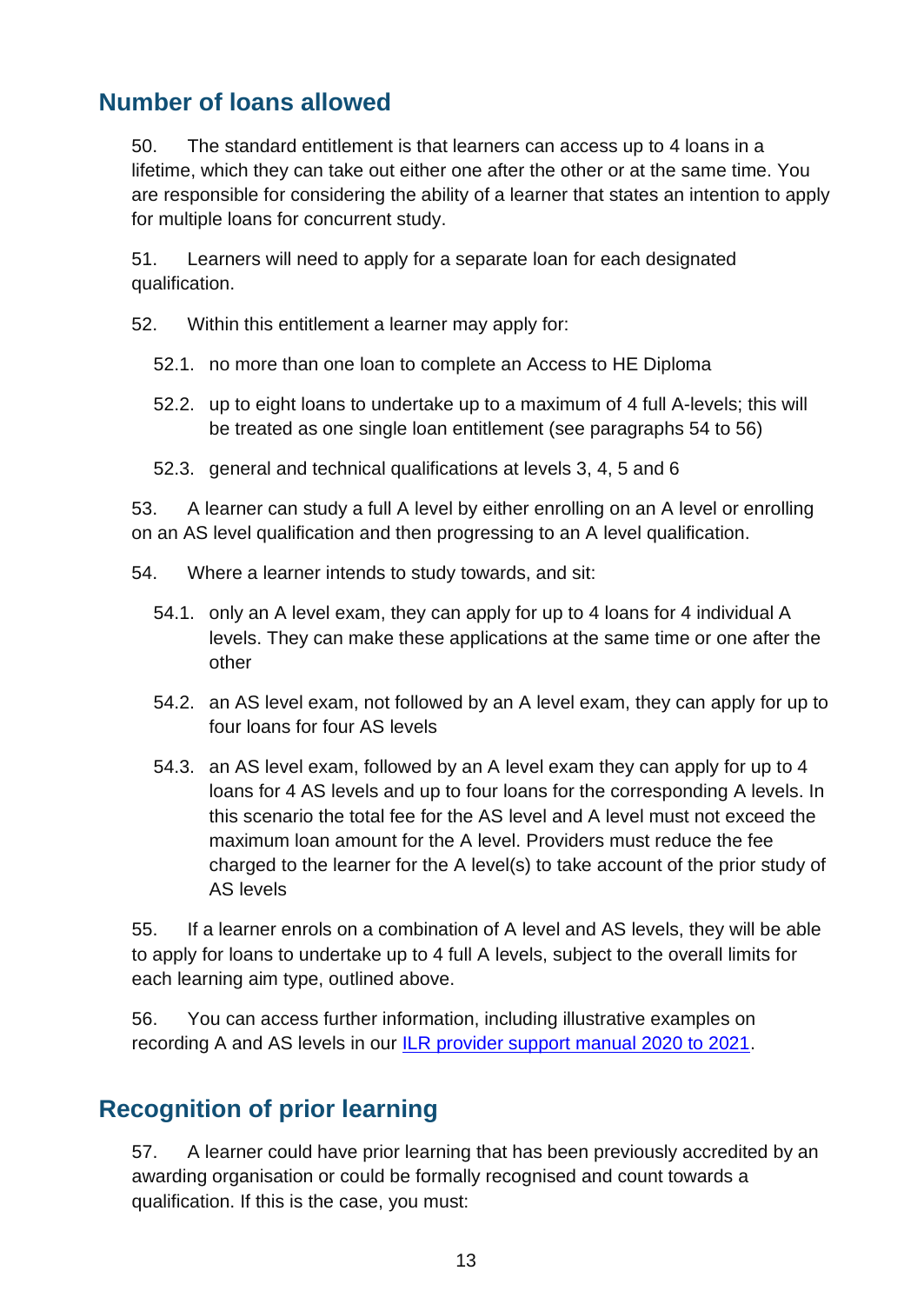#### <span id="page-12-0"></span>**Number of loans allowed**

50. The standard entitlement is that learners can access up to 4 loans in a lifetime, which they can take out either one after the other or at the same time. You are responsible for considering the ability of a learner that states an intention to apply for multiple loans for concurrent study.

51. Learners will need to apply for a separate loan for each designated qualification.

- 52. Within this entitlement a learner may apply for:
	- 52.1. no more than one loan to complete an Access to HE Diploma
	- 52.2. up to eight loans to undertake up to a maximum of 4 full A-levels; this will be treated as one single loan entitlement (see paragraphs 54 to 56)
	- 52.3. general and technical qualifications at levels 3, 4, 5 and 6

53. A learner can study a full A level by either enrolling on an A level or enrolling on an AS level qualification and then progressing to an A level qualification.

- 54. Where a learner intends to study towards, and sit:
	- 54.1. only an A level exam, they can apply for up to 4 loans for 4 individual A levels. They can make these applications at the same time or one after the other
	- 54.2. an AS level exam, not followed by an A level exam, they can apply for up to four loans for four AS levels
	- 54.3. an AS level exam, followed by an A level exam they can apply for up to 4 loans for 4 AS levels and up to four loans for the corresponding A levels. In this scenario the total fee for the AS level and A level must not exceed the maximum loan amount for the A level. Providers must reduce the fee charged to the learner for the A level(s) to take account of the prior study of AS levels

55. If a learner enrols on a combination of A level and AS levels, they will be able to apply for loans to undertake up to 4 full A levels, subject to the overall limits for each learning aim type, outlined above.

56. You can access further information, including illustrative examples on recording A and AS levels in our [ILR provider support manual 2020 to 2021.](https://www.gov.uk/government/collections/individualised-learner-record-ilr)

#### <span id="page-12-1"></span>**Recognition of prior learning**

57. A learner could have prior learning that has been previously accredited by an awarding organisation or could be formally recognised and count towards a qualification. If this is the case, you must: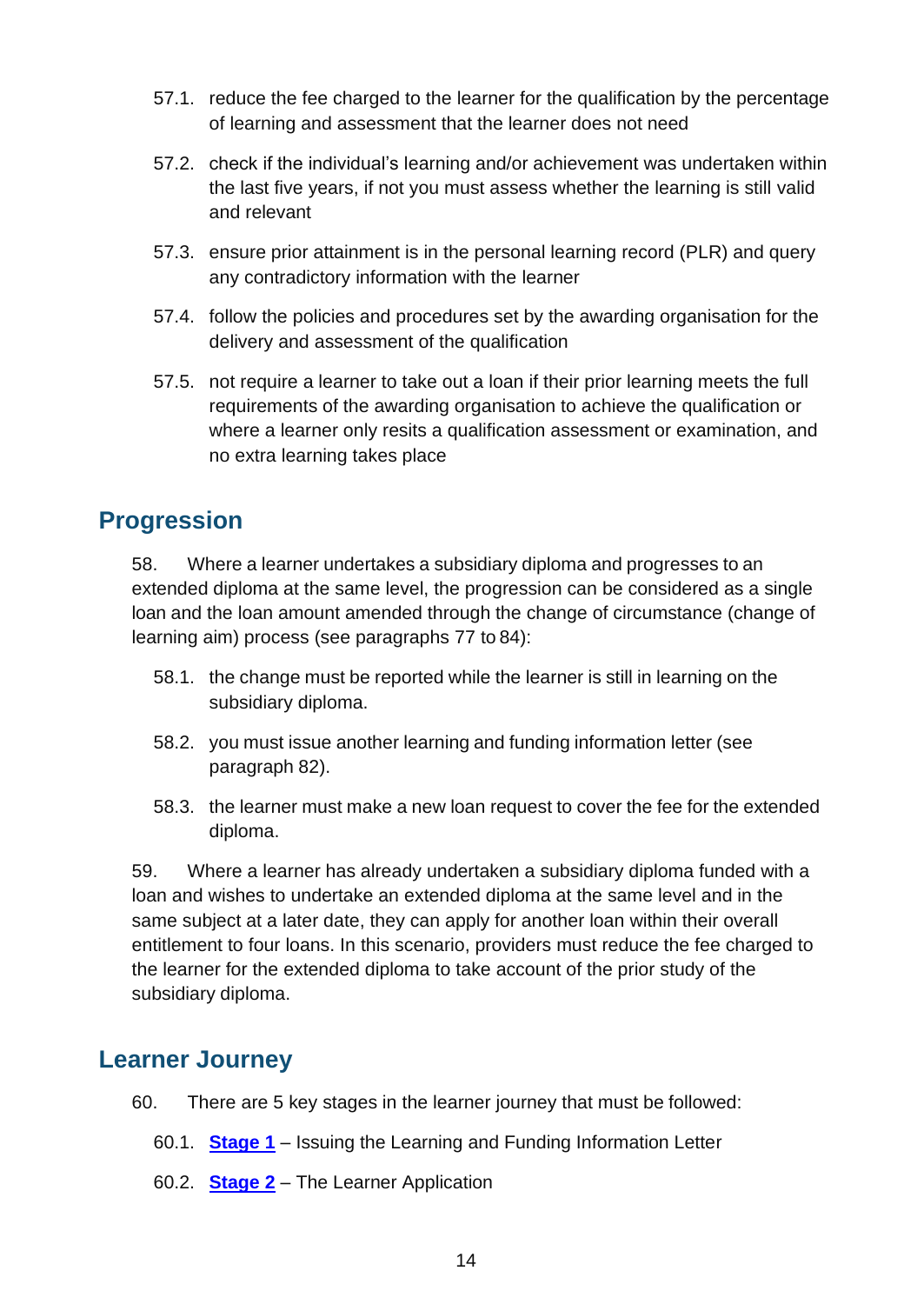- 57.1. reduce the fee charged to the learner for the qualification by the percentage of learning and assessment that the learner does not need
- 57.2. check if the individual's learning and/or achievement was undertaken within the last five years, if not you must assess whether the learning is still valid and relevant
- 57.3. ensure prior attainment is in the personal learning record (PLR) and query any contradictory information with the learner
- 57.4. follow the policies and procedures set by the awarding organisation for the delivery and assessment of the qualification
- 57.5. not require a learner to take out a loan if their prior learning meets the full requirements of the awarding organisation to achieve the qualification or where a learner only resits a qualification assessment or examination, and no extra learning takes place

#### <span id="page-13-0"></span>**Progression**

58. Where a learner undertakes a subsidiary diploma and progresses to an extended diploma at the same level, the progression can be considered as a single loan and the loan amount amended through the change of circumstance (change of learning aim) process (see paragraphs 77 to 84):

- 58.1. the change must be reported while the learner is still in learning on the subsidiary diploma.
- 58.2. you must issue another learning and funding information letter (see paragraph 82).
- 58.3. the learner must make a new loan request to cover the fee for the extended diploma.

59. Where a learner has already undertaken a subsidiary diploma funded with a loan and wishes to undertake an extended diploma at the same level and in the same subject at a later date, they can apply for another loan within their overall entitlement to four loans. In this scenario, providers must reduce the fee charged to the learner for the extended diploma to take account of the prior study of the subsidiary diploma.

#### <span id="page-13-1"></span>**Learner Journey**

- 60. There are 5 key stages in the learner journey that must be followed:
	- 60.1. **[Stage 1](#page-14-0)** Issuing the Learning and Funding Information Letter
	- 60.2. **[Stage 2](#page-15-0)** The Learner Application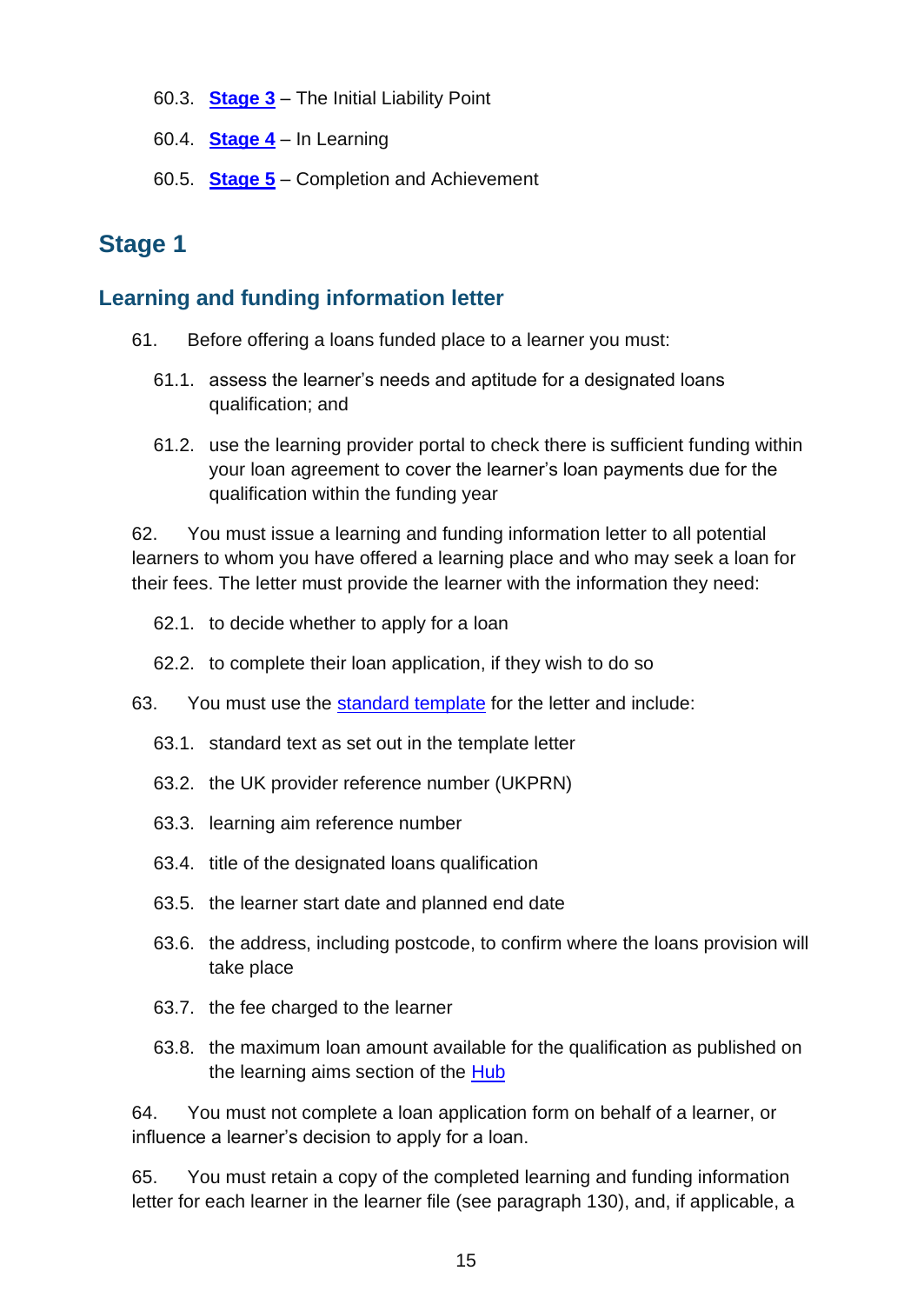- 60.3. **[Stage 3](#page-16-0)** The Initial Liability Point
- 60.4. **[Stage 4](#page-16-2)** In Learning
- 60.5. **[Stage 5](#page-18-2)** Completion and Achievement

#### <span id="page-14-0"></span>**Stage 1**

#### <span id="page-14-1"></span>**Learning and funding information letter**

- 61. Before offering a loans funded place to a learner you must:
	- 61.1. assess the learner's needs and aptitude for a designated loans qualification; and
	- 61.2. use the learning provider portal to check there is sufficient funding within your loan agreement to cover the learner's loan payments due for the qualification within the funding year

62. You must issue a [learning and funding information letter t](https://www.gov.uk/government/publications/24-advanced-learning-loans-funding-information-letter-templates)o all potential learners to whom you have offered a learning place and who may seek a loan for their fees. The letter must provide the learner with the information they need:

- 62.1. to decide whether to apply for a loan
- 62.2. to complete their loan application, if they wish to do so
- 63. You must use the [standard template](https://www.gov.uk/government/publications/24-advanced-learning-loans-funding-information-letter-templates) for the letter and include:
	- 63.1. standard text as set out in the template letter
	- 63.2. the UK provider reference number (UKPRN)
	- 63.3. learning aim reference number
	- 63.4. title of the designated loans qualification
	- 63.5. the learner start date and planned end date
	- 63.6. the address, including postcode, to confirm where the loans provision will take place
	- 63.7. the fee charged to the learner
	- 63.8. the maximum loan amount available for the qualification as published on the learning aims section of the [Hub](https://hub.fasst.org.uk/Pages/default.aspx)

64. You must not complete a loan application form on behalf of a learner, or influence a learner's decision to apply for a loan.

65. You must retain a copy of the completed learning and funding information letter for each learner in the learner file (see paragraph 130), and, if applicable, a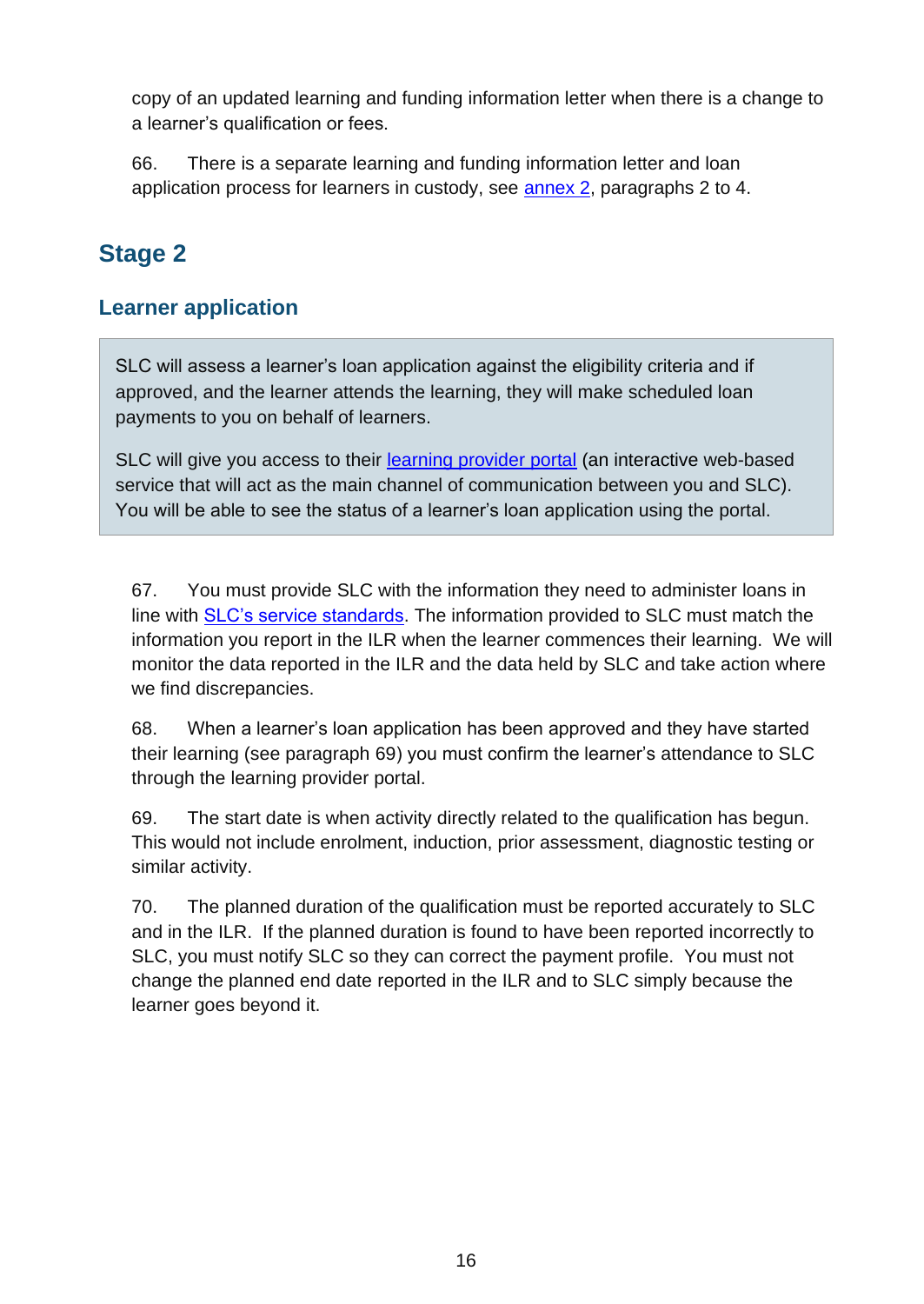copy of an updated learning and funding information letter when there is a change to a learner's qualification or fees.

66. There is a separate learning and funding information letter and loan application process for learners in custody, see [annex 2,](#page-36-0) paragraphs 2 to 4.

## <span id="page-15-0"></span>**Stage 2**

#### <span id="page-15-1"></span>**Learner application**

SLC will assess a learner's loan application against the eligibility criteria and if approved, and the learner attends the learning, they will make scheduled loan payments to you on behalf of learners.

SLC will give you access to their [learning provider portal](http://www.lpservices.slc.co.uk/) (an interactive web-based service that will act as the main channel of communication between you and SLC). You will be able to see the status of a learner's loan application using the portal.

67. You must provide SLC with the information they need to administer loans in line with [SLC's service standards.](http://www.lpservices.slc.co.uk/information-and-guidance/service-standard.aspx) The information provided to SLC must match the information you report in the ILR when the learner commences their learning. We will monitor the data reported in the ILR and the data held by SLC and take action where we find discrepancies.

68. When a learner's loan application has been approved and they have started their learning (see paragraph 69) you must confirm the learner's attendance to SLC through the learning provider portal.

69. The start date is when activity directly related to the qualification has begun. This would not include enrolment, induction, prior assessment, diagnostic testing or similar activity.

70. The planned duration of the qualification must be reported accurately to SLC and in the ILR. If the planned duration is found to have been reported incorrectly to SLC, you must notify SLC so they can correct the payment profile. You must not change the planned end date reported in the ILR and to SLC simply because the learner goes beyond it.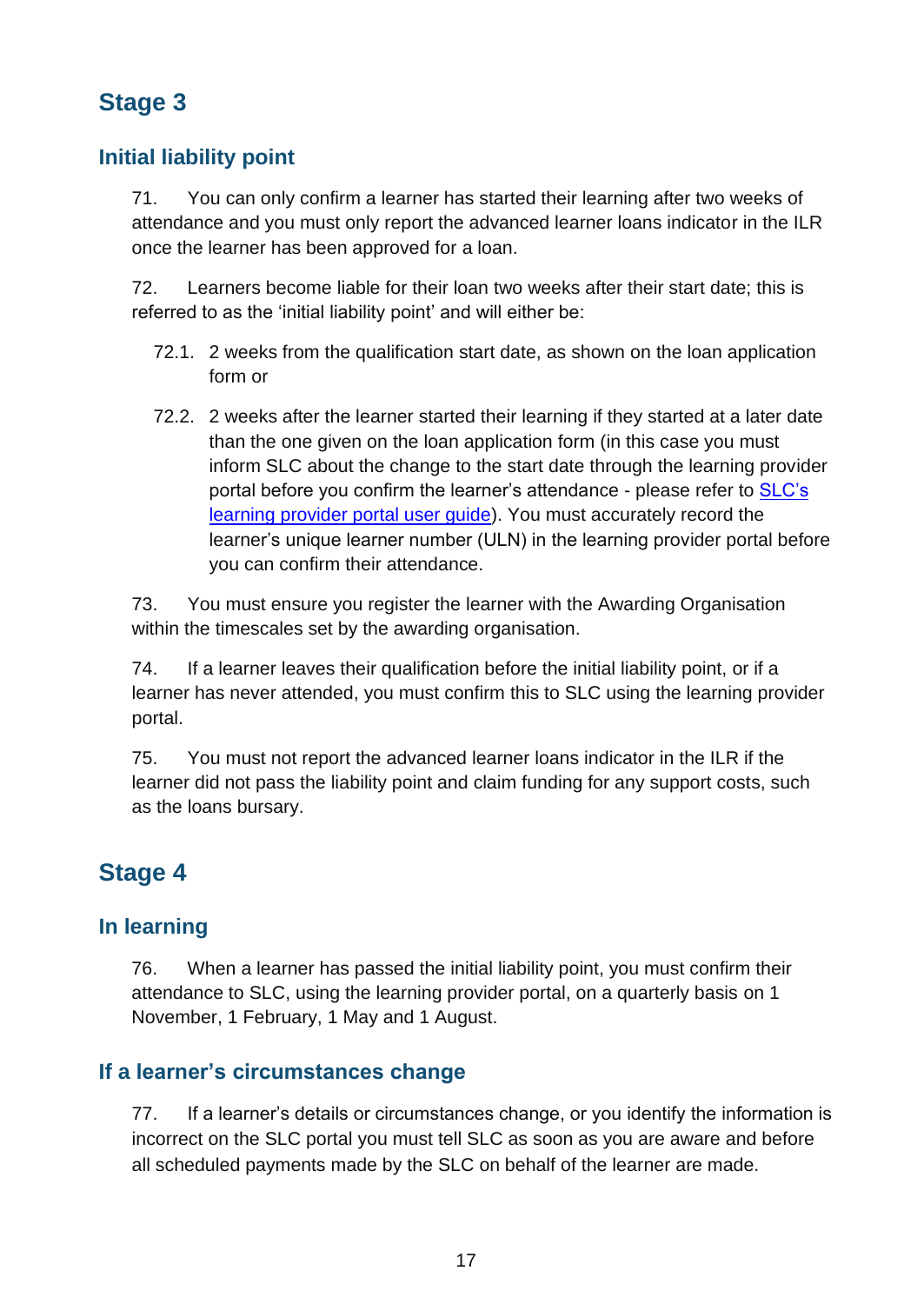## <span id="page-16-0"></span>**Stage 3**

#### <span id="page-16-1"></span>**Initial liability point**

71. You can only confirm a learner has started their learning after two weeks of attendance and you must only report the advanced learner loans indicator in the ILR once the learner has been approved for a loan.

72. Learners become liable for their loan two weeks after their start date; this is referred to as the 'initial liability point' and will either be:

- 72.1. 2 weeks from the qualification start date, as shown on the loan application form or
- 72.2. 2 weeks after the learner started their learning if they started at a later date than the one given on the loan application form (in this case you must inform SLC about the change to the start date through the learning provider portal before you confirm the learner's attendance - please refer to SLC's [learning provider portal user guide\)](https://www.lpservices.slc.co.uk/support-materials-and-resources/user-guides.aspx). You must accurately record the learner's unique learner number (ULN) in the learning provider portal before you can confirm their attendance.

73. You must ensure you register the learner with the Awarding Organisation within the timescales set by the awarding organisation.

74. If a learner leaves their qualification before the initial liability point, or if a learner has never attended, you must confirm this to SLC using the learning provider portal.

75. You must not report the advanced learner loans indicator in the ILR if the learner did not pass the liability point and claim funding for any support costs, such as the loans bursary.

#### <span id="page-16-2"></span>**Stage 4**

#### <span id="page-16-3"></span>**In learning**

76. When a learner has passed the initial liability point, you must confirm their attendance to SLC, using the learning provider portal, on a quarterly basis on 1 November, 1 February, 1 May and 1 August.

#### <span id="page-16-4"></span>**If a learner's circumstances change**

77. If a learner's details or circumstances change, or you identify the information is incorrect on the SLC portal you must tell SLC as soon as you are aware and before all scheduled payments made by the SLC on behalf of the learner are made.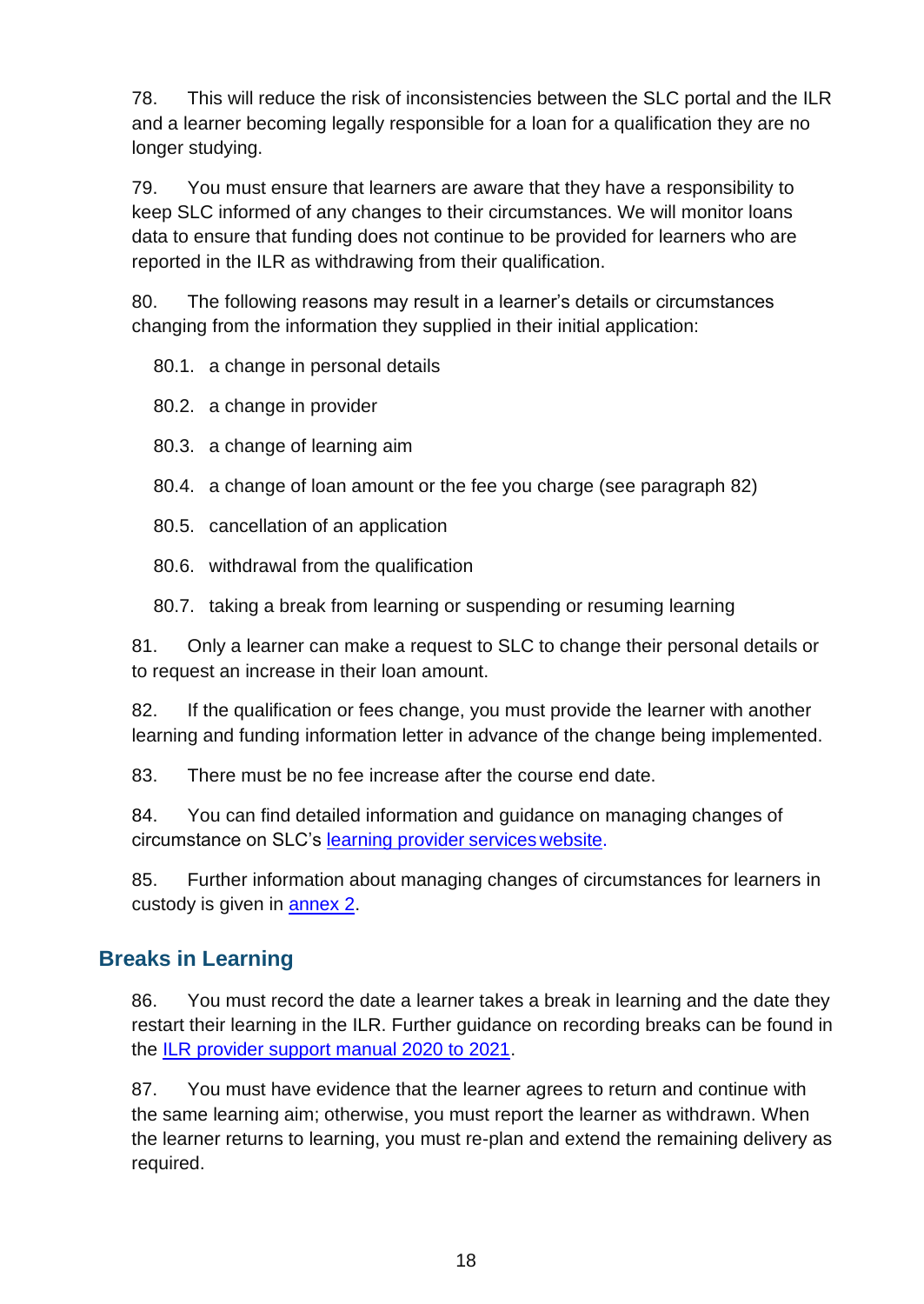78. This will reduce the risk of inconsistencies between the SLC portal and the ILR and a learner becoming legally responsible for a loan for a qualification they are no longer studying.

79. You must ensure that learners are aware that they have a responsibility to keep SLC informed of any changes to their circumstances. We will monitor loans data to ensure that funding does not continue to be provided for learners who are reported in the ILR as withdrawing from their qualification.

80. The following reasons may result in a learner's details or circumstances changing from the information they supplied in their initial application:

80.1. a change in personal details

80.2. a change in provider

80.3. a change of learning aim

80.4. a change of loan amount or the fee you charge (see paragraph 82)

80.5. cancellation of an application

80.6. withdrawal from the qualification

80.7. taking a break from learning or suspending or resuming learning

81. Only a learner can make a request to SLC to change their personal details or to request an increase in their loan amount.

82. If the qualification or fees change, you must provide the learner with another learning and funding information letter in advance of the change being implemented.

83. There must be no fee increase after the course end date.

84. You can find detailed information and guidance on managing changes of circumstance on SLC's learning provider [serviceswebsite.](http://www.lpservices.slc.co.uk/)

85. Further information about managing changes of circumstances for learners in custody is given in [annex](#page-36-0) 2.

#### <span id="page-17-0"></span>**Breaks in Learning**

86. You must record the date a learner takes a break in learning and the date they restart their learning in the ILR. Further guidance on recording breaks can be found in the [ILR provider support manual 2020 to 2021.](https://www.gov.uk/government/collections/individualised-learner-record-ilr)

87. You must have evidence that the learner agrees to return and continue with the same learning aim; otherwise, you must report the learner as withdrawn. When the learner returns to learning, you must re-plan and extend the remaining delivery as required.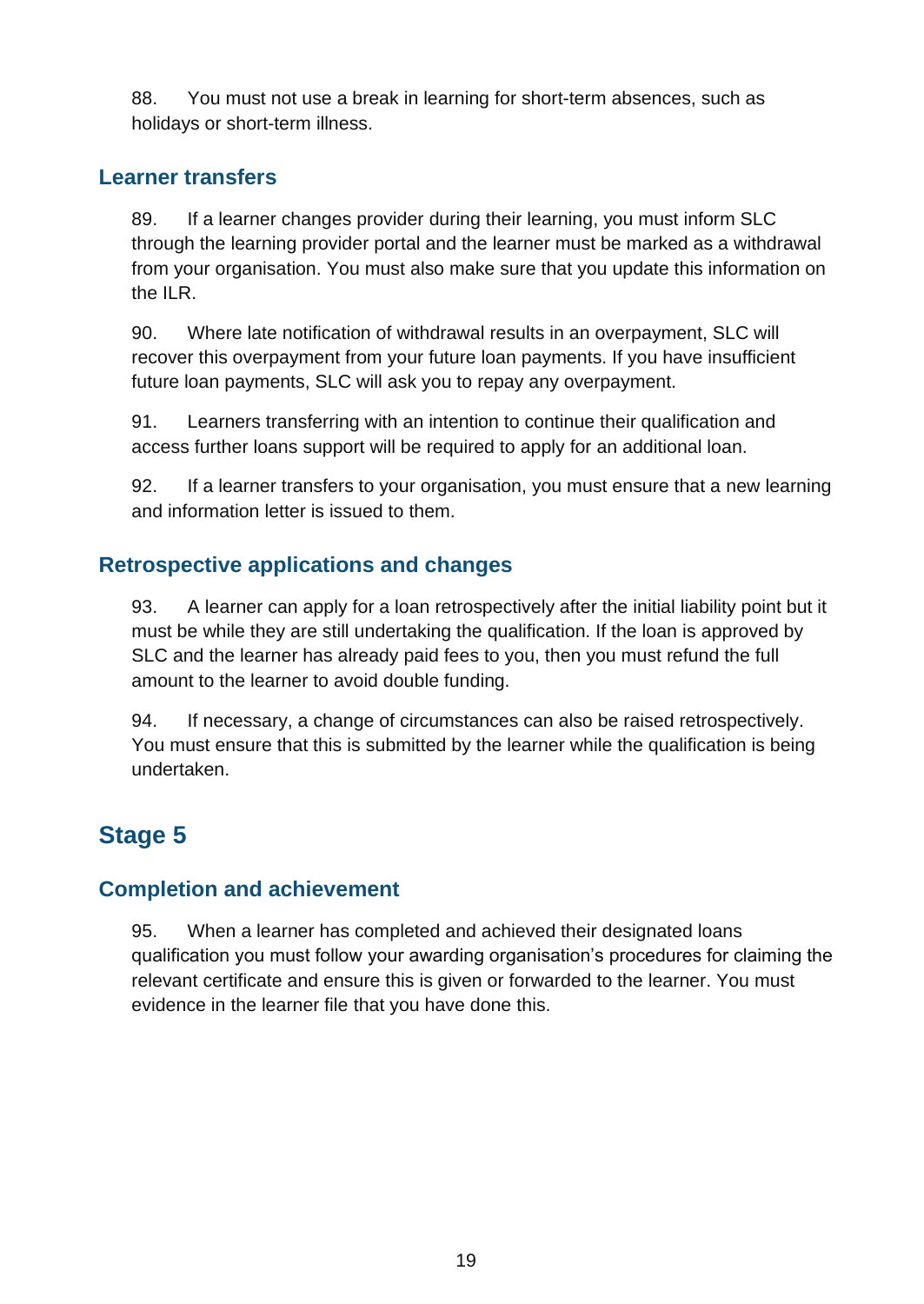88. You must not use a break in learning for short-term absences, such as holidays or short-term illness.

#### <span id="page-18-0"></span>**Learner transfers**

89. If a learner changes provider during their learning, you must inform SLC through the learning provider portal and the learner must be marked as a withdrawal from your organisation. You must also make sure that you update this information on the ILR.

90. Where late notification of withdrawal results in an overpayment, SLC will recover this overpayment from your future loan payments. If you have insufficient future loan payments, SLC will ask you to repay any overpayment.

91. Learners transferring with an intention to continue their qualification and access further loans support will be required to apply for an additional loan.

92. If a learner transfers to your organisation, you must ensure that a new learning and information letter is issued to them.

#### <span id="page-18-1"></span>**Retrospective applications and changes**

93. A learner can apply for a loan retrospectively after the initial liability point but it must be while they are still undertaking the qualification. If the loan is approved by SLC and the learner has already paid fees to you, then you must refund the full amount to the learner to avoid double funding.

94. If necessary, a change of circumstances can also be raised retrospectively. You must ensure that this is submitted by the learner while the qualification is being undertaken.

## <span id="page-18-2"></span>**Stage 5**

#### <span id="page-18-3"></span>**Completion and achievement**

95. When a learner has completed and achieved their designated loans qualification you must follow your awarding organisation's procedures for claiming the relevant certificate and ensure this is given or forwarded to the learner. You must evidence in the learner file that you have done this.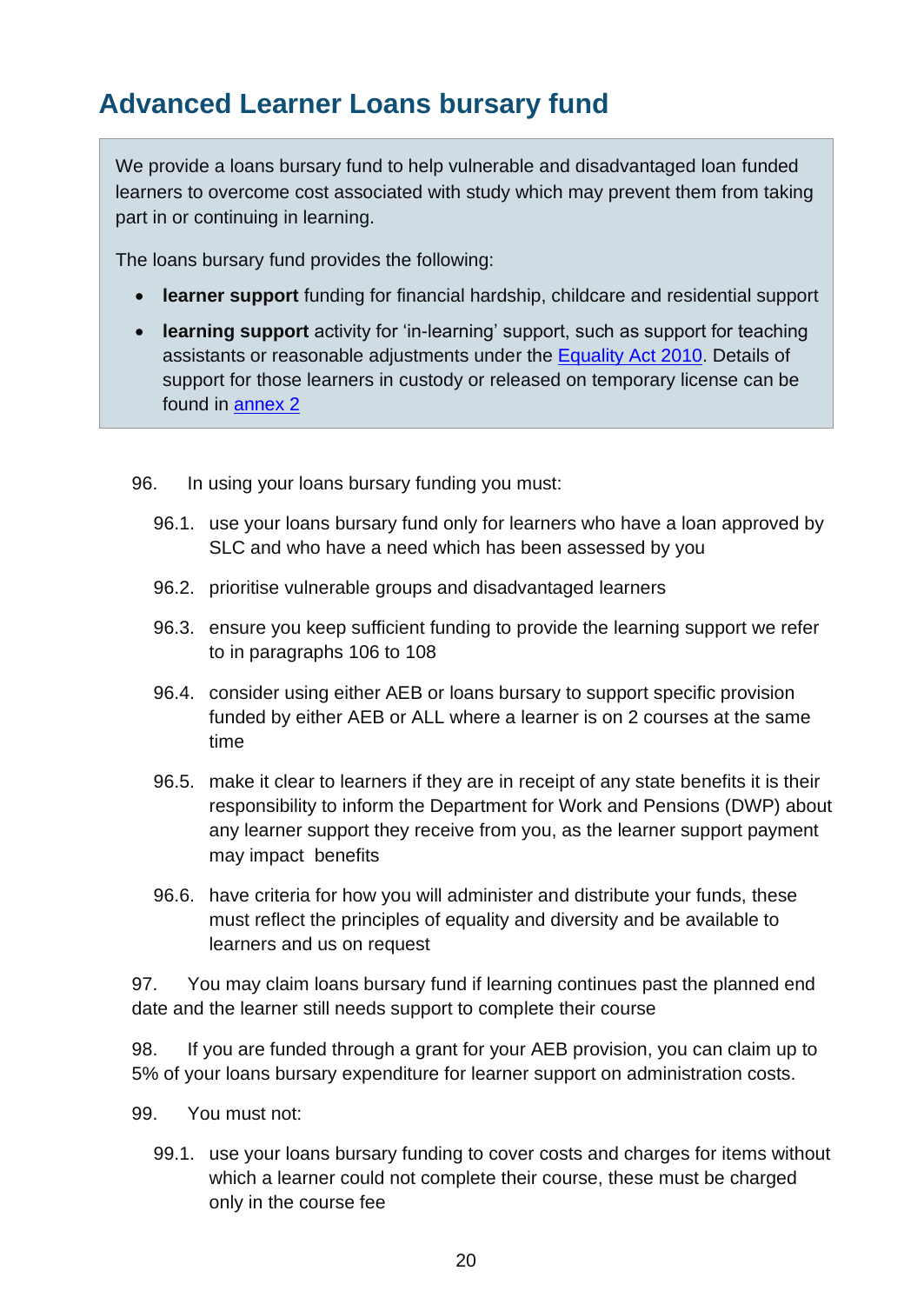## <span id="page-19-0"></span>**Advanced Learner Loans bursary fund**

We provide a loans bursary fund to help vulnerable and disadvantaged loan funded learners to overcome cost associated with study which may prevent them from taking part in or continuing in learning.

The loans bursary fund provides the following:

- **learner support** funding for financial hardship, childcare and residential support
- **learning support** activity for 'in-learning' support, such as support for teaching assistants or reasonable adjustments under the [Equality Act 2010.](http://www.legislation.gov.uk/ukpga/2010/15/contents) Details of support for those learners in custody or released on temporary license can be found in [annex 2](#page-36-0)
- 96. In using your loans bursary funding you must:
	- 96.1. use your loans bursary fund only for learners who have a loan approved by SLC and who have a need which has been assessed by you
	- 96.2. prioritise vulnerable groups and disadvantaged learners
	- 96.3. ensure you keep sufficient funding to provide the learning support we refer to in paragraphs 106 to 108
	- 96.4. consider using either AEB or loans bursary to support specific provision funded by either AEB or ALL where a learner is on 2 courses at the same time
	- 96.5. make it clear to learners if they are in receipt of any state benefits it is their responsibility to inform the Department for Work and Pensions (DWP) about any learner support they receive from you, as the learner support payment may impact benefits
	- 96.6. have criteria for how you will administer and distribute your funds, these must reflect the principles of equality and diversity and be available to learners and us on request

97. You may claim loans bursary fund if learning continues past the planned end date and the learner still needs support to complete their course

98. If you are funded through a grant for your AEB provision, you can claim up to 5% of your loans bursary expenditure for learner support on administration costs.

- 99. You must not:
	- 99.1. use your loans bursary funding to cover costs and charges for items without which a learner could not complete their course, these must be charged only in the course fee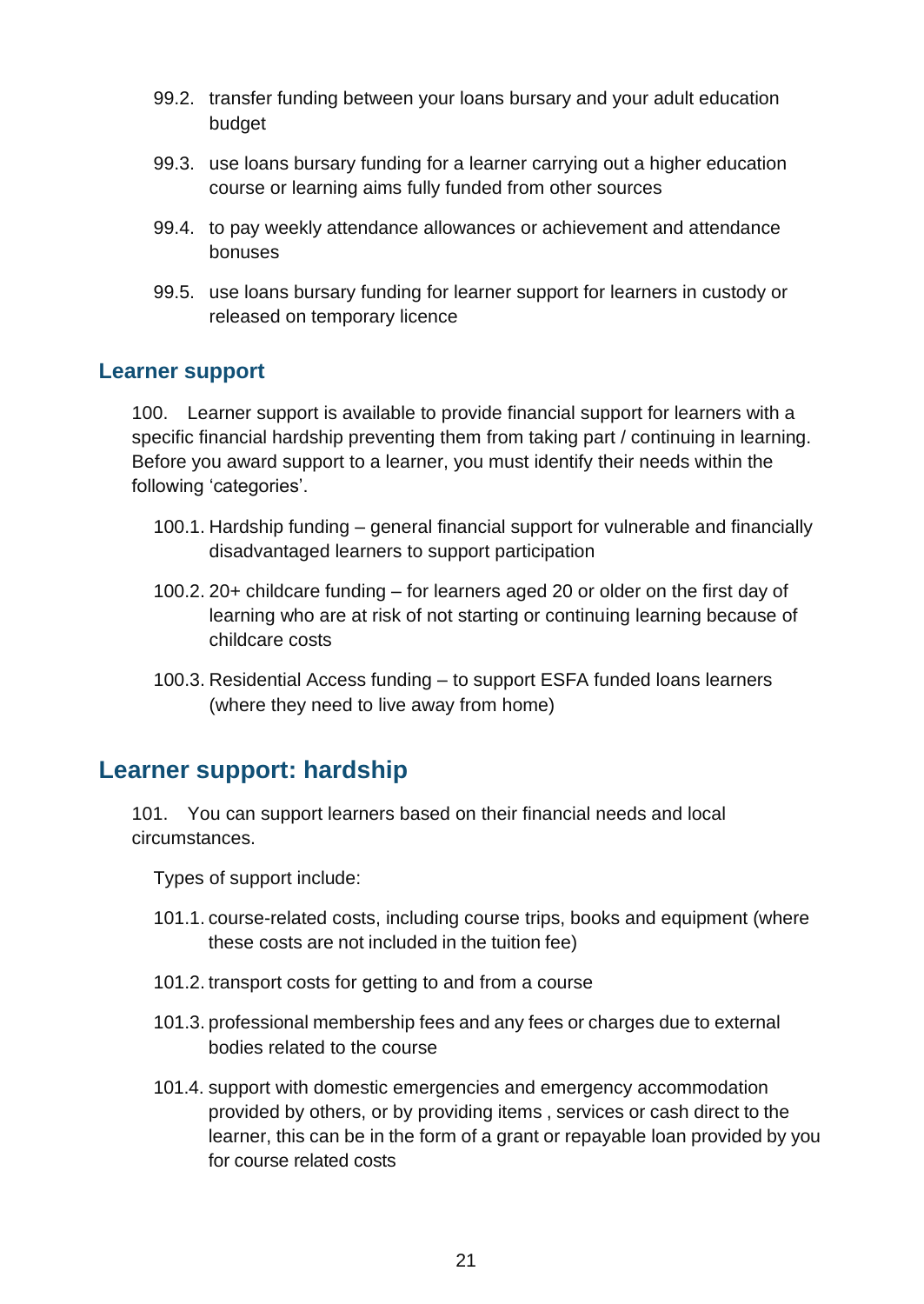- 99.2. transfer funding between your loans bursary and your adult education budget
- 99.3. use loans bursary funding for a learner carrying out a higher education course or learning aims fully funded from other sources
- 99.4. to pay weekly attendance allowances or achievement and attendance bonuses
- 99.5. use loans bursary funding for learner support for learners in custody or released on temporary licence

#### <span id="page-20-0"></span>**Learner support**

100. Learner support is available to provide financial support for learners with a specific financial hardship preventing them from taking part / continuing in learning. Before you award support to a learner, you must identify their needs within the following 'categories'.

- 100.1. Hardship funding general financial support for vulnerable and financially disadvantaged learners to support participation
- 100.2. 20+ childcare funding for learners aged 20 or older on the first day of learning who are at risk of not starting or continuing learning because of childcare costs
- 100.3. Residential Access funding to support ESFA funded loans learners (where they need to live away from home)

#### <span id="page-20-1"></span>**Learner support: hardship**

101. You can support learners based on their financial needs and local circumstances.

Types of support include:

- 101.1. course-related costs, including course trips, books and equipment (where these costs are not included in the tuition fee)
- 101.2. transport costs for getting to and from a course
- 101.3. professional membership fees and any fees or charges due to external bodies related to the course
- 101.4. support with domestic emergencies and emergency accommodation provided by others, or by providing items , services or cash direct to the learner, this can be in the form of a grant or repayable loan provided by you for course related costs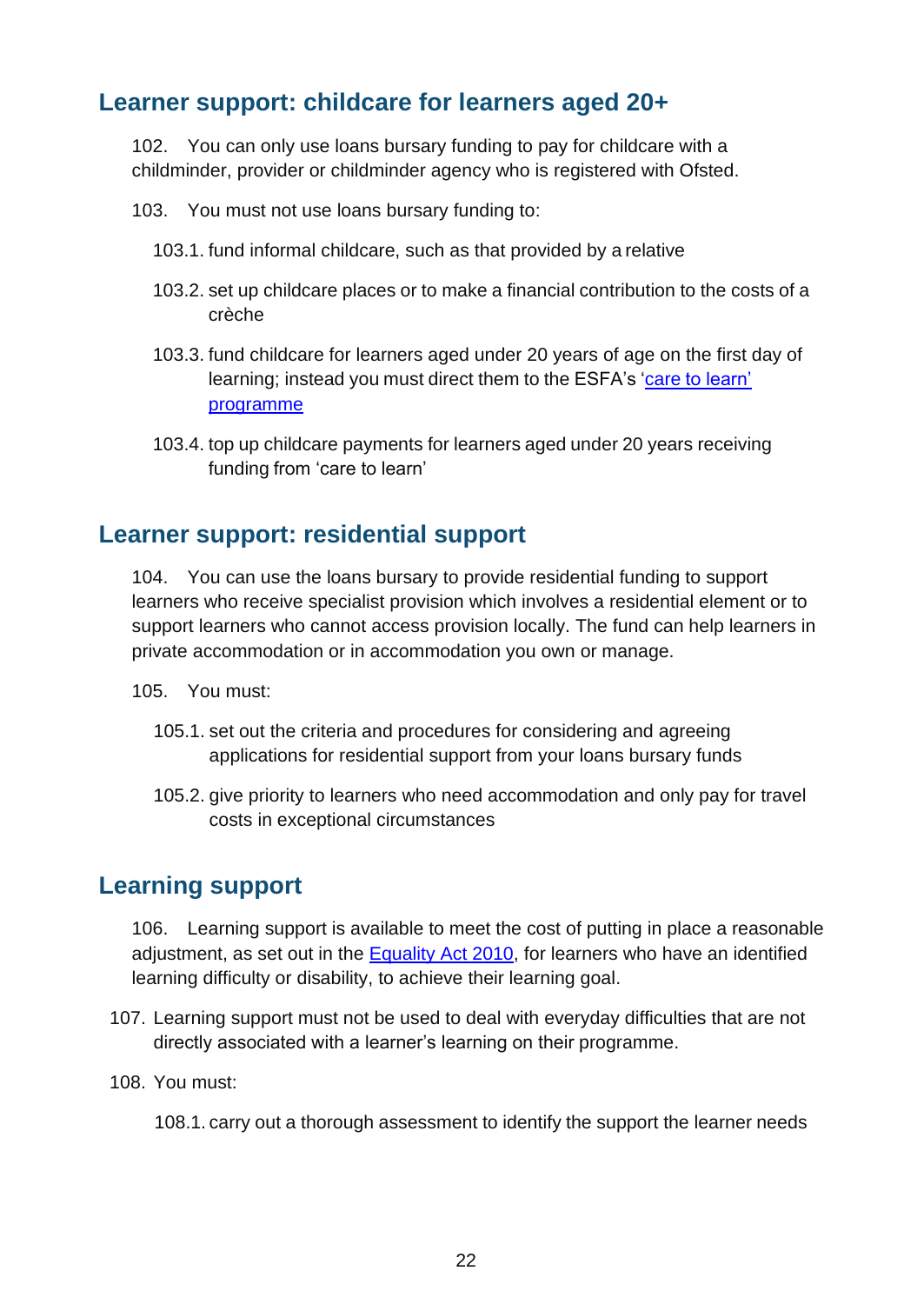#### <span id="page-21-0"></span>**Learner support: childcare for learners aged 20+**

102. You can only use loans bursary funding to pay for childcare with a childminder, provider or childminder agency who is registered with Ofsted.

- 103. You must not use loans bursary funding to:
	- 103.1. fund informal childcare, such as that provided by a relative
	- 103.2. set up childcare places or to make a financial contribution to the costs of a crèche
	- 103.3. fund childcare for learners aged under 20 years of age on the first day of learning; instead you must direct them to the [ESFA's](https://www.gov.uk/guidance/16-to-19-education-financial-support-for-students) 'care [to learn'](https://www.gov.uk/care-to-learn) [programme](https://www.gov.uk/care-to-learn)
	- 103.4. top up childcare payments for learners aged under 20 years receiving funding from 'care to learn'

#### <span id="page-21-1"></span>**Learner support: residential support**

104. You can use the loans bursary to provide residential funding to support learners who receive specialist provision which involves a residential element or to support learners who cannot access provision locally. The fund can help learners in private accommodation or in accommodation you own or manage.

- 105. You must:
	- 105.1. set out the criteria and procedures for considering and agreeing applications for residential support from your loans bursary funds
	- 105.2. give priority to learners who need accommodation and only pay for travel costs in exceptional circumstances

#### <span id="page-21-2"></span>**Learning support**

106. Learning support is available to meet the cost of putting in place a reasonable adjustment, as set out in the [Equality Act 2010,](http://www.legislation.gov.uk/ukpga/2010/15/contents) for learners who have an identified learning difficulty or disability, to achieve their learning goal.

- 107. Learning support must not be used to deal with everyday difficulties that are not directly associated with a learner's learning on their programme.
- 108. You must:

108.1. carry out a thorough assessment to identify the support the learner needs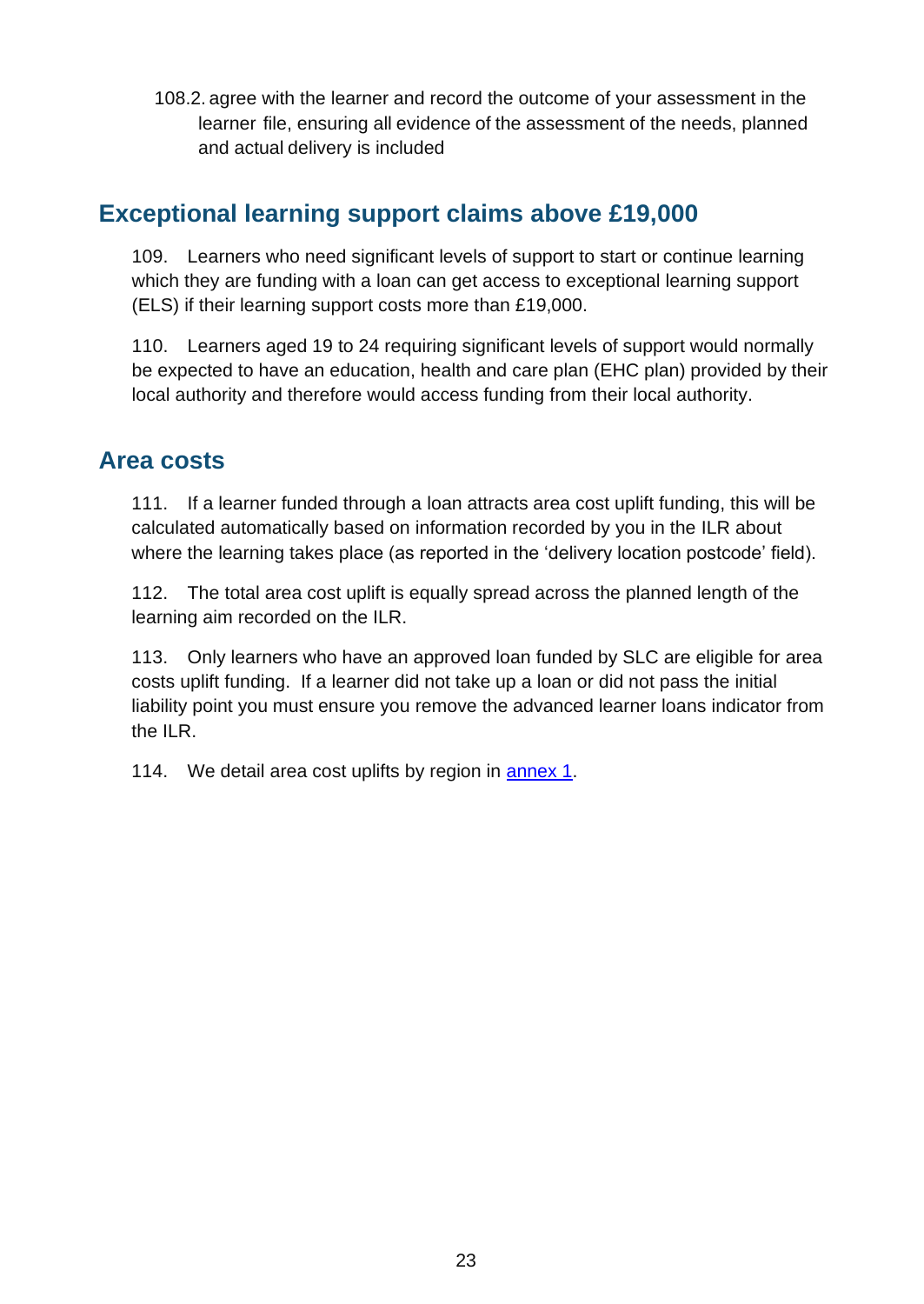108.2. agree with the learner and record the outcome of your assessment in the learner file, ensuring all evidence of the assessment of the needs, planned and actual delivery is included

#### <span id="page-22-0"></span>**Exceptional learning support claims above £19,000**

109. Learners who need significant levels of support to start or continue learning which they are funding with a loan can get access to exceptional learning support (ELS) if their learning support costs more than £19,000.

110. Learners aged 19 to 24 requiring significant levels of support would normally be expected to have an education, health and care plan (EHC plan) provided by their local authority and therefore would access funding from their local authority.

#### <span id="page-22-1"></span>**Area costs**

111. If a learner funded through a loan attracts area cost uplift funding, this will be calculated automatically based on information recorded by you in the [ILR a](https://www.gov.uk/government/collections/individualised-learner-record-ilr)bout where the learning takes place (as reported in the 'delivery location postcode' field).

112. The total area cost uplift is equally spread across the planned length of the learning aim recorded on the ILR.

113. Only learners who have an approved loan funded by SLC are eligible for area costs uplift funding. If a learner did not take up a loan or did not pass the initial liability point you must ensure you remove the advanced learner loans indicator from the ILR.

114. We detail area cost uplifts by region in [annex](#page-34-0) 1.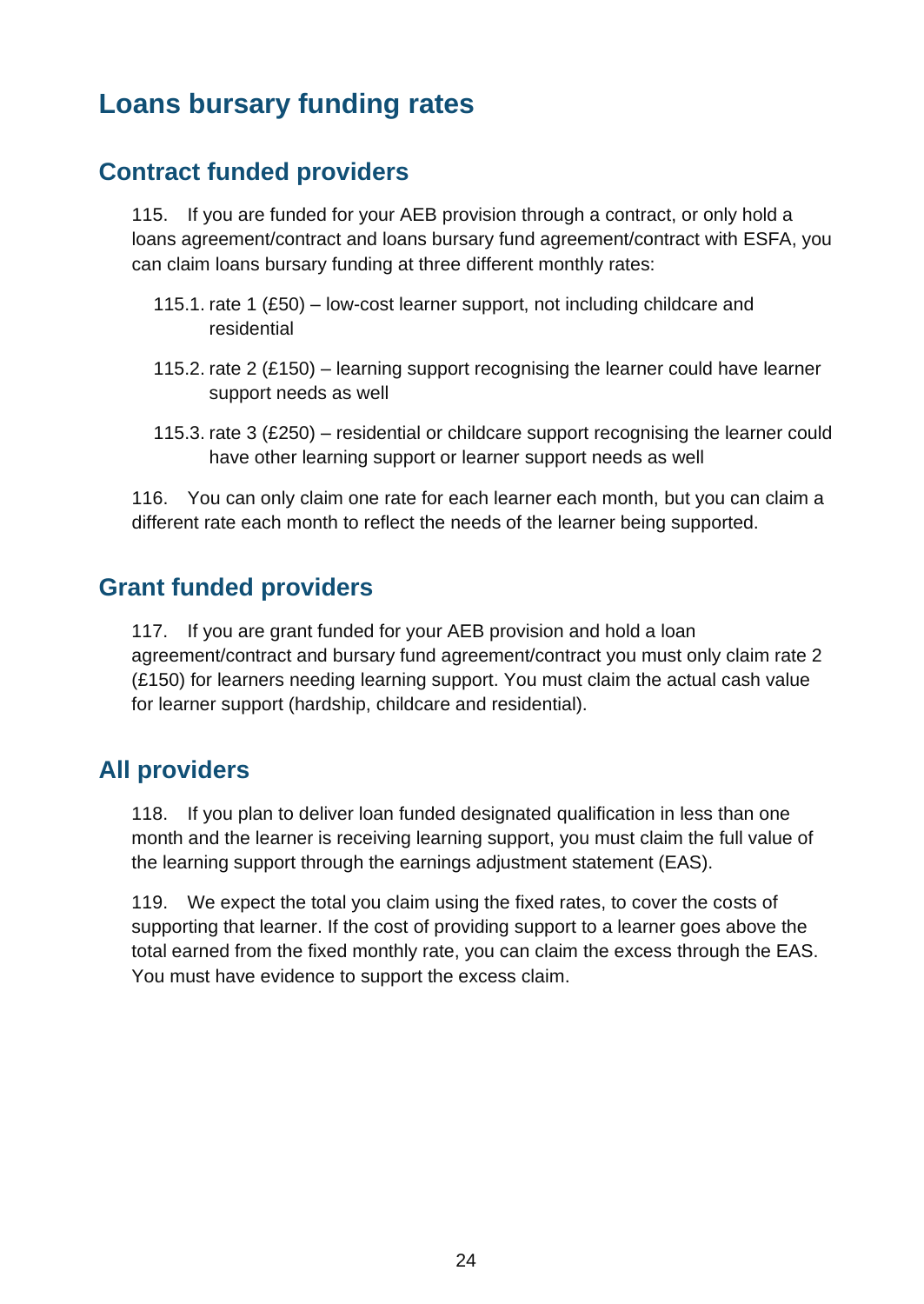## <span id="page-23-0"></span>**Loans bursary funding rates**

#### <span id="page-23-1"></span>**Contract funded providers**

115. If you are funded for your AEB provision through a contract, or only hold a loans agreement/contract and loans bursary fund agreement/contract with ESFA, you can claim loans bursary funding at three different monthly rates:

- 115.1. rate 1 (£50) low-cost learner support, not including childcare and residential
- 115.2. rate 2 (£150) learning support recognising the learner could have learner support needs as well
- 115.3. rate 3 (£250) residential or childcare support recognising the learner could have other learning support or learner support needs as well

116. You can only claim one rate for each learner each month, but you can claim a different rate each month to reflect the needs of the learner being supported.

#### <span id="page-23-2"></span>**Grant funded providers**

117. If you are grant funded for your AEB provision and hold a loan agreement/contract and bursary fund agreement/contract you must only claim rate 2 (£150) for learners needing learning support. You must claim the actual cash value for learner support (hardship, childcare and residential).

#### <span id="page-23-3"></span>**All providers**

118. If you plan to deliver loan funded designated qualification in less than one month and the learner is receiving learning support, you must claim the full value of the learning support through the earnings adjustment statement (EAS).

119. We expect the total you claim using the fixed rates, to cover the costs of supporting that learner. If the cost of providing support to a learner goes above the total earned from the fixed monthly rate, you can claim the excess through the EAS. You must have evidence to support the excess claim.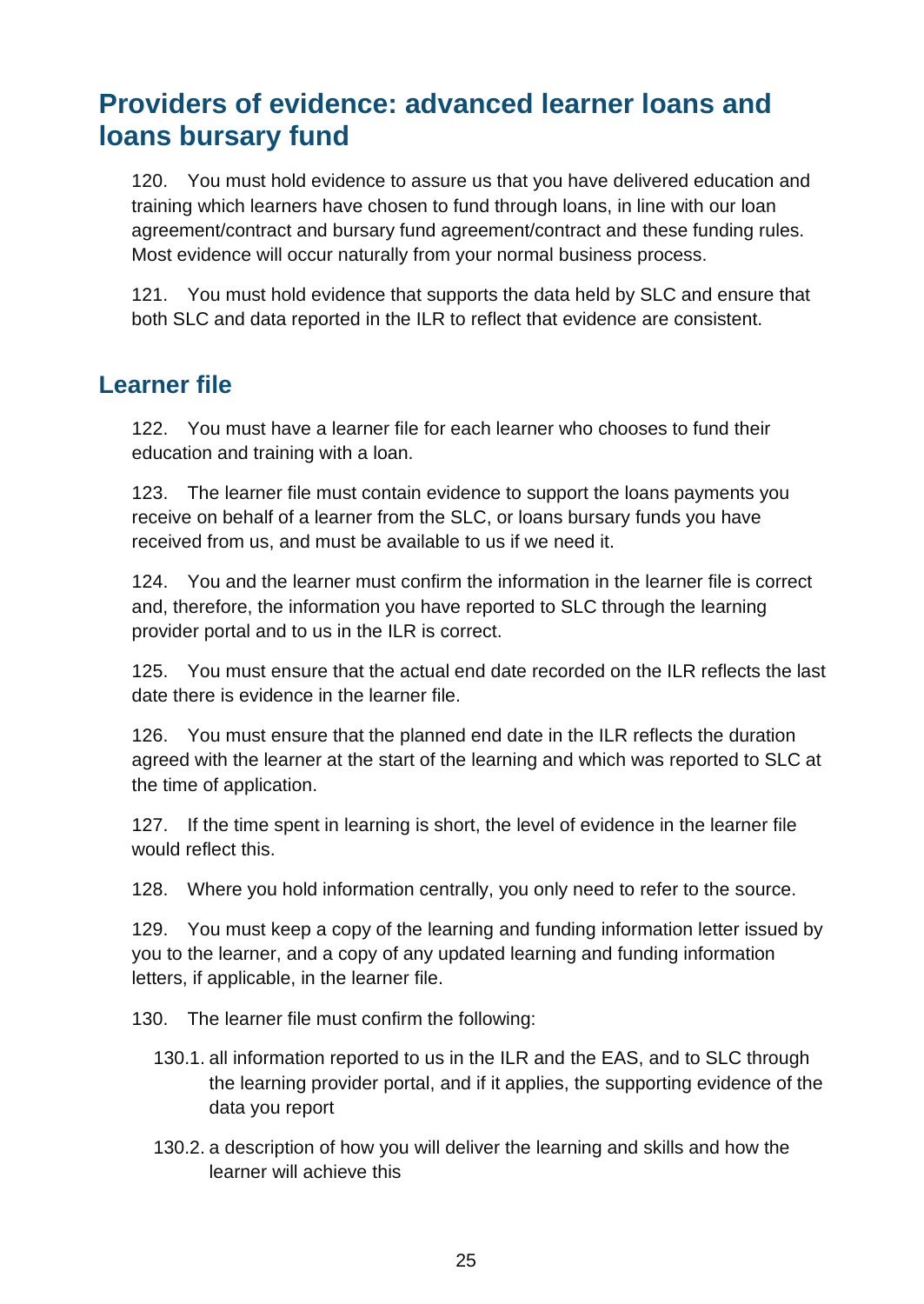## <span id="page-24-0"></span>**Providers of evidence: advanced learner loans and loans bursary fund**

120. You must hold evidence to assure us that you have delivered education and training which learners have chosen to fund through loans, in line with our loan agreement/contract and bursary fund agreement/contract and these funding rules. Most evidence will occur naturally from your normal business process.

121. You must hold evidence that supports the data held by SLC and ensure that both SLC and data reported in the ILR to reflect that evidence are consistent.

#### <span id="page-24-1"></span>**Learner file**

122. You must have a learner file for each learner who chooses to fund their education and training with a loan.

123. The learner file must contain evidence to support the loans payments you receive on behalf of a learner from the SLC, or loans bursary funds you have received from us, and must be available to us if we need it.

124. You and the learner must confirm the information in the learner file is correct and, therefore, the information you have reported to SLC through the learning provider portal and to us in the ILR is correct.

125. You must ensure that the actual end date recorded on the ILR reflects the last date there is evidence in the learner file.

126. You must ensure that the planned end date in the ILR reflects the duration agreed with the learner at the start of the learning and which was reported to SLC at the time of application.

127. If the time spent in learning is short, the level of evidence in the learner file would reflect this.

128. Where you hold information centrally, you only need to refer to the source.

129. You must keep a copy of the learning and funding information letter issued by you to the learner, and a copy of any updated learning and funding information letters, if applicable, in the learner file.

130. The learner file must confirm the following:

- 130.1. all information reported to us in the ILR and the EAS, and to SLC through the learning provider portal, and if it applies, the supporting evidence of the data you report
- 130.2. a description of how you will deliver the learning and skills and how the learner will achieve this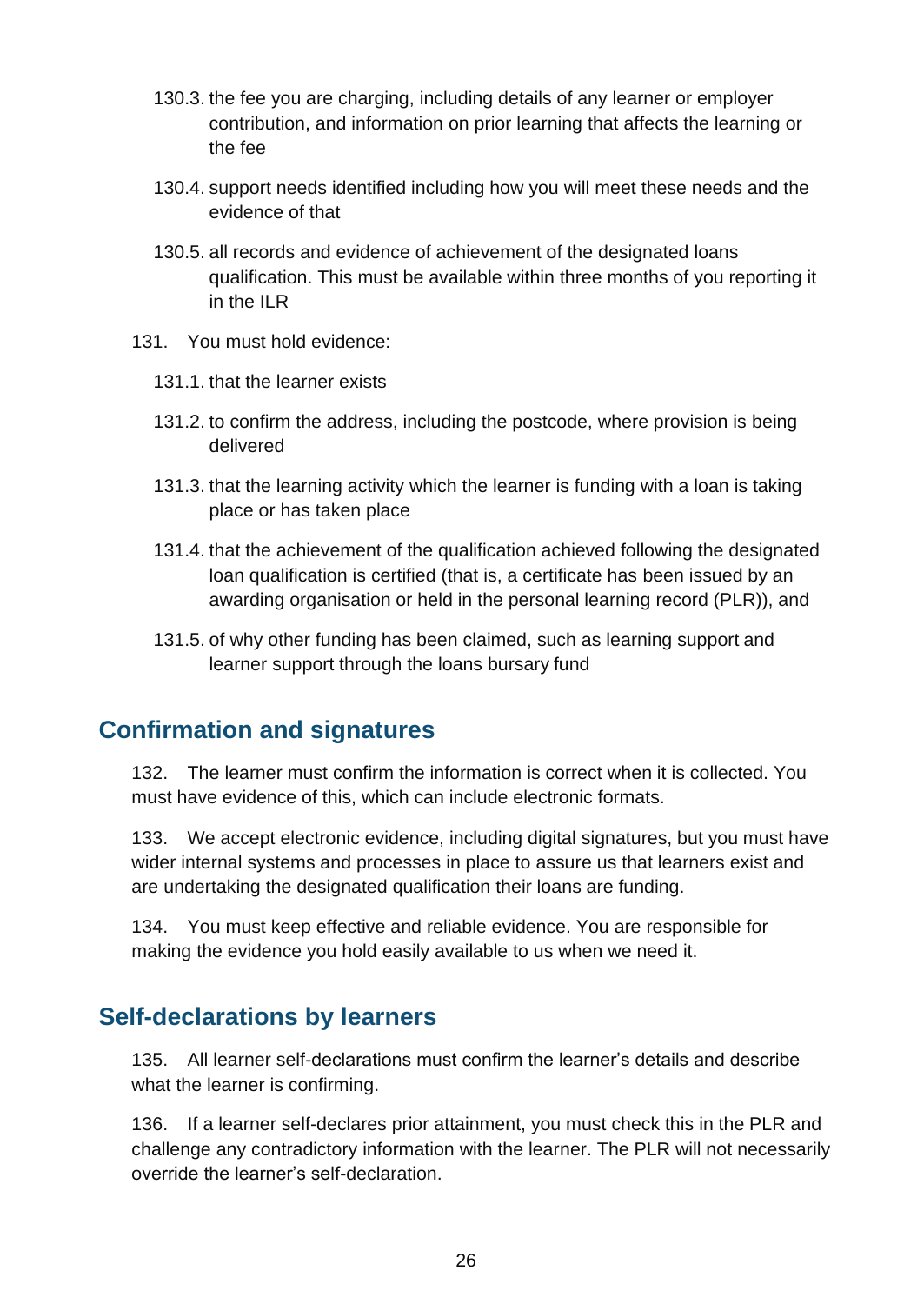- 130.3. the fee you are charging, including details of any learner or employer contribution, and information on prior learning that affects the learning or the fee
- 130.4. support needs identified including how you will meet these needs and the evidence of that
- 130.5. all records and evidence of achievement of the designated loans qualification. This must be available within three months of you reporting it in the ILR
- 131. You must hold evidence:
	- 131.1. that the learner exists
	- 131.2. to confirm the address, including the postcode, where provision is being delivered
	- 131.3. that the learning activity which the learner is funding with a loan is taking place or has taken place
	- 131.4. that the achievement of the qualification achieved following the designated loan qualification is certified (that is, a certificate has been issued by an awarding organisation or held in the personal learning record (PLR)), and
	- 131.5. of why other funding has been claimed, such as learning support and learner support through the loans bursary fund

#### <span id="page-25-0"></span>**Confirmation and signatures**

132. The learner must confirm the information is correct when it is collected. You must have evidence of this, which can include electronic formats.

133. We accept electronic evidence, including digital signatures, but you must have wider internal systems and processes in place to assure us that learners exist and are undertaking the designated qualification their loans are funding.

134. You must keep effective and reliable evidence. You are responsible for making the evidence you hold easily available to us when we need it.

#### <span id="page-25-1"></span>**Self-declarations by learners**

135. All learner self-declarations must confirm the learner's details and describe what the learner is confirming.

136. If a learner self-declares prior attainment, you must check this in the PLR and challenge any contradictory information with the learner. The PLR will not necessarily override the learner's self-declaration.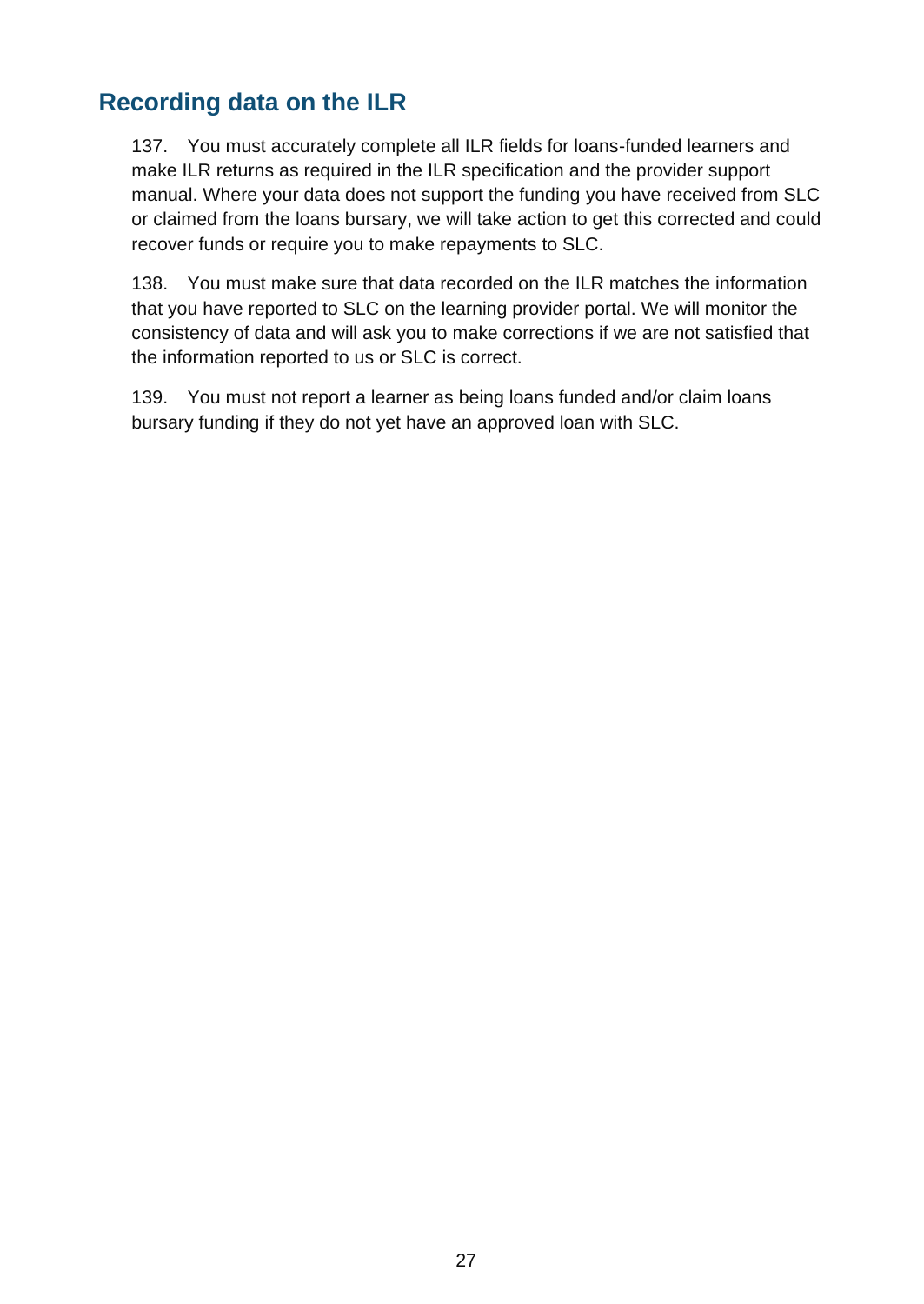#### <span id="page-26-0"></span>**Recording data on the ILR**

137. You must accurately complete all ILR fields for loans-funded learners and make ILR returns as required in [the ILR specification](https://www.gov.uk/government/publications/ilr-specification-validation-rules-and-appendices-2016-to-2017) and the provider support manual. Where your data does not support the funding you have received from SLC or claimed from the loans bursary, we will take action to get this corrected and could recover funds or require you to make repayments to SLC.

138. You must make sure that data recorded on the ILR matches the information that you have reported to SLC on the learning provider portal. We will monitor the consistency of data and will ask you to make corrections if we are not satisfied that the information reported to us or SLC is correct.

139. You must not report a learner as being loans funded and/or claim loans bursary funding if they do not yet have an approved loan with SLC.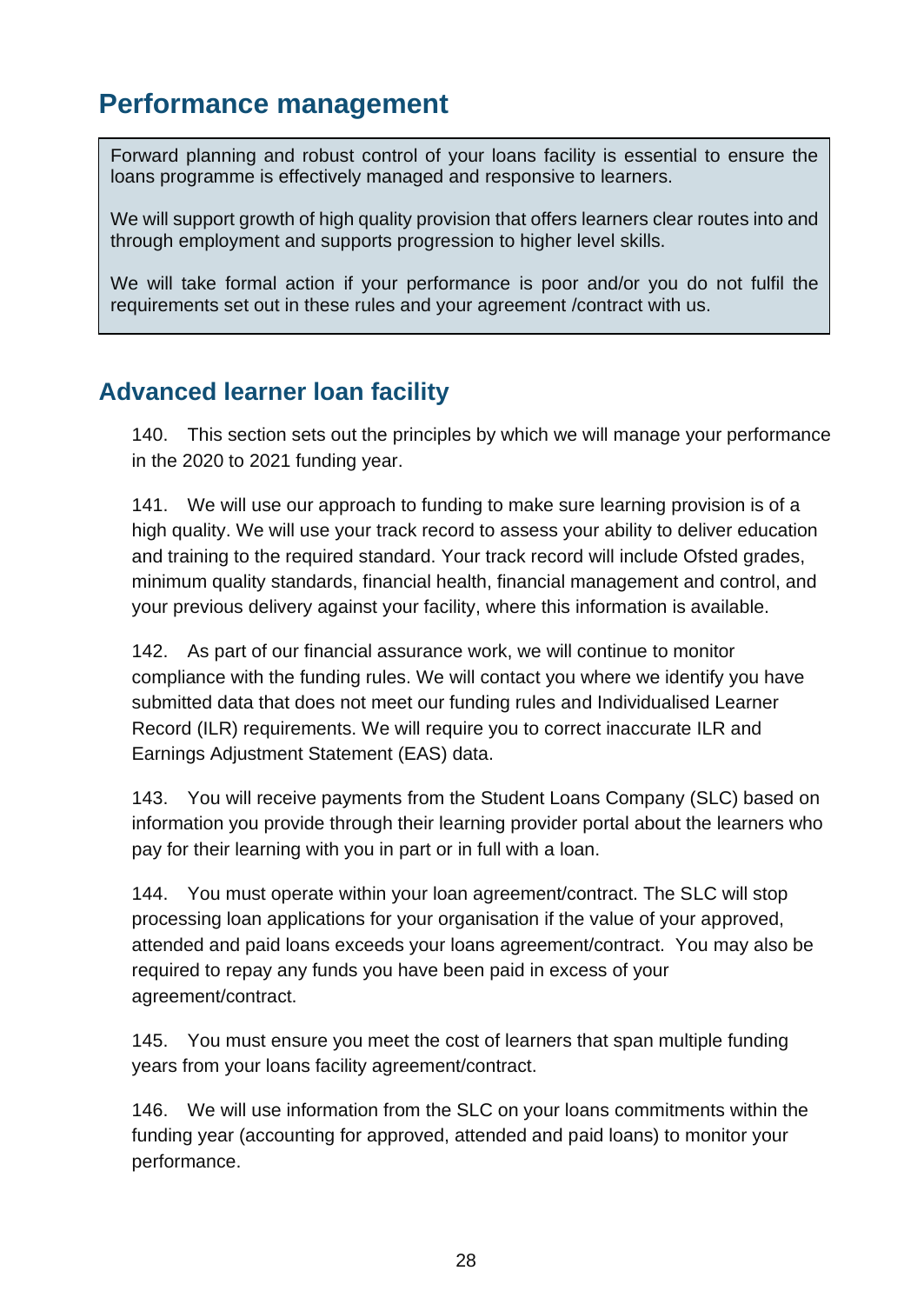## <span id="page-27-0"></span>**Performance management**

Forward planning and robust control of your loans facility is essential to ensure the loans programme is effectively managed and responsive to learners.

We will support growth of high quality provision that offers learners clear routes into and through employment and supports progression to higher level skills.

We will take formal action if your performance is poor and/or you do not fulfil the requirements set out in these rules and your agreement /contract with us.

#### <span id="page-27-1"></span>**Advanced learner loan facility**

140. This section sets out the principles by which we will manage your performance in the 2020 to 2021 funding year.

141. We will use our approach to funding to make sure learning provision is of a high quality. We will use your track record to assess your ability to deliver education and training to the required standard. Your track record will include Ofsted grades, minimum quality standards, financial health, financial management and control, and your previous delivery against your facility, where this information is available.

142. As part of our financial assurance work, we will continue to monitor compliance with the funding rules. We will contact you where we identify you have submitted data that does not meet our funding rules and Individualised Learner Record (ILR) requirements. We will require you to correct inaccurate ILR and Earnings Adjustment Statement (EAS) data.

143. You will receive payments from the Student Loans Company (SLC) based on information you provide through their learning provider portal about the learners who pay for their learning with you in part or in full with a loan.

144. You must operate within your loan agreement/contract. The SLC will stop processing loan applications for your organisation if the value of your approved, attended and paid loans exceeds your loans agreement/contract. You may also be required to repay any funds you have been paid in excess of your agreement/contract.

145. You must ensure you meet the cost of learners that span multiple funding years from your loans facility agreement/contract.

146. We will use information from the SLC on your loans commitments within the funding year (accounting for approved, attended and paid loans) to monitor your performance.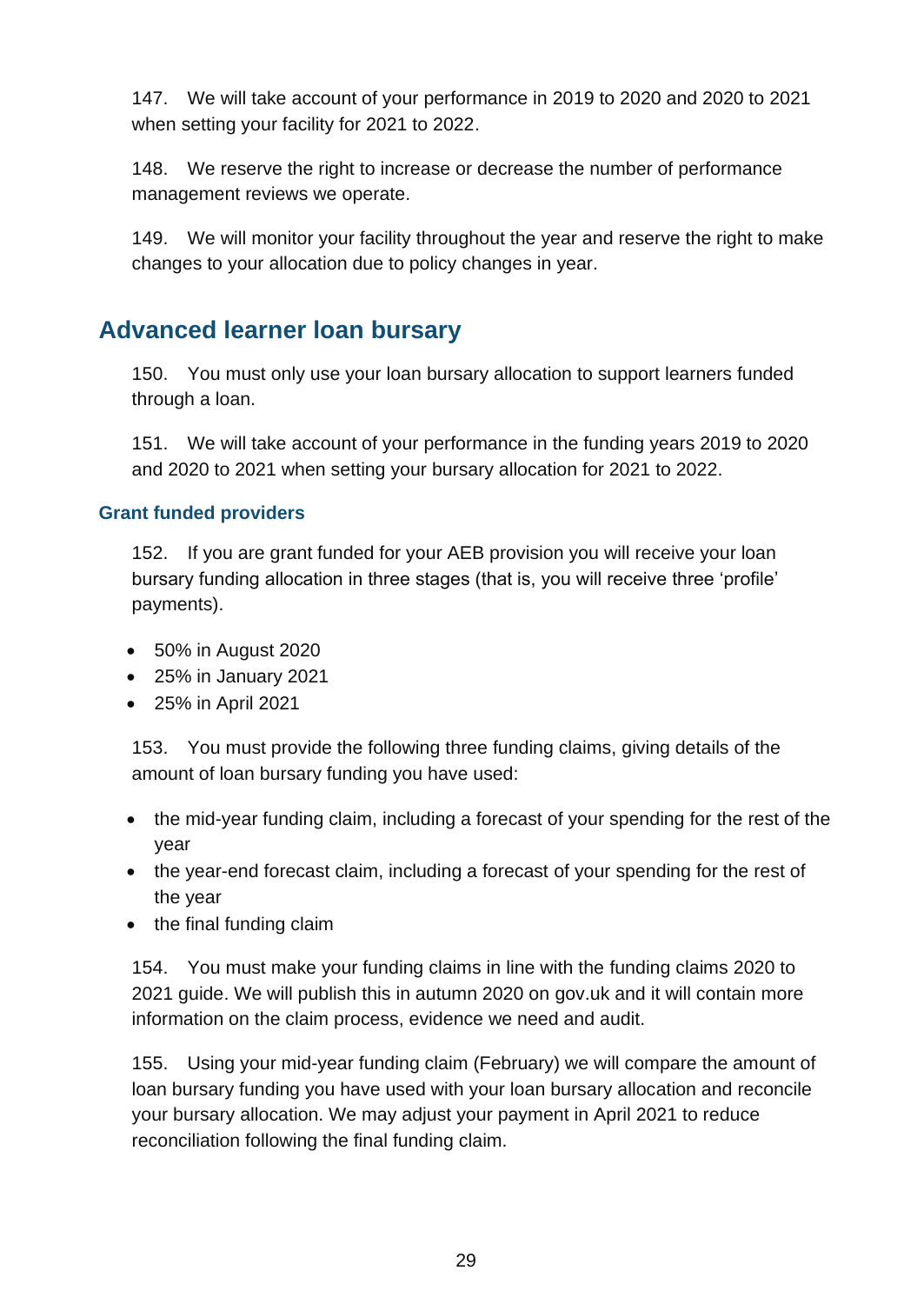147. We will take account of your performance in 2019 to 2020 and 2020 to 2021 when setting your facility for 2021 to 2022.

148. We reserve the right to increase or decrease the number of performance management reviews we operate.

149. We will monitor your facility throughout the year and reserve the right to make changes to your allocation due to policy changes in year.

#### <span id="page-28-0"></span>**Advanced learner loan bursary**

150. You must only use your loan bursary allocation to support learners funded through a loan.

151. We will take account of your performance in the funding years 2019 to 2020 and 2020 to 2021 when setting your bursary allocation for 2021 to 2022.

#### **Grant funded providers**

152. If you are grant funded for your AEB provision you will receive your loan bursary funding allocation in three stages (that is, you will receive three 'profile' payments).

- 50% in August 2020
- 25% in January 2021
- 25% in April 2021

153. You must provide the following three funding claims, giving details of the amount of loan bursary funding you have used:

- the mid-year funding claim, including a forecast of your spending for the rest of the year
- the year-end forecast claim, including a forecast of your spending for the rest of the year
- the final funding claim

154. You must make your funding claims in line with the [funding claims 2020 to](https://www.gov.uk/government/collections/funding-allocations-and-performance-management-for-providers) [2021 guide.](https://www.gov.uk/government/collections/funding-allocations-and-performance-management-for-providers) We will publish this in autumn 2020 on [gov.uk](https://www.gov.uk/government/organisations/education-and-skills-funding-agency) and it will contain more information on the claim process, evidence we need and audit.

155. Using your mid-year funding claim (February) we will compare the amount of loan bursary funding you have used with your loan bursary allocation and reconcile your bursary allocation. We may adjust your payment in April 2021 to reduce reconciliation following the final funding claim.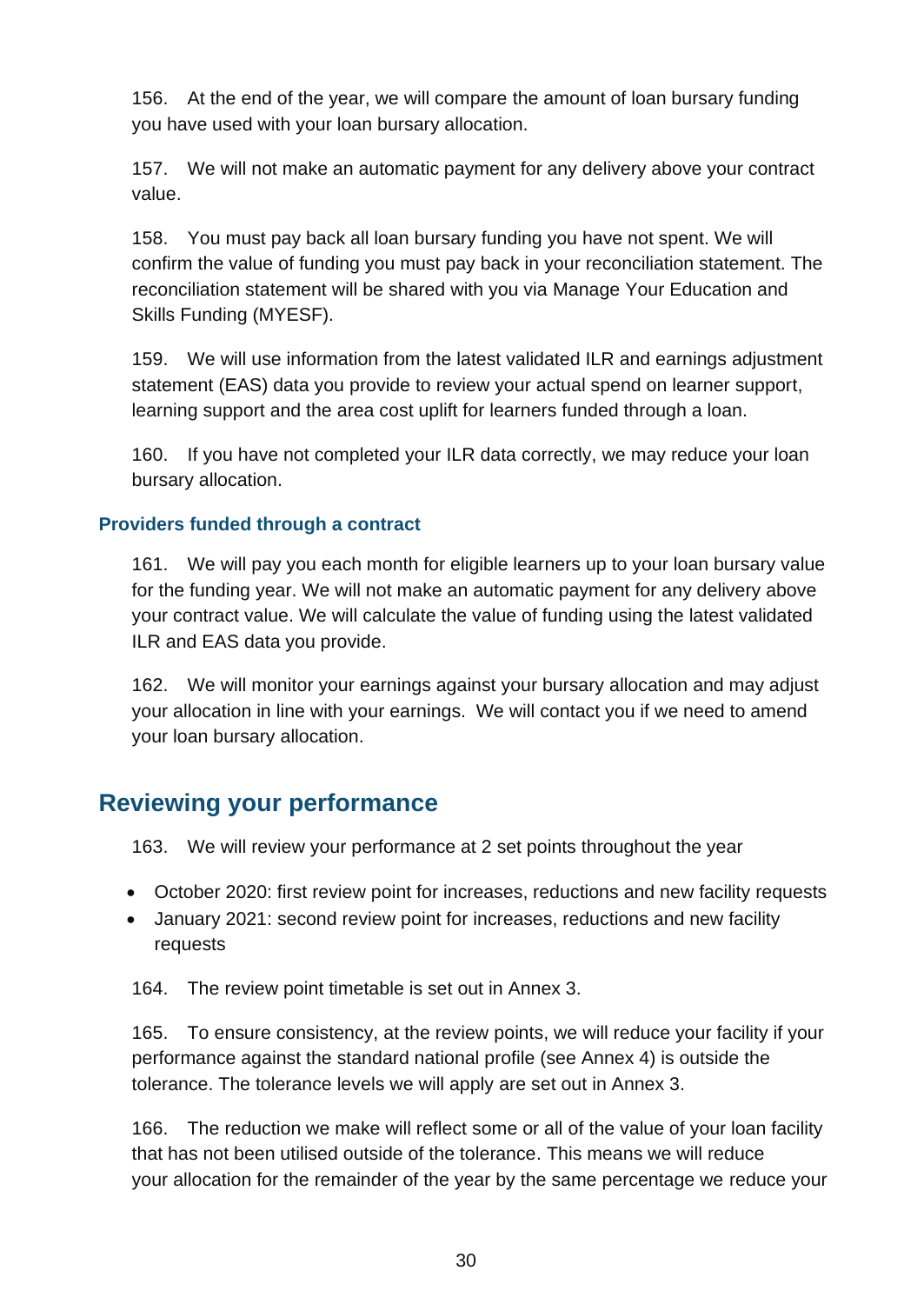156. At the end of the year, we will compare the amount of loan bursary funding you have used with your loan bursary allocation.

157. We will not make an automatic payment for any delivery above your contract value.

158. You must pay back all loan bursary funding you have not spent. We will confirm the value of funding you must pay back in your reconciliation statement. The reconciliation statement will be shared with you via Manage Your Education and Skills Funding (MYESF).

159. We will use information from the latest validated ILR and earnings adjustment statement (EAS) data you provide to review your actual spend on learner support, learning support and the area cost uplift for learners funded through a loan.

160. If you have not completed your ILR data correctly, we may reduce your loan bursary allocation.

#### **Providers funded through a contract**

161. We will pay you each month for eligible learners up to your loan bursary value for the funding year. We will not make an automatic payment for any delivery above your contract value. We will calculate the value of funding using the latest validated ILR and EAS data you provide.

162. We will monitor your earnings against your bursary allocation and may adjust your allocation in line with your earnings. We will contact you if we need to amend your loan bursary allocation.

#### <span id="page-29-0"></span>**Reviewing your performance**

163. We will review your performance at 2 set points throughout the year

- October 2020: first review point for increases, reductions and new facility requests
- January 2021: second review point for increases, reductions and new facility requests

164. The review point timetable is set out in Annex 3.

165. To ensure consistency, at the review points, we will reduce your facility if your performance against the standard national profile (see Annex 4) is outside the tolerance. The tolerance levels we will apply are set out in Annex 3.

166. The reduction we make will reflect some or all of the value of your loan facility that has not been utilised outside of the tolerance. This means we will reduce your allocation for the remainder of the year by the same percentage we reduce your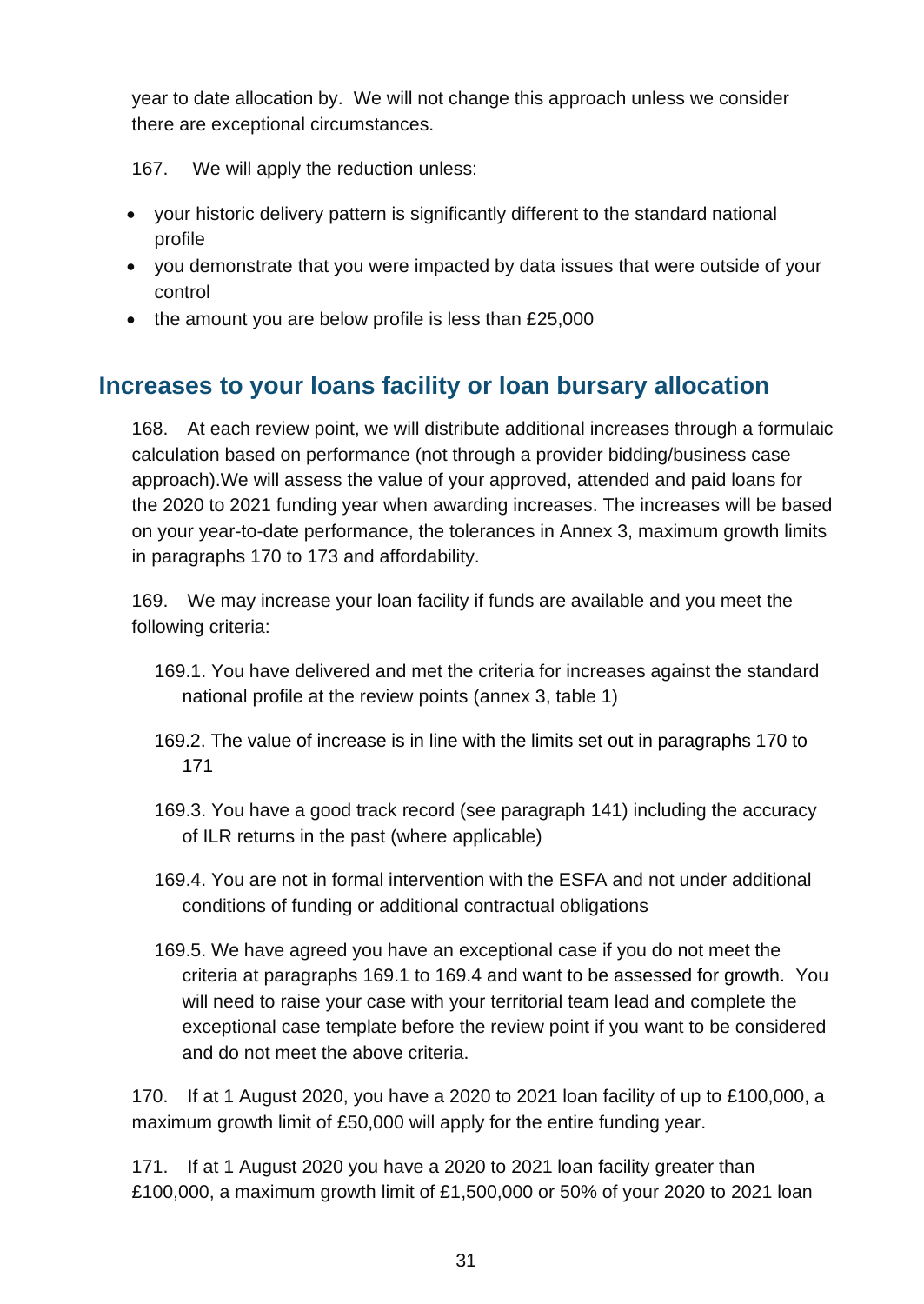year to date allocation by. We will not change this approach unless we consider there are exceptional circumstances.

167. We will apply the reduction unless:

- your historic delivery pattern is significantly different to the standard national profile
- you demonstrate that you were impacted by data issues that were outside of your control
- the amount you are below profile is less than £25,000

## <span id="page-30-0"></span>**Increases to your loans facility or loan bursary allocation**

168. At each review point, we will distribute additional increases through a formulaic calculation based on performance (not through a provider bidding/business case approach).We will assess the value of your approved, attended and paid loans for the 2020 to 2021 funding year when awarding increases. The increases will be based on your year-to-date performance, the tolerances in Annex 3, maximum growth limits in paragraphs 170 to 173 and affordability.

169. We may increase your loan facility if funds are available and you meet the following criteria:

- 169.1. You have delivered and met the criteria for increases against the standard national profile at the review points (annex 3, table 1)
- 169.2. The value of increase is in line with the limits set out in paragraphs 170 to 171
- 169.3. You have a good track record (see paragraph 141) including the accuracy of ILR returns in the past (where applicable)
- 169.4. You are not in formal intervention with the ESFA and not under additional conditions of funding or additional contractual obligations
- 169.5. We have agreed you have an exceptional case if you do not meet the criteria at paragraphs 169.1 to 169.4 and want to be assessed for growth. You will need to raise your case with your territorial team lead and complete the exceptional case template before the review point if you want to be considered and do not meet the above criteria.

170. If at 1 August 2020, you have a 2020 to 2021 loan facility of up to £100,000, a maximum growth limit of £50,000 will apply for the entire funding year.

171. If at 1 August 2020 you have a 2020 to 2021 loan facility greater than £100,000, a maximum growth limit of £1,500,000 or 50% of your 2020 to 2021 loan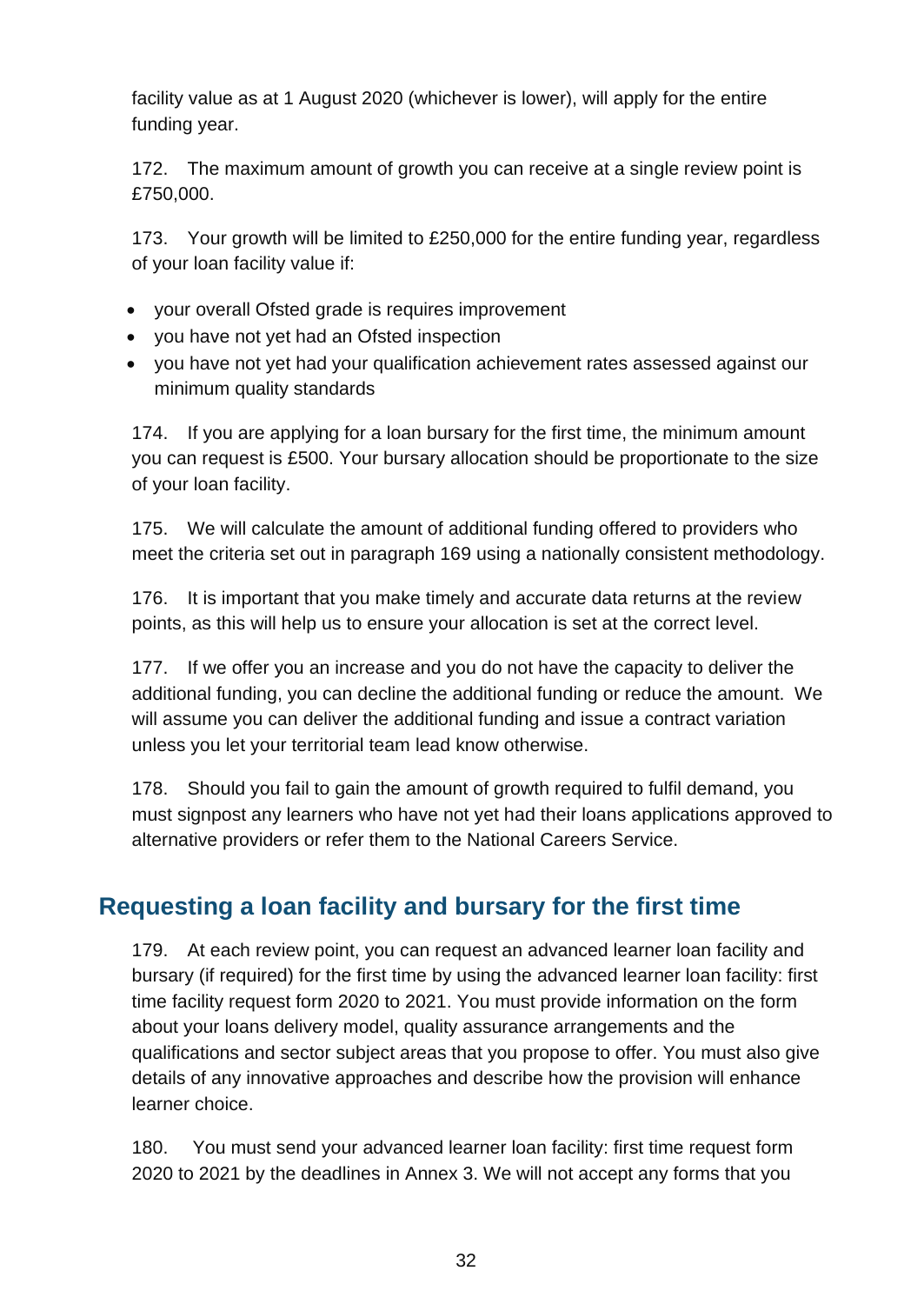facility value as at 1 August 2020 (whichever is lower), will apply for the entire funding year.

172. The maximum amount of growth you can receive at a single review point is £750,000.

173. Your growth will be limited to £250,000 for the entire funding year, regardless of your loan facility value if:

- your overall Ofsted grade is requires improvement
- you have not yet had an Ofsted inspection
- you have not yet had your qualification achievement rates assessed against our minimum quality standards

174. If you are applying for a loan bursary for the first time, the minimum amount you can request is £500. Your bursary allocation should be proportionate to the size of your loan facility.

175. We will calculate the amount of additional funding offered to providers who meet the criteria set out in paragraph 169 using a nationally consistent methodology.

176. It is important that you make timely and accurate data returns at the review points, as this will help us to ensure your allocation is set at the correct level.

177. If we offer you an increase and you do not have the capacity to deliver the additional funding, you can decline the additional funding or reduce the amount. We will assume you can deliver the additional funding and issue a contract variation unless you let your territorial team lead know otherwise.

178. Should you fail to gain the amount of growth required to fulfil demand, you must signpost any learners who have not yet had their loans applications approved to alternative providers or refer them to the National Careers Service.

#### <span id="page-31-0"></span>**Requesting a loan facility and bursary for the first time**

179. At each review point, you can request an advanced learner loan facility and bursary (if required) for the first time by using the [advanced learner loan facility: first](https://www.gov.uk/government/publications/24-advanced-learning-loans-facility-adjustment-request-form)  [time facility request form 2020 t](https://www.gov.uk/government/publications/24-advanced-learning-loans-facility-adjustment-request-form)o 2021. You must provide information on the form about your loans delivery model, quality assurance arrangements and the qualifications and sector subject areas that you propose to offer. You must also give details of any innovative approaches and describe how the provision will enhance learner choice.

180. You must send your [advanced learner loan facility: first time request form](https://www.gov.uk/government/publications/24-advanced-learning-loans-facility-adjustment-request-form)  [2020](https://www.gov.uk/government/publications/24-advanced-learning-loans-facility-adjustment-request-form) [to 2021 b](mailto:to%202019)y the deadlines in Annex 3. We will not accept any forms that you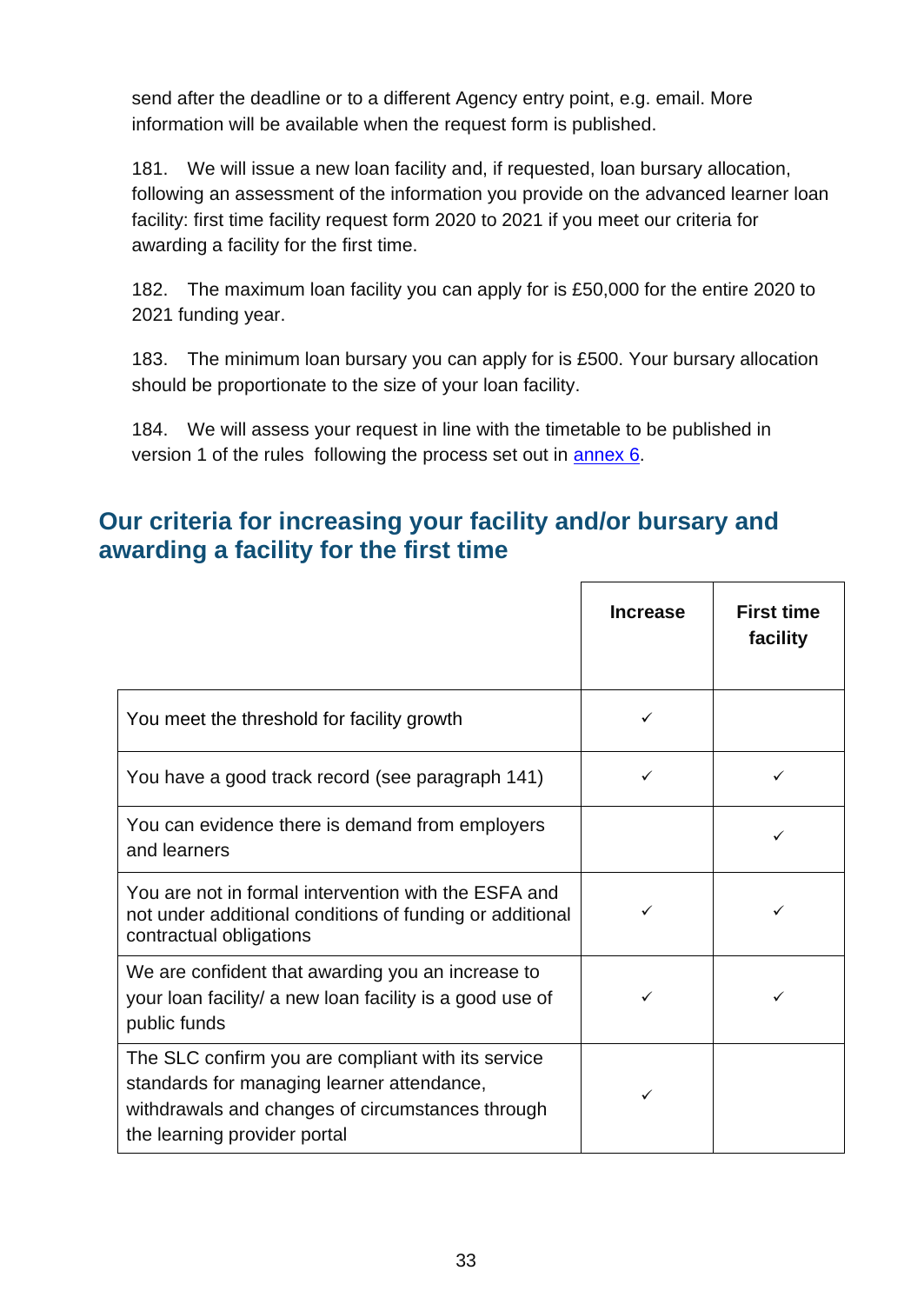send after the deadline or to a different Agency entry point, e.g. email. More information will be available when the request form is published.

181. We will issue a new loan facility and, if requested, loan bursary allocation, following an assessment of the information you provide on the advanced learner loan facility: first time facility request form 2020 to 2021 if you meet our criteria for awarding a facility for the first time.

182. The maximum loan facility you can apply for is £50,000 for the entire 2020 to 2021 funding year.

183. The minimum loan bursary you can apply for is £500. Your bursary allocation should be proportionate to the size of your loan facility.

184. We will assess your request in line with the timetable to be published in version 1 of the rules following the process set out in [annex 6.](#page-44-0)

#### <span id="page-32-0"></span>**Our criteria for increasing your facility and/or bursary and awarding a facility for the first time**

|                                                                                                                                                                                      | <b>Increase</b> | <b>First time</b><br>facility |
|--------------------------------------------------------------------------------------------------------------------------------------------------------------------------------------|-----------------|-------------------------------|
| You meet the threshold for facility growth                                                                                                                                           | ✓               |                               |
| You have a good track record (see paragraph 141)                                                                                                                                     | ✓               |                               |
| You can evidence there is demand from employers<br>and learners                                                                                                                      |                 |                               |
| You are not in formal intervention with the ESFA and<br>not under additional conditions of funding or additional<br>contractual obligations                                          |                 |                               |
| We are confident that awarding you an increase to<br>your loan facility/ a new loan facility is a good use of<br>public funds                                                        | ✓               |                               |
| The SLC confirm you are compliant with its service<br>standards for managing learner attendance,<br>withdrawals and changes of circumstances through<br>the learning provider portal | ✓               |                               |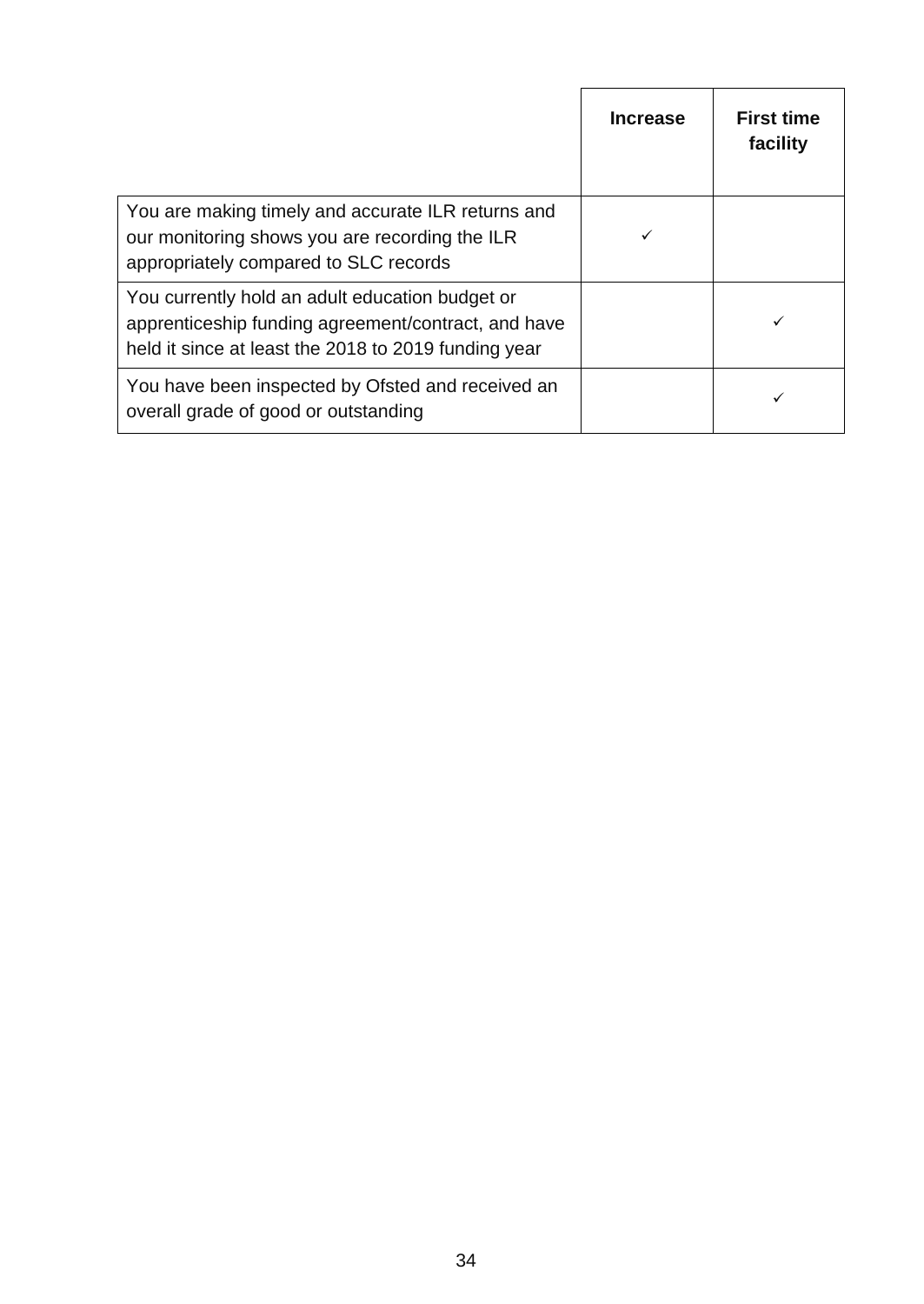|                                                                                                                                                                | <b>Increase</b> | <b>First time</b><br>facility |
|----------------------------------------------------------------------------------------------------------------------------------------------------------------|-----------------|-------------------------------|
| You are making timely and accurate ILR returns and<br>our monitoring shows you are recording the ILR<br>appropriately compared to SLC records                  |                 |                               |
| You currently hold an adult education budget or<br>apprenticeship funding agreement/contract, and have<br>held it since at least the 2018 to 2019 funding year |                 |                               |
| You have been inspected by Ofsted and received an<br>overall grade of good or outstanding                                                                      |                 |                               |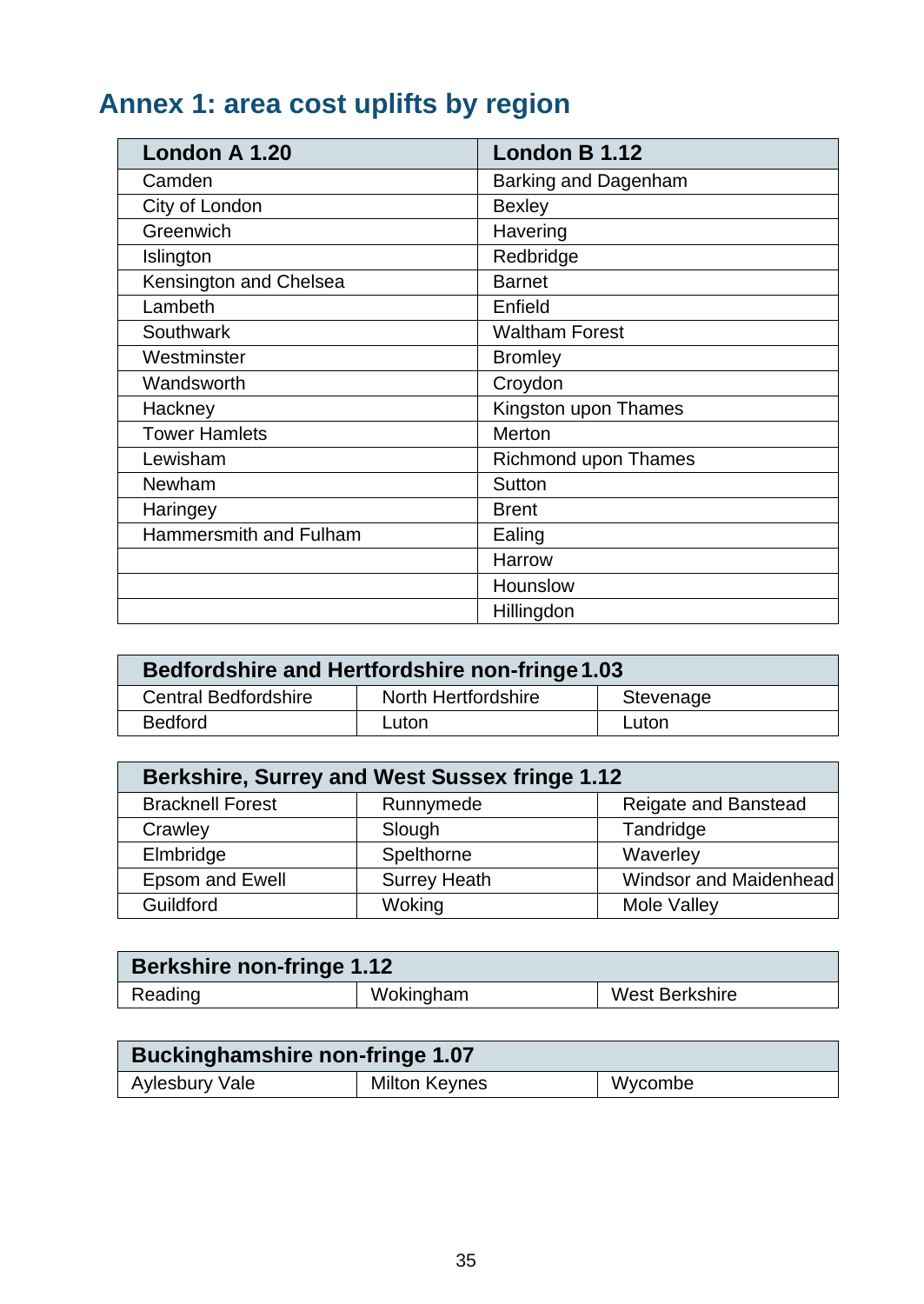# <span id="page-34-0"></span>**Annex 1: area cost uplifts by region**

| London A 1.20          | London B 1.12               |
|------------------------|-----------------------------|
| Camden                 | Barking and Dagenham        |
| City of London         | <b>Bexley</b>               |
| Greenwich              | Havering                    |
| Islington              | Redbridge                   |
| Kensington and Chelsea | <b>Barnet</b>               |
| Lambeth                | Enfield                     |
| <b>Southwark</b>       | <b>Waltham Forest</b>       |
| Westminster            | <b>Bromley</b>              |
| Wandsworth             | Croydon                     |
| Hackney                | Kingston upon Thames        |
| <b>Tower Hamlets</b>   | Merton                      |
| Lewisham               | <b>Richmond upon Thames</b> |
| Newham                 | Sutton                      |
| Haringey               | <b>Brent</b>                |
| Hammersmith and Fulham | Ealing                      |
|                        | Harrow                      |
|                        | Hounslow                    |
|                        | Hillingdon                  |

| Bedfordshire and Hertfordshire non-fringe 1.03 |                     |           |  |
|------------------------------------------------|---------------------|-----------|--|
| <b>Central Bedfordshire</b>                    | North Hertfordshire | Stevenage |  |
| <b>Bedford</b><br>Luton<br>Luton               |                     |           |  |

| <b>Berkshire, Surrey and West Sussex fringe 1.12</b> |                     |                        |
|------------------------------------------------------|---------------------|------------------------|
| <b>Bracknell Forest</b>                              | Runnymede           | Reigate and Banstead   |
| Crawley                                              | Slough              | Tandridge              |
| Elmbridge                                            | Spelthorne          | Waverley               |
| <b>Epsom and Ewell</b>                               | <b>Surrey Heath</b> | Windsor and Maidenhead |
| Guildford                                            | Woking              | Mole Valley            |

| <b>Berkshire non-fringe 1.12</b> |           |                |
|----------------------------------|-----------|----------------|
| Reading                          | Wokingham | West Berkshire |

| <b>Buckinghamshire non-fringe 1.07</b> |                      |         |
|----------------------------------------|----------------------|---------|
| Aylesbury Vale                         | <b>Milton Keynes</b> | Wycombe |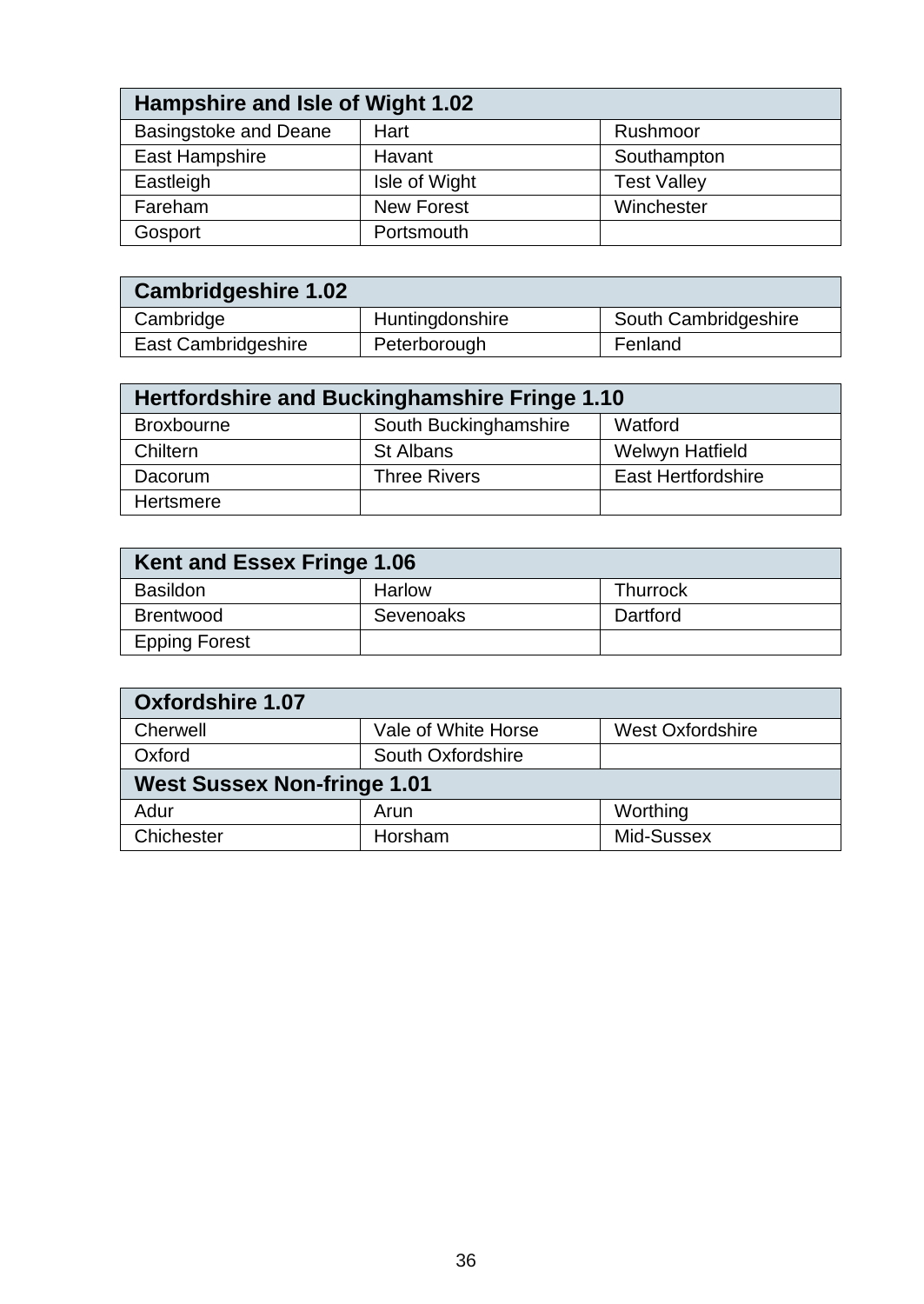| Hampshire and Isle of Wight 1.02 |                   |                    |
|----------------------------------|-------------------|--------------------|
| <b>Basingstoke and Deane</b>     | Hart              | Rushmoor           |
| East Hampshire                   | Havant            | Southampton        |
| Eastleigh                        | Isle of Wight     | <b>Test Valley</b> |
| Fareham                          | <b>New Forest</b> | Winchester         |
| Gosport                          | Portsmouth        |                    |

| <b>Cambridgeshire 1.02</b> |                 |                      |
|----------------------------|-----------------|----------------------|
| Cambridge                  | Huntingdonshire | South Cambridgeshire |
| East Cambridgeshire        | Peterborough    | Fenland              |

| Hertfordshire and Buckinghamshire Fringe 1.10 |                       |                           |  |  |
|-----------------------------------------------|-----------------------|---------------------------|--|--|
| <b>Broxbourne</b>                             | South Buckinghamshire | Watford                   |  |  |
| Chiltern                                      | <b>St Albans</b>      | Welwyn Hatfield           |  |  |
| Dacorum                                       | <b>Three Rivers</b>   | <b>East Hertfordshire</b> |  |  |
| Hertsmere                                     |                       |                           |  |  |

| Kent and Essex Fringe 1.06 |           |          |  |  |
|----------------------------|-----------|----------|--|--|
| <b>Basildon</b>            | Harlow    | Thurrock |  |  |
| <b>Brentwood</b>           | Sevenoaks | Dartford |  |  |
| <b>Epping Forest</b>       |           |          |  |  |

| <b>Oxfordshire 1.07</b>            |                     |                         |  |  |
|------------------------------------|---------------------|-------------------------|--|--|
| Cherwell                           | Vale of White Horse | <b>West Oxfordshire</b> |  |  |
| Oxford                             | South Oxfordshire   |                         |  |  |
| <b>West Sussex Non-fringe 1.01</b> |                     |                         |  |  |
| Adur                               | Arun                | Worthing                |  |  |
| Chichester                         | Horsham             | Mid-Sussex              |  |  |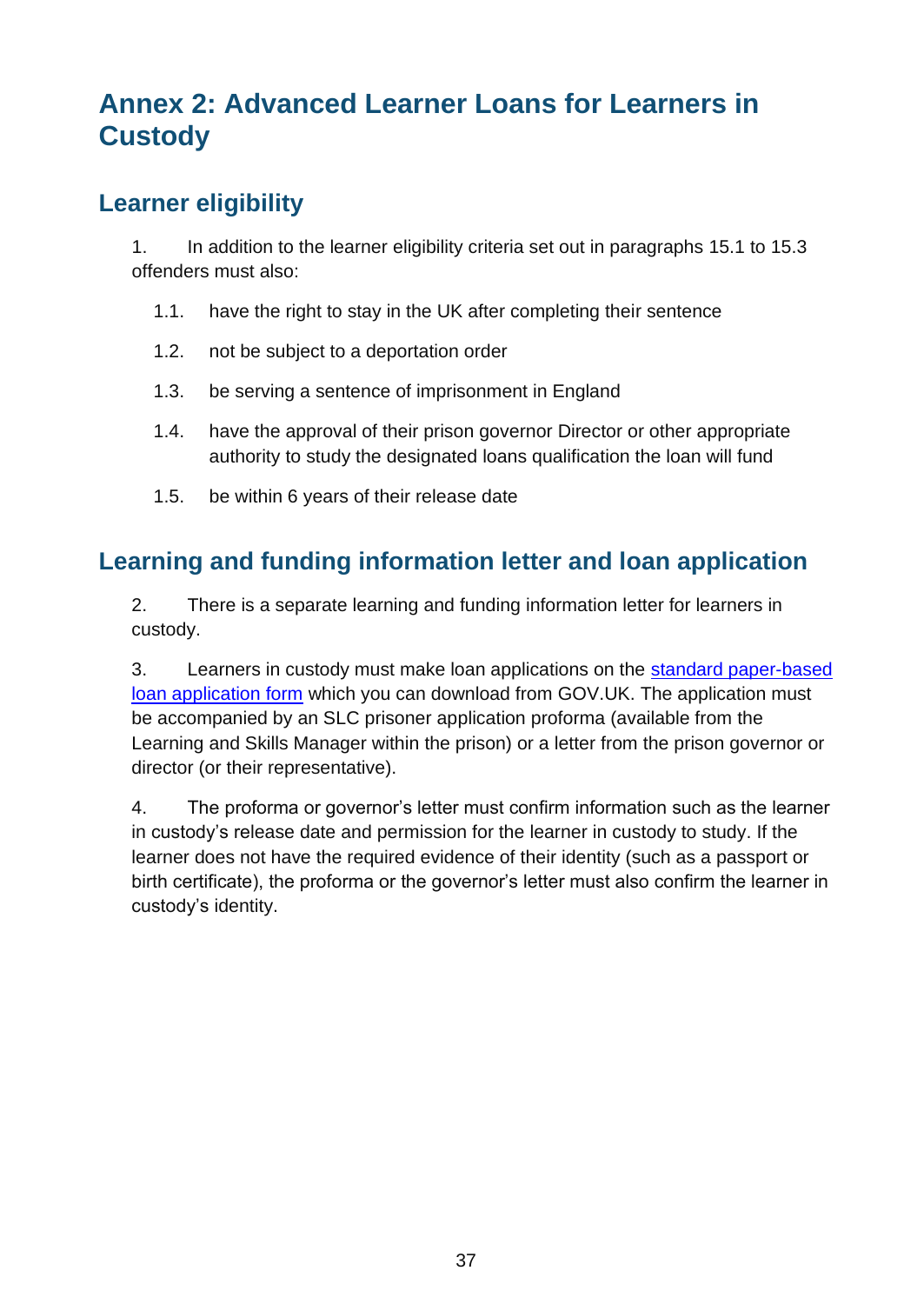## <span id="page-36-0"></span>**Annex 2: Advanced Learner Loans for Learners in Custody**

#### <span id="page-36-1"></span>**Learner eligibility**

1. In addition to the learner eligibility criteria set out in paragraphs [15.1](#page-6-2) to [15.3](#page-6-3) offenders must also:

- 1.1. have the right to stay in the UK after completing their sentence
- 1.2. not be subject to a deportation order
- 1.3. be serving a sentence of imprisonment in England
- 1.4. have the approval of their prison governor Director or other appropriate authority to study the designated loans qualification the loan will fund
- 1.5. be within 6 years of their release date

#### <span id="page-36-2"></span>**Learning and funding information letter and loan application**

2. There is a separate learning and funding information letter for learners in custody.

3. Learners in custody must make loan applications on the [standard paper-based](https://www.gov.uk/advanced-learner-loan/how-to-apply)  [loan application form](https://www.gov.uk/advanced-learner-loan/how-to-apply) which you can download from [GOV.UK.](https://www.gov.uk/advanced-learner-loan/how-to-apply) The application must be accompanied by an SLC prisoner application proforma (available from the Learning and Skills Manager within the prison) or a letter from the prison governor or director (or their representative).

4. The proforma or governor's letter must confirm information such as the learner in custody's release date and permission for the learner in custody to study. If the learner does not have the required evidence of their identity (such as a passport or birth certificate), the proforma or the governor's letter must also confirm the learner in custody's identity.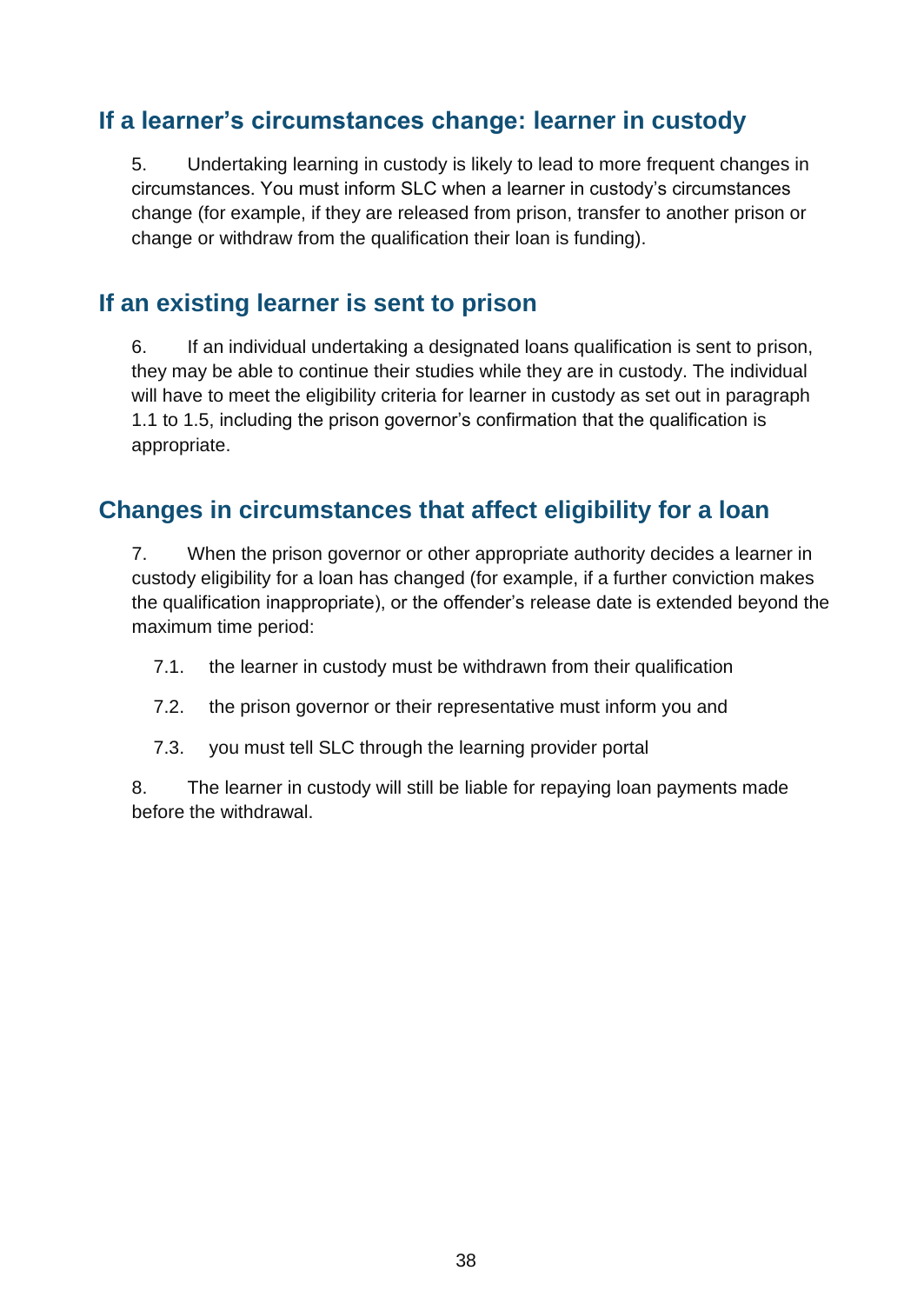#### <span id="page-37-0"></span>**If a learner's circumstances change: learner in custody**

5. Undertaking learning in custody is likely to lead to more frequent changes in circumstances. You must inform SLC when a learner in custody's circumstances change (for example, if they are released from prison, transfer to another prison or change or withdraw from the qualification their loan is funding).

#### <span id="page-37-1"></span>**If an existing learner is sent to prison**

6. If an individual undertaking a designated loans qualification is sent to prison, they may be able to continue their studies while they are in custody. The individual will have to meet the eligibility criteria for learner in custody as set out in paragraph 1.1 to 1.5, including the prison governor's confirmation that the qualification is appropriate.

#### <span id="page-37-2"></span>**Changes in circumstances that affect eligibility for a loan**

7. When the prison governor or other appropriate authority decides a learner in custody eligibility for a loan has changed (for example, if a further conviction makes the qualification inappropriate), or the offender's release date is extended beyond the maximum time period:

- 7.1. the learner in custody must be withdrawn from their qualification
- 7.2. the prison governor or their representative must inform you and
- 7.3. you must tell SLC through the [learning provider portal](http://www.lpservices.slc.co.uk/)

8. The learner in custody will still be liable for repaying loan payments made before the withdrawal.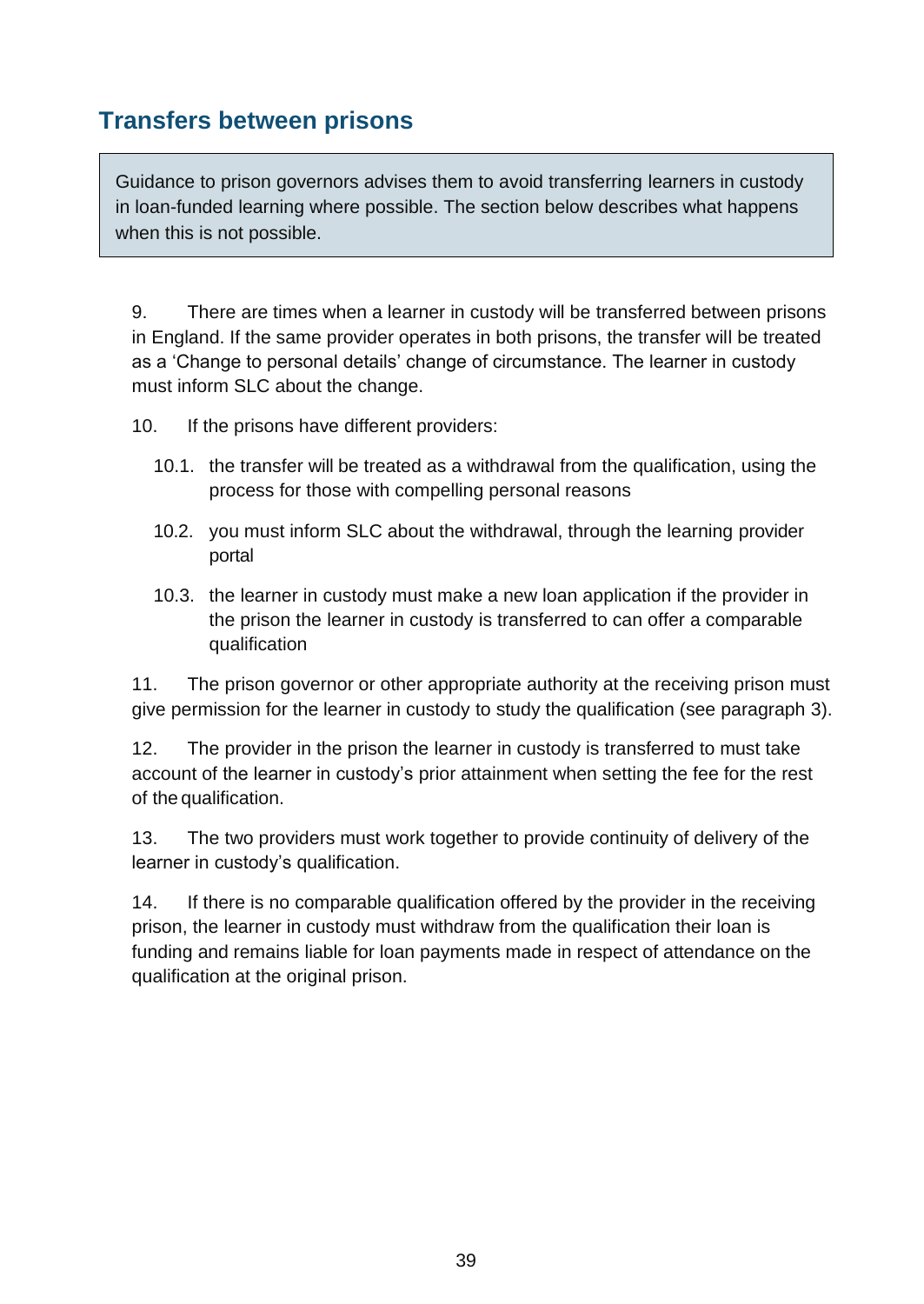#### <span id="page-38-0"></span>**Transfers between prisons**

Guidance to prison governors advises them to avoid transferring learners in custody in loan-funded learning where possible. The section below describes what happens when this is not possible.

9. There are times when a learner in custody will be transferred between prisons in England. If the same provider operates in both prisons, the transfer will be treated as a 'Change to personal details' change of circumstance. The learner in custody must inform SLC about the change.

10. If the prisons have different providers:

- 10.1. the transfer will be treated as a withdrawal from the qualification, using the process for those with compelling personal reasons
- 10.2. you must inform SLC about the withdrawal, through the learning provider portal
- 10.3. the learner in custody must make a new loan application if the provider in the prison the learner in custody is transferred to can offer a comparable qualification

11. The prison governor or other appropriate authority at the receiving prison must give permission for the learner in custody to study the qualification (see paragraph 3).

12. The provider in the prison the learner in custody is transferred to must take account of the learner in custody's prior attainment when setting the fee for the rest of the qualification.

13. The two providers must work together to provide continuity of delivery of the learner in custody's qualification.

14. If there is no comparable qualification offered by the provider in the receiving prison, the learner in custody must withdraw from the qualification their loan is funding and remains liable for loan payments made in respect of attendance on the qualification at the original prison.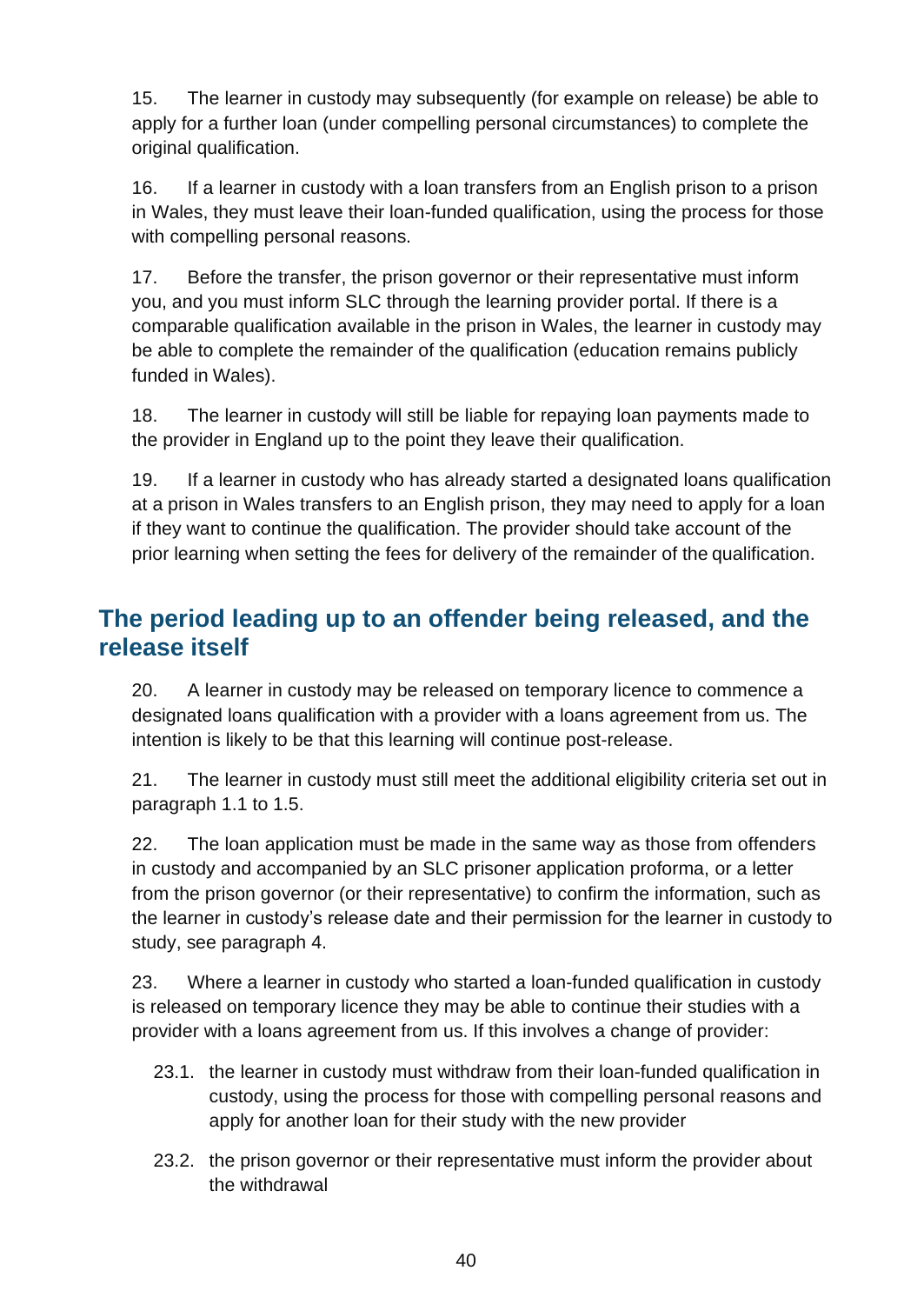15. The learner in custody may subsequently (for example on release) be able to apply for a further loan (under compelling personal circumstances) to complete the original qualification.

16. If a learner in custody with a loan transfers from an English prison to a prison in Wales, they must leave their loan-funded qualification, using the process for those with compelling personal reasons.

17. Before the transfer, the prison governor or their representative must inform you, and you must inform SLC through the learning provider portal. If there is a comparable qualification available in the prison in Wales, the learner in custody may be able to complete the remainder of the qualification (education remains publicly funded in Wales).

18. The learner in custody will still be liable for repaying loan payments made to the provider in England up to the point they leave their qualification.

19. If a learner in custody who has already started a designated loans qualification at a prison in Wales transfers to an English prison, they may need to apply for a loan if they want to continue the qualification. The provider should take account of the prior learning when setting the fees for delivery of the remainder of the qualification.

#### <span id="page-39-0"></span>**The period leading up to an offender being released, and the release itself**

20. A learner in custody may be released on temporary licence to commence a designated loans qualification with a provider with a loans agreement from us. The intention is likely to be that this learning will continue post-release.

21. The learner in custody must still meet the additional eligibility criteria set out in paragraph 1.1 to 1.5.

22. The loan application must be made in the same way as those from offenders in custody and accompanied by an SLC prisoner application proforma, or a letter from the prison governor (or their representative) to confirm the information, such as the learner in custody's release date and their permission for the learner in custody to study, see paragraph 4.

23. Where a learner in custody who started a loan-funded qualification in custody is released on temporary licence they may be able to continue their studies with a provider with a loans agreement from us. If this involves a change of provider:

- 23.1. the learner in custody must withdraw from their loan-funded qualification in custody, using the process for those with compelling personal reasons and apply for another loan for their study with the new provider
- 23.2. the prison governor or their representative must inform the provider about the withdrawal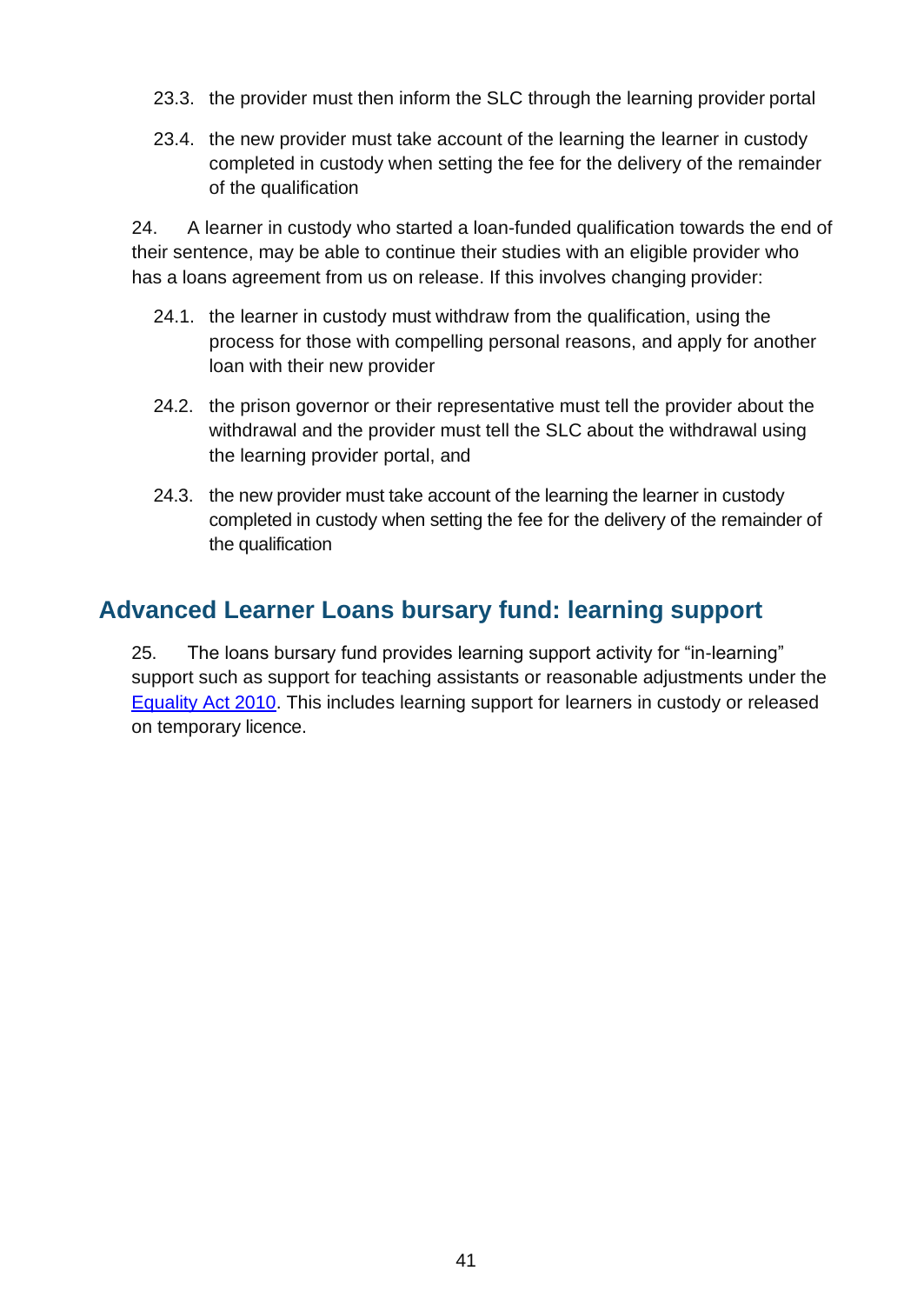- 23.3. the provider must then inform the SLC through the learning provider portal
- 23.4. the new provider must take account of the learning the learner in custody completed in custody when setting the fee for the delivery of the remainder of the qualification

24. A learner in custody who started a loan-funded qualification towards the end of their sentence, may be able to continue their studies with an eligible provider who has a loans agreement from us on release. If this involves changing provider:

- 24.1. the learner in custody must withdraw from the qualification, using the process for those with compelling personal reasons, and apply for another loan with their new provider
- 24.2. the prison governor or their representative must tell the provider about the withdrawal and the provider must tell the SLC about the withdrawal using the learning provider portal, and
- 24.3. the new provider must take account of the learning the learner in custody completed in custody when setting the fee for the delivery of the remainder of the qualification

#### <span id="page-40-0"></span>**Advanced Learner Loans bursary fund: learning support**

25. The loans bursary fund provides learning support activity for "in-learning" support such as support for teaching assistants or reasonable adjustments under the [Equality Act 2010.](https://www.gov.uk/guidance/equality-act-2010-guidance) This includes learning support for learners in custody or released on temporary licence.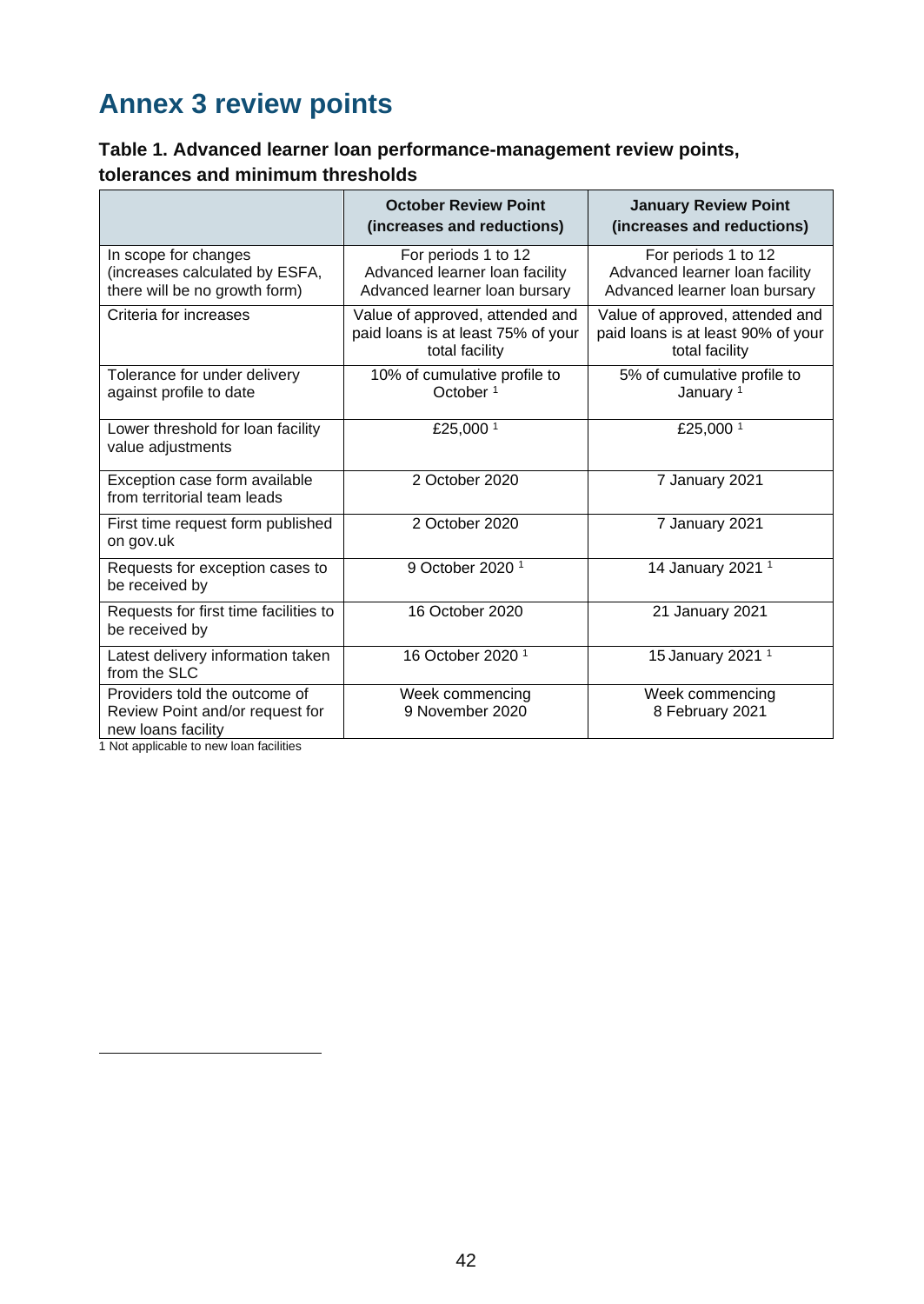## <span id="page-41-0"></span>**Annex 3 review points**

#### **Table 1. Advanced learner loan performance-management review points, tolerances and minimum thresholds**

<span id="page-41-1"></span>

|                                                                                         | <b>October Review Point</b><br>(increases and reductions)                               | <b>January Review Point</b><br>(increases and reductions)                               |
|-----------------------------------------------------------------------------------------|-----------------------------------------------------------------------------------------|-----------------------------------------------------------------------------------------|
| In scope for changes<br>(increases calculated by ESFA,<br>there will be no growth form) | For periods 1 to 12<br>Advanced learner loan facility<br>Advanced learner loan bursary  | For periods 1 to 12<br>Advanced learner loan facility<br>Advanced learner loan bursary  |
| Criteria for increases                                                                  | Value of approved, attended and<br>paid loans is at least 75% of your<br>total facility | Value of approved, attended and<br>paid loans is at least 90% of your<br>total facility |
| Tolerance for under delivery<br>against profile to date                                 | 10% of cumulative profile to<br>October <sup>1</sup>                                    | 5% of cumulative profile to<br>January <sup>1</sup>                                     |
| Lower threshold for loan facility<br>value adjustments                                  | £25,000 <sup>1</sup>                                                                    | £25,000 <sup>1</sup>                                                                    |
| Exception case form available<br>from territorial team leads                            | 2 October 2020                                                                          | 7 January 2021                                                                          |
| First time request form published<br>on gov.uk                                          | 2 October 2020                                                                          | 7 January 2021                                                                          |
| Requests for exception cases to<br>be received by                                       | 9 October 2020 <sup>1</sup>                                                             | 14 January 2021 <sup>1</sup>                                                            |
| Requests for first time facilities to<br>be received by                                 | 16 October 2020                                                                         | 21 January 2021                                                                         |
| Latest delivery information taken<br>from the SLC                                       | 16 October 2020 <sup>1</sup>                                                            | 15 January 2021 <sup>1</sup>                                                            |
| Providers told the outcome of<br>Review Point and/or request for<br>new loans facility  | Week commencing<br>9 November 2020                                                      | Week commencing<br>8 February 2021                                                      |

1 Not applicable to new loan facilities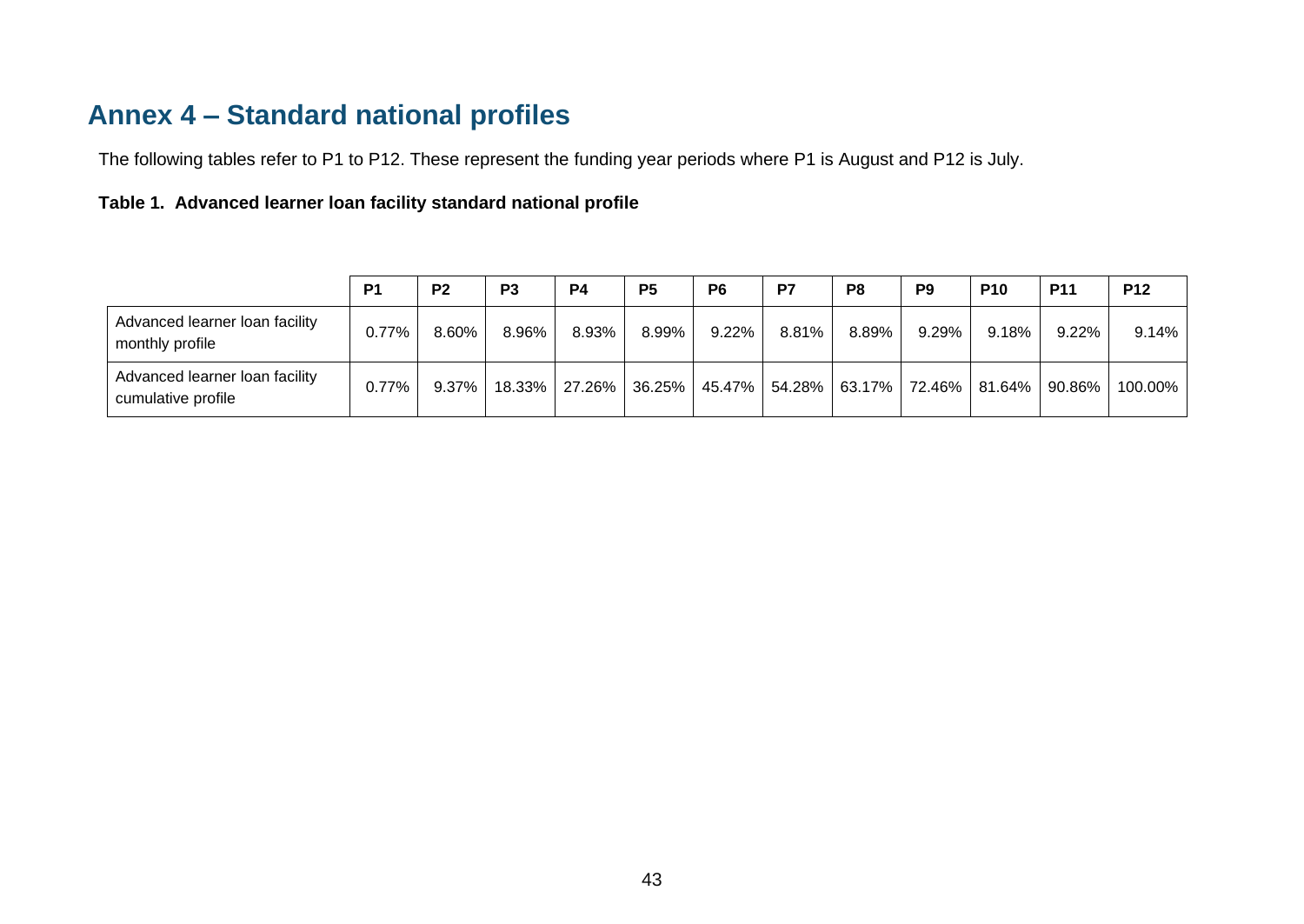## **Annex 4 – Standard national profiles**

The following tables refer to P1 to P12. These represent the funding year periods where P1 is August and P12 is July.

#### **Table 1. Advanced learner loan facility standard national profile**

<span id="page-42-0"></span>

|                                                      | <b>P1</b> | P <sub>2</sub> | P <sub>3</sub> | <b>P4</b> | P <sub>5</sub>       | P <sub>6</sub> | P7            | P8    | P <sub>9</sub> | <b>P10</b>                        | <b>P11</b> | <b>P12</b> |
|------------------------------------------------------|-----------|----------------|----------------|-----------|----------------------|----------------|---------------|-------|----------------|-----------------------------------|------------|------------|
| Advanced learner loan facility<br>monthly profile    | 0.77%     | 8.60%          | 8.96%          | 8.93%     | 8.99%                | 9.22%          | 8.81%         | 8.89% | 9.29%          | $9.18\%$                          | 9.22%      | 9.14%      |
| Advanced learner loan facility<br>cumulative profile | 0.77%     | $9.37\%$       |                |           | 18.33% 27.26% 36.25% |                | 45.47% 54.28% |       |                | 63.17%   72.46%   81.64%   90.86% |            | 100.00%    |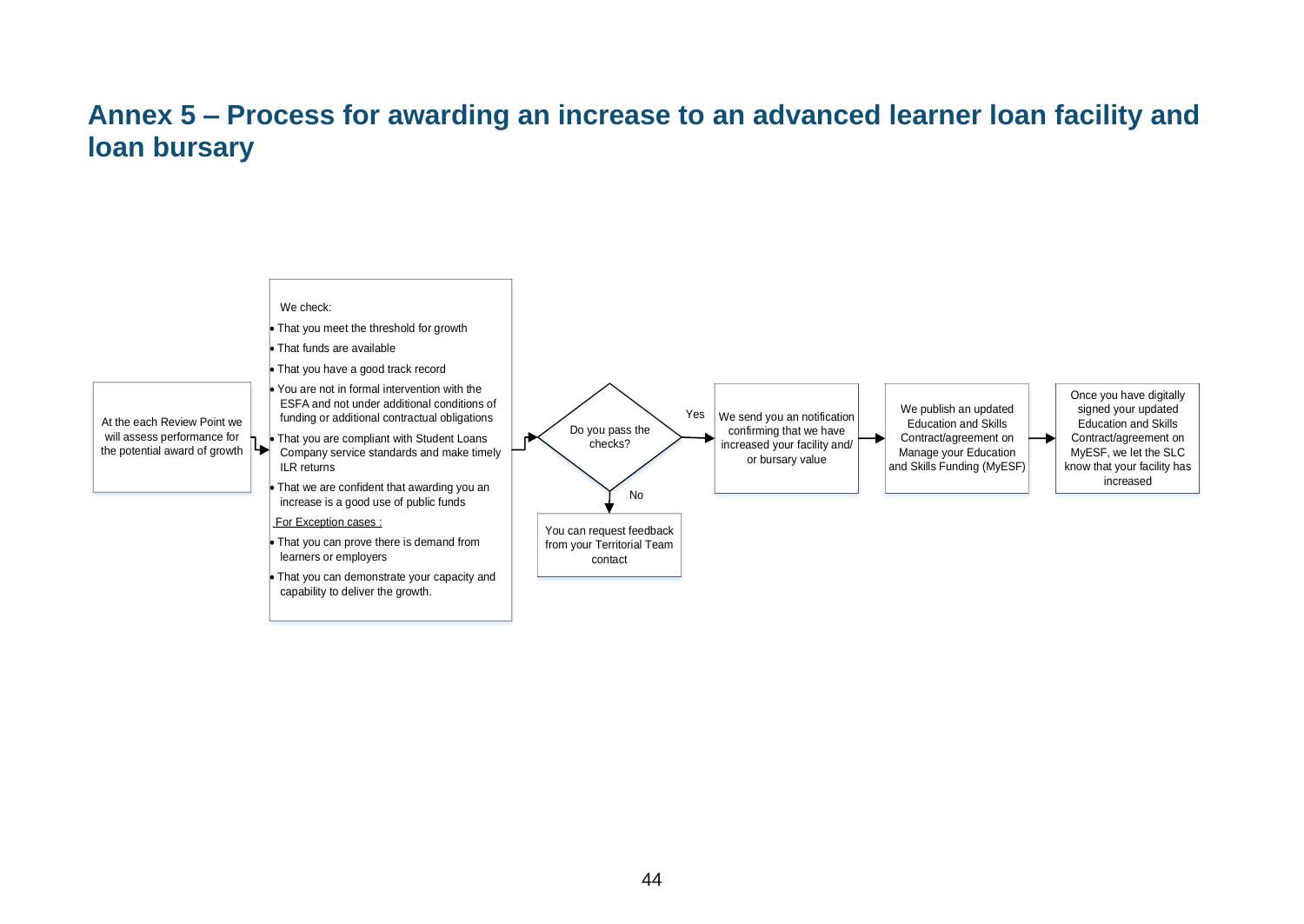## **Annex 5 – Process for awarding an increase to an advanced learner loan facility and loan bursary**

<span id="page-43-0"></span>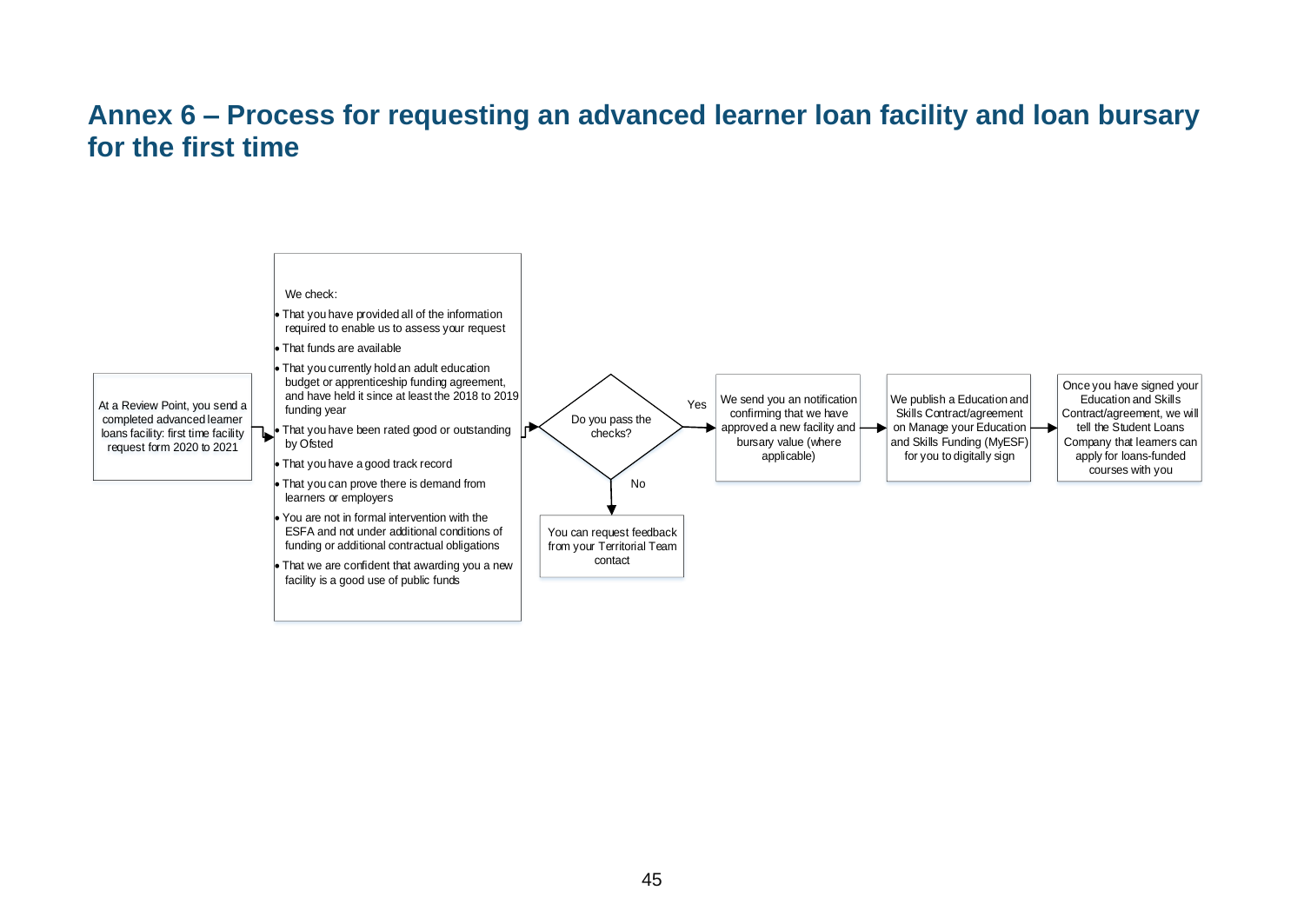#### **Annex 6 – Process for requesting an advanced learner loan facility and loan bursary for the first time**

<span id="page-44-0"></span>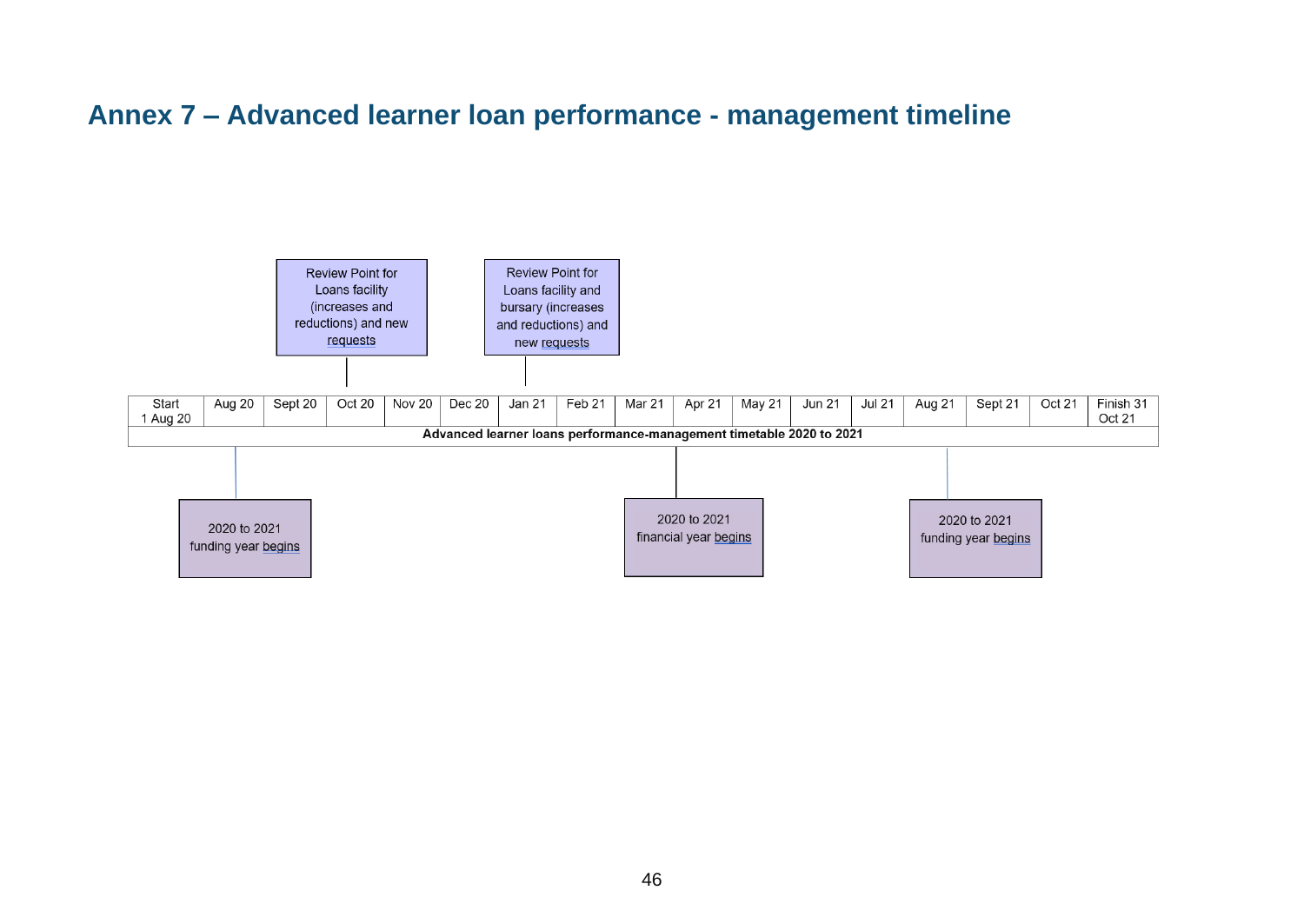## **Annex 7 – Advanced learner loan performance - management timeline**

<span id="page-45-1"></span><span id="page-45-0"></span>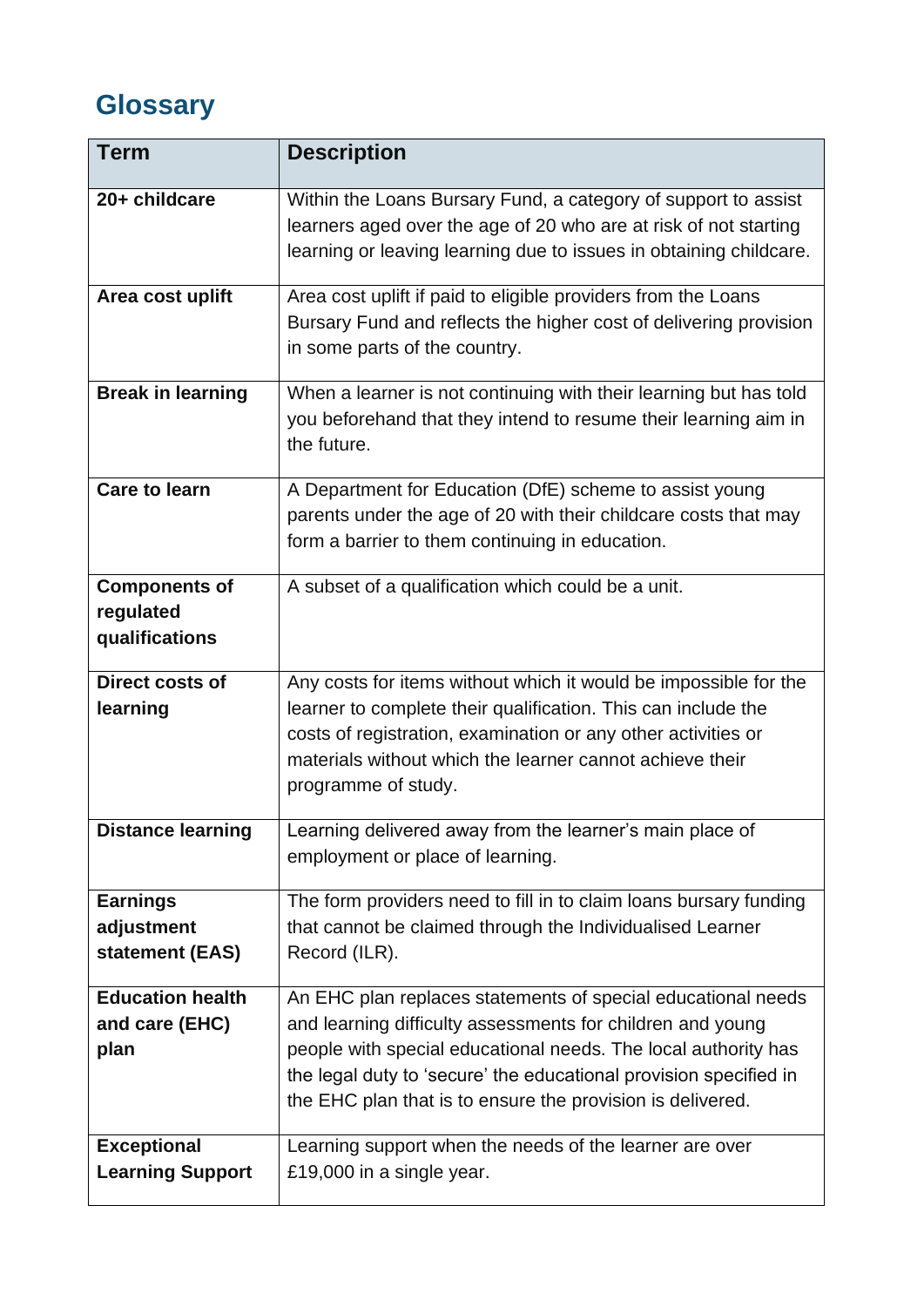## <span id="page-46-0"></span>**Glossary**

| <b>Term</b>              | <b>Description</b>                                                 |
|--------------------------|--------------------------------------------------------------------|
| 20+ childcare            | Within the Loans Bursary Fund, a category of support to assist     |
|                          | learners aged over the age of 20 who are at risk of not starting   |
|                          | learning or leaving learning due to issues in obtaining childcare. |
| Area cost uplift         | Area cost uplift if paid to eligible providers from the Loans      |
|                          | Bursary Fund and reflects the higher cost of delivering provision  |
|                          | in some parts of the country.                                      |
| <b>Break in learning</b> | When a learner is not continuing with their learning but has told  |
|                          | you beforehand that they intend to resume their learning aim in    |
|                          | the future.                                                        |
| <b>Care to learn</b>     | A Department for Education (DfE) scheme to assist young            |
|                          | parents under the age of 20 with their childcare costs that may    |
|                          | form a barrier to them continuing in education.                    |
| <b>Components of</b>     | A subset of a qualification which could be a unit.                 |
| regulated                |                                                                    |
| qualifications           |                                                                    |
| <b>Direct costs of</b>   | Any costs for items without which it would be impossible for the   |
| learning                 | learner to complete their qualification. This can include the      |
|                          | costs of registration, examination or any other activities or      |
|                          | materials without which the learner cannot achieve their           |
|                          | programme of study.                                                |
| <b>Distance learning</b> | earning delivered away from the learner's main place of            |
|                          | employment or place of learning.                                   |
| <b>Earnings</b>          | The form providers need to fill in to claim loans bursary funding  |
| adjustment               | that cannot be claimed through the Individualised Learner          |
| statement (EAS)          | Record (ILR).                                                      |
| <b>Education health</b>  | An EHC plan replaces statements of special educational needs       |
| and care (EHC)           | and learning difficulty assessments for children and young         |
| plan                     | people with special educational needs. The local authority has     |
|                          | the legal duty to 'secure' the educational provision specified in  |
|                          | the EHC plan that is to ensure the provision is delivered.         |
| <b>Exceptional</b>       | Learning support when the needs of the learner are over            |
| <b>Learning Support</b>  | £19,000 in a single year.                                          |
|                          |                                                                    |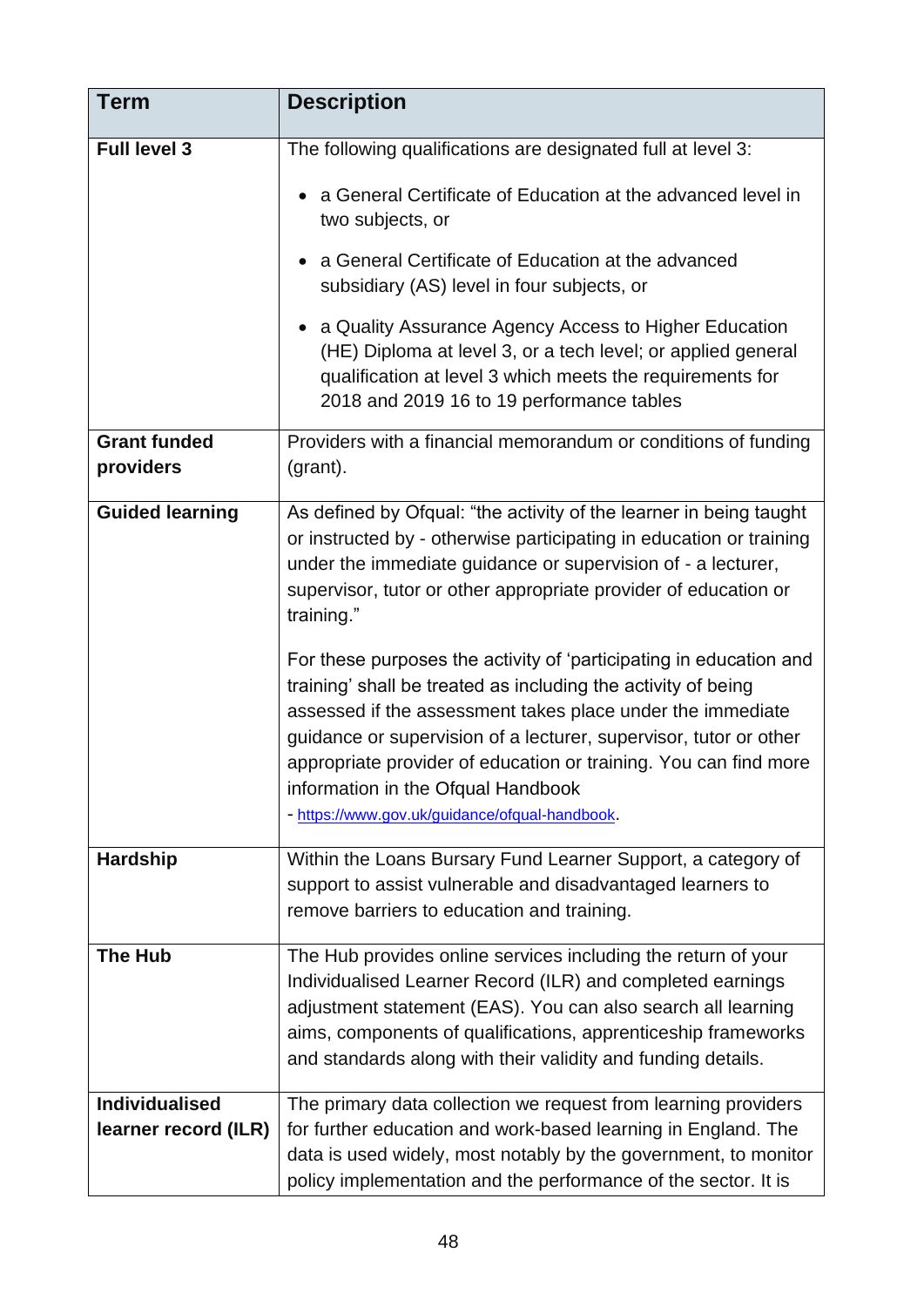| <b>Term</b>                      | <b>Description</b>                                                                                                                                                                                                                                                                                                                                                                                                                 |
|----------------------------------|------------------------------------------------------------------------------------------------------------------------------------------------------------------------------------------------------------------------------------------------------------------------------------------------------------------------------------------------------------------------------------------------------------------------------------|
| Full level 3                     | The following qualifications are designated full at level 3:                                                                                                                                                                                                                                                                                                                                                                       |
|                                  | a General Certificate of Education at the advanced level in<br>two subjects, or                                                                                                                                                                                                                                                                                                                                                    |
|                                  | a General Certificate of Education at the advanced<br>subsidiary (AS) level in four subjects, or                                                                                                                                                                                                                                                                                                                                   |
|                                  | a Quality Assurance Agency Access to Higher Education<br>(HE) Diploma at level 3, or a tech level; or applied general<br>qualification at level 3 which meets the requirements for<br>2018 and 2019 16 to 19 performance tables                                                                                                                                                                                                    |
| <b>Grant funded</b><br>providers | Providers with a financial memorandum or conditions of funding<br>(grant).                                                                                                                                                                                                                                                                                                                                                         |
| <b>Guided learning</b>           | As defined by Ofqual: "the activity of the learner in being taught<br>or instructed by - otherwise participating in education or training<br>under the immediate guidance or supervision of - a lecturer,<br>supervisor, tutor or other appropriate provider of education or<br>training."                                                                                                                                         |
|                                  | For these purposes the activity of 'participating in education and<br>training' shall be treated as including the activity of being<br>assessed if the assessment takes place under the immediate<br>guidance or supervision of a lecturer, supervisor, tutor or other<br>appropriate provider of education or training. You can find more<br>information in the Ofqual Handbook<br>- https://www.gov.uk/guidance/ofqual-handbook. |
| <b>Hardship</b>                  | Within the Loans Bursary Fund Learner Support, a category of<br>support to assist vulnerable and disadvantaged learners to<br>remove barriers to education and training.                                                                                                                                                                                                                                                           |
| <b>The Hub</b>                   | The Hub provides online services including the return of your<br>Individualised Learner Record (ILR) and completed earnings<br>adjustment statement (EAS). You can also search all learning<br>aims, components of qualifications, apprenticeship frameworks<br>and standards along with their validity and funding details.                                                                                                       |
| <b>Individualised</b>            | The primary data collection we request from learning providers                                                                                                                                                                                                                                                                                                                                                                     |
| learner record (ILR)             | for further education and work-based learning in England. The<br>data is used widely, most notably by the government, to monitor                                                                                                                                                                                                                                                                                                   |
|                                  | policy implementation and the performance of the sector. It is                                                                                                                                                                                                                                                                                                                                                                     |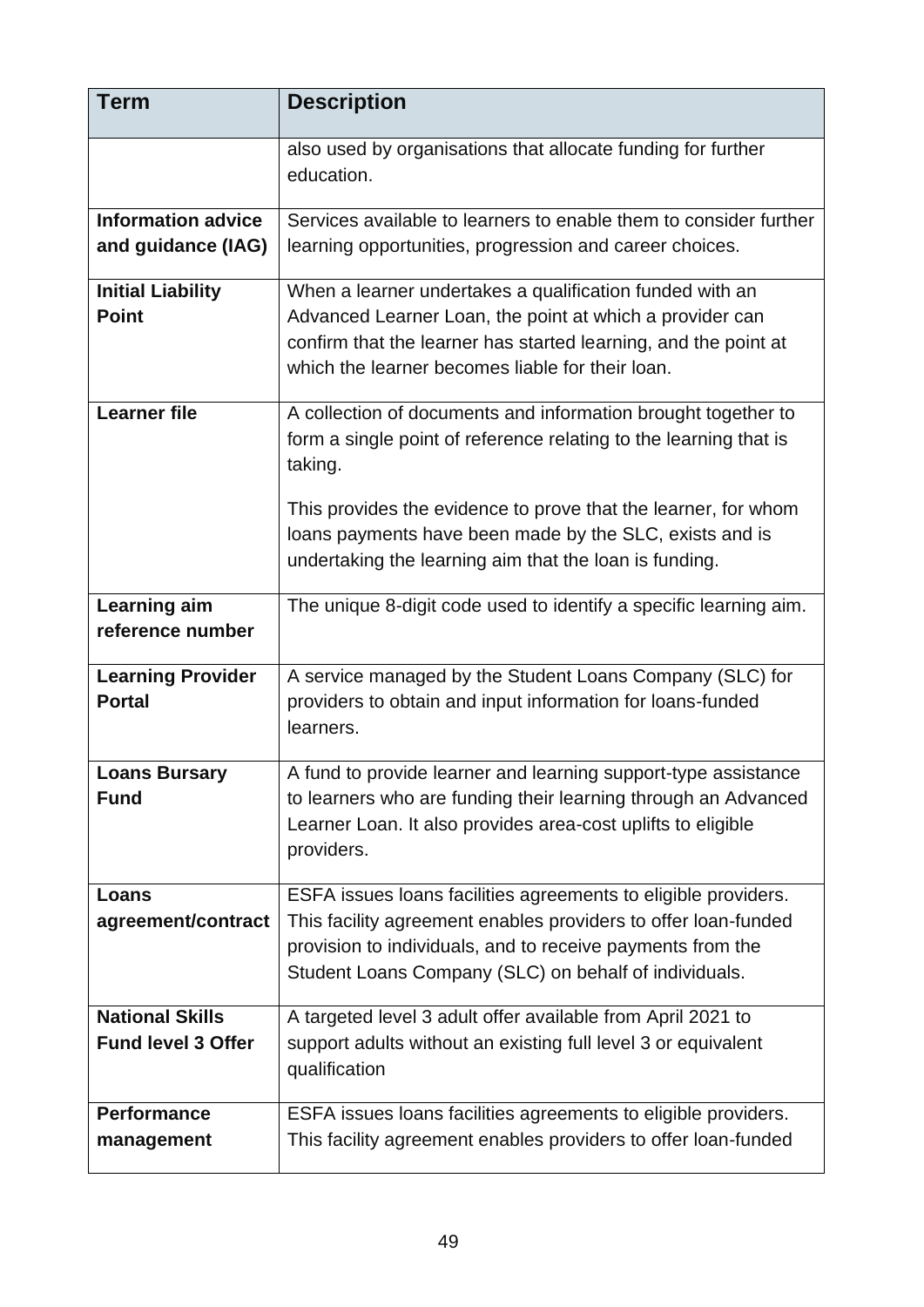| <b>Term</b>               | <b>Description</b>                                                           |
|---------------------------|------------------------------------------------------------------------------|
|                           | also used by organisations that allocate funding for further<br>education.   |
| <b>Information advice</b> | Services available to learners to enable them to consider further            |
| and guidance (IAG)        | learning opportunities, progression and career choices.                      |
| <b>Initial Liability</b>  | When a learner undertakes a qualification funded with an                     |
| <b>Point</b>              | Advanced Learner Loan, the point at which a provider can                     |
|                           | confirm that the learner has started learning, and the point at              |
|                           | which the learner becomes liable for their loan.                             |
| <b>Learner file</b>       | A collection of documents and information brought together to                |
|                           | form a single point of reference relating to the learning that is<br>taking. |
|                           |                                                                              |
|                           | This provides the evidence to prove that the learner, for whom               |
|                           | loans payments have been made by the SLC, exists and is                      |
|                           | undertaking the learning aim that the loan is funding.                       |
| Learning aim              | The unique 8-digit code used to identify a specific learning aim.            |
| reference number          |                                                                              |
| <b>Learning Provider</b>  | A service managed by the Student Loans Company (SLC) for                     |
| <b>Portal</b>             | providers to obtain and input information for loans-funded                   |
|                           | learners.                                                                    |
|                           |                                                                              |
| <b>Loans Bursary</b>      | A fund to provide learner and learning support-type assistance               |
| <b>Fund</b>               | to learners who are funding their learning through an Advanced               |
|                           | Learner Loan. It also provides area-cost uplifts to eligible                 |
|                           | providers.                                                                   |
| Loans                     | ESFA issues loans facilities agreements to eligible providers.               |
| agreement/contract        | This facility agreement enables providers to offer loan-funded               |
|                           | provision to individuals, and to receive payments from the                   |
|                           | Student Loans Company (SLC) on behalf of individuals.                        |
|                           |                                                                              |
| <b>National Skills</b>    | A targeted level 3 adult offer available from April 2021 to                  |
| <b>Fund level 3 Offer</b> | support adults without an existing full level 3 or equivalent                |
|                           | qualification                                                                |
| <b>Performance</b>        | ESFA issues loans facilities agreements to eligible providers.               |
| management                | This facility agreement enables providers to offer loan-funded               |
|                           |                                                                              |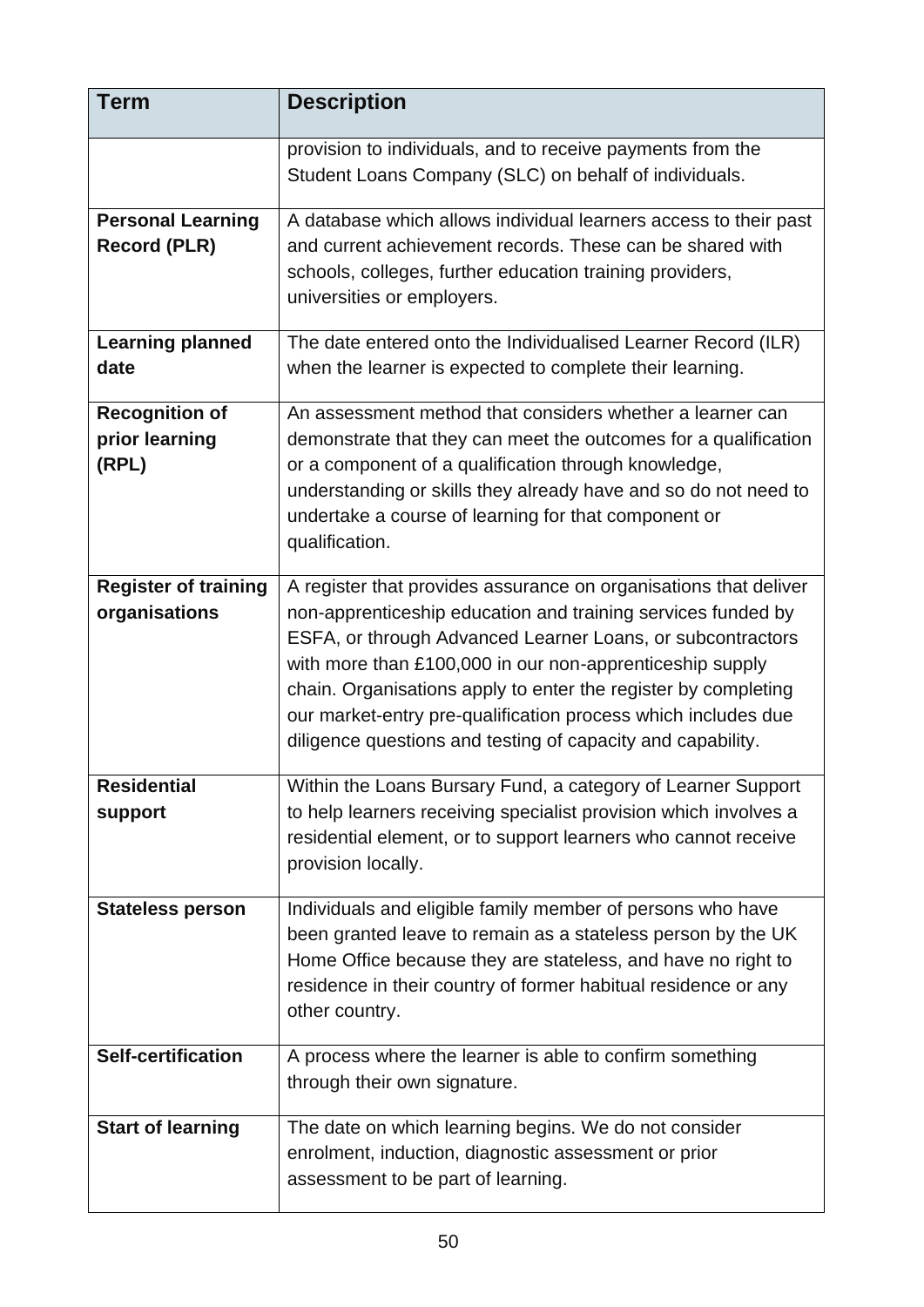| <b>Term</b>                                      | <b>Description</b>                                                                                                                                                                                                                                                                                                                                                                                                                                           |
|--------------------------------------------------|--------------------------------------------------------------------------------------------------------------------------------------------------------------------------------------------------------------------------------------------------------------------------------------------------------------------------------------------------------------------------------------------------------------------------------------------------------------|
|                                                  | provision to individuals, and to receive payments from the<br>Student Loans Company (SLC) on behalf of individuals.                                                                                                                                                                                                                                                                                                                                          |
| <b>Personal Learning</b><br><b>Record (PLR)</b>  | A database which allows individual learners access to their past<br>and current achievement records. These can be shared with<br>schools, colleges, further education training providers,<br>universities or employers.                                                                                                                                                                                                                                      |
| <b>Learning planned</b><br>date                  | The date entered onto the Individualised Learner Record (ILR)<br>when the learner is expected to complete their learning.                                                                                                                                                                                                                                                                                                                                    |
| <b>Recognition of</b><br>prior learning<br>(RPL) | An assessment method that considers whether a learner can<br>demonstrate that they can meet the outcomes for a qualification<br>or a component of a qualification through knowledge,<br>understanding or skills they already have and so do not need to<br>undertake a course of learning for that component or<br>qualification.                                                                                                                            |
| <b>Register of training</b><br>organisations     | A register that provides assurance on organisations that deliver<br>non-apprenticeship education and training services funded by<br>ESFA, or through Advanced Learner Loans, or subcontractors<br>with more than £100,000 in our non-apprenticeship supply<br>chain. Organisations apply to enter the register by completing<br>our market-entry pre-qualification process which includes due<br>diligence questions and testing of capacity and capability. |
| <b>Residential</b><br>support                    | Within the Loans Bursary Fund, a category of Learner Support<br>to help learners receiving specialist provision which involves a<br>residential element, or to support learners who cannot receive<br>provision locally.                                                                                                                                                                                                                                     |
| <b>Stateless person</b>                          | Individuals and eligible family member of persons who have<br>been granted leave to remain as a stateless person by the UK<br>Home Office because they are stateless, and have no right to<br>residence in their country of former habitual residence or any<br>other country.                                                                                                                                                                               |
| <b>Self-certification</b>                        | A process where the learner is able to confirm something<br>through their own signature.                                                                                                                                                                                                                                                                                                                                                                     |
| <b>Start of learning</b>                         | The date on which learning begins. We do not consider<br>enrolment, induction, diagnostic assessment or prior<br>assessment to be part of learning.                                                                                                                                                                                                                                                                                                          |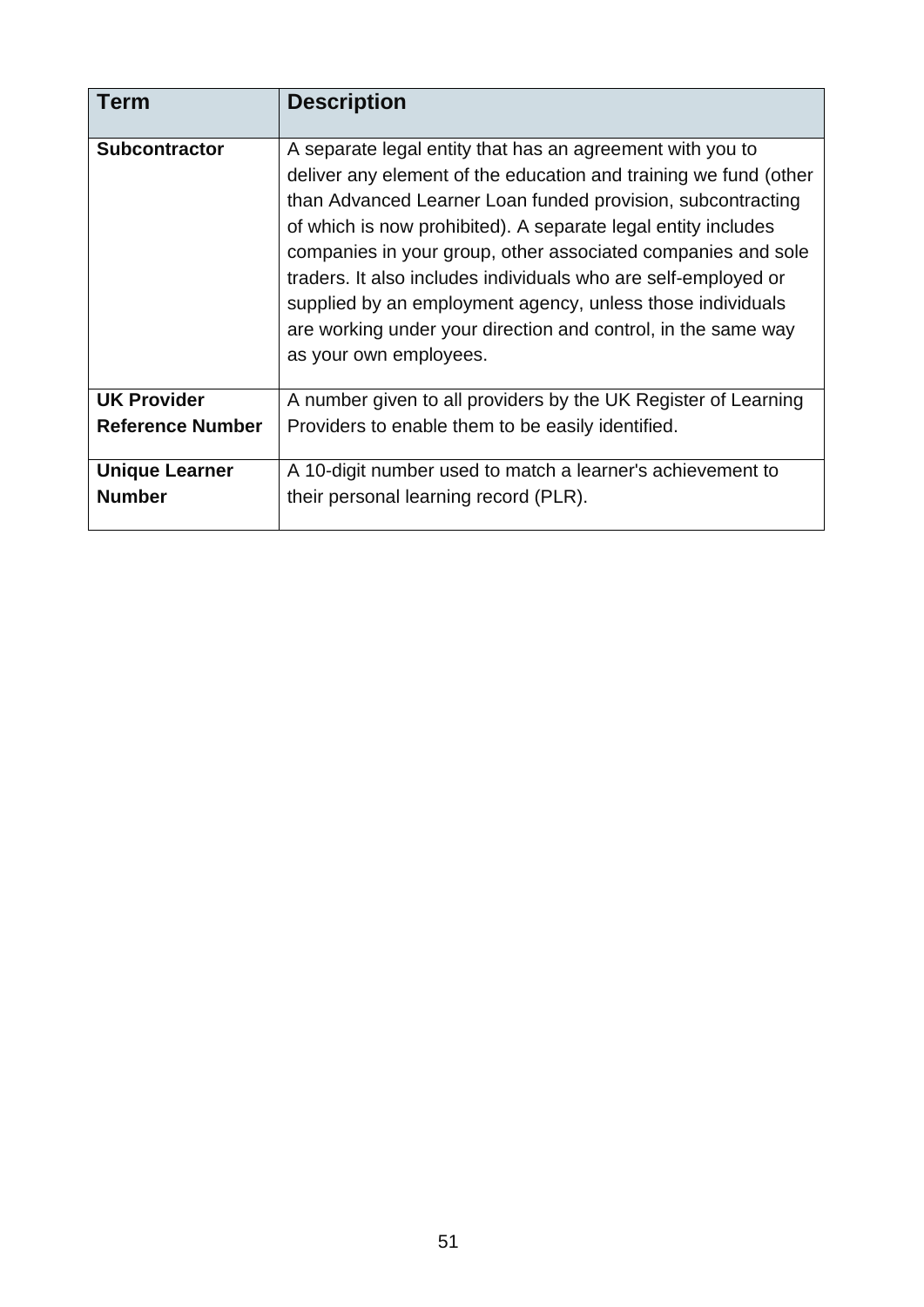| <b>Term</b>             | <b>Description</b>                                                                                                                                                                                                                                                                                                                                                                                                                                                                                                                                       |
|-------------------------|----------------------------------------------------------------------------------------------------------------------------------------------------------------------------------------------------------------------------------------------------------------------------------------------------------------------------------------------------------------------------------------------------------------------------------------------------------------------------------------------------------------------------------------------------------|
| <b>Subcontractor</b>    | A separate legal entity that has an agreement with you to<br>deliver any element of the education and training we fund (other<br>than Advanced Learner Loan funded provision, subcontracting<br>of which is now prohibited). A separate legal entity includes<br>companies in your group, other associated companies and sole<br>traders. It also includes individuals who are self-employed or<br>supplied by an employment agency, unless those individuals<br>are working under your direction and control, in the same way<br>as your own employees. |
| <b>UK Provider</b>      | A number given to all providers by the UK Register of Learning                                                                                                                                                                                                                                                                                                                                                                                                                                                                                           |
| <b>Reference Number</b> | Providers to enable them to be easily identified.                                                                                                                                                                                                                                                                                                                                                                                                                                                                                                        |
| <b>Unique Learner</b>   | A 10-digit number used to match a learner's achievement to                                                                                                                                                                                                                                                                                                                                                                                                                                                                                               |
| <b>Number</b>           | their personal learning record (PLR).                                                                                                                                                                                                                                                                                                                                                                                                                                                                                                                    |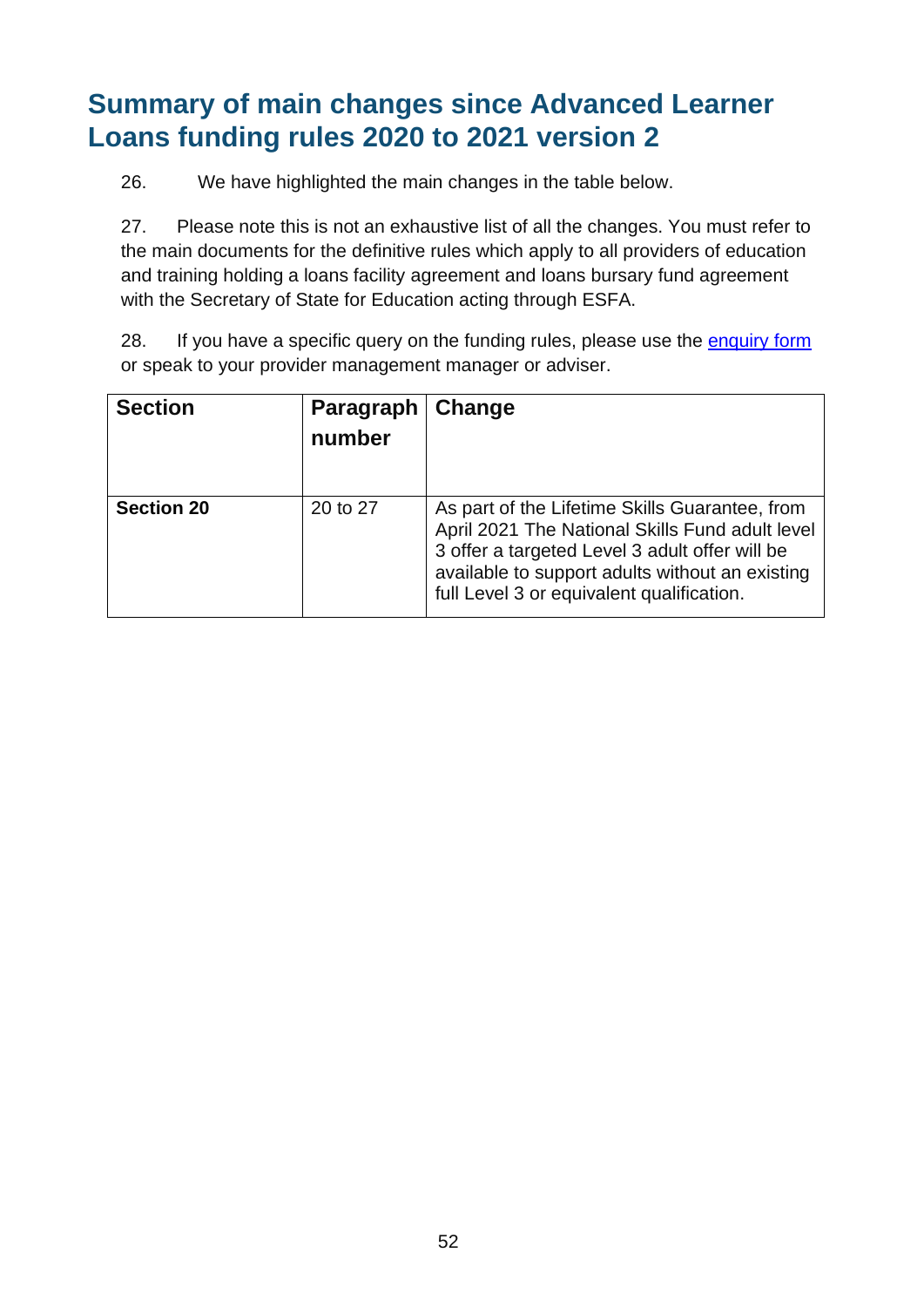## <span id="page-51-0"></span>**Summary of main changes since Advanced Learner Loans funding rules 2020 to 2021 version 2**

26. We have highlighted the main changes in the table below.

27. Please note this is not an exhaustive list of all the changes. You must refer to the main documents for the definitive rules which apply to all providers of education and training holding a loans facility agreement and loans bursary fund agreement with the Secretary of State for Education acting through ESFA.

28. If you have a specific query on the funding rules, please use the [enquiry form](https://form.education.gov.uk/en/AchieveForms/?form_uri=sandbox-publish://AF-Process-f9f4f5a1-936f-448b-bbeb-9dcdd595f468/AF-Stage-8aa41278-3cdd-45a3-ad87-80cbffb8b992/definition.json&redirectlink=%2Fen&cancelRedirectLink=%2Fen) or speak to your provider management manager or adviser.

| <b>Section</b>    | Paragraph<br>number | Change                                                                                                                                                                                                                                              |
|-------------------|---------------------|-----------------------------------------------------------------------------------------------------------------------------------------------------------------------------------------------------------------------------------------------------|
| <b>Section 20</b> | 20 to 27            | As part of the Lifetime Skills Guarantee, from<br>April 2021 The National Skills Fund adult level<br>3 offer a targeted Level 3 adult offer will be<br>available to support adults without an existing<br>full Level 3 or equivalent qualification. |